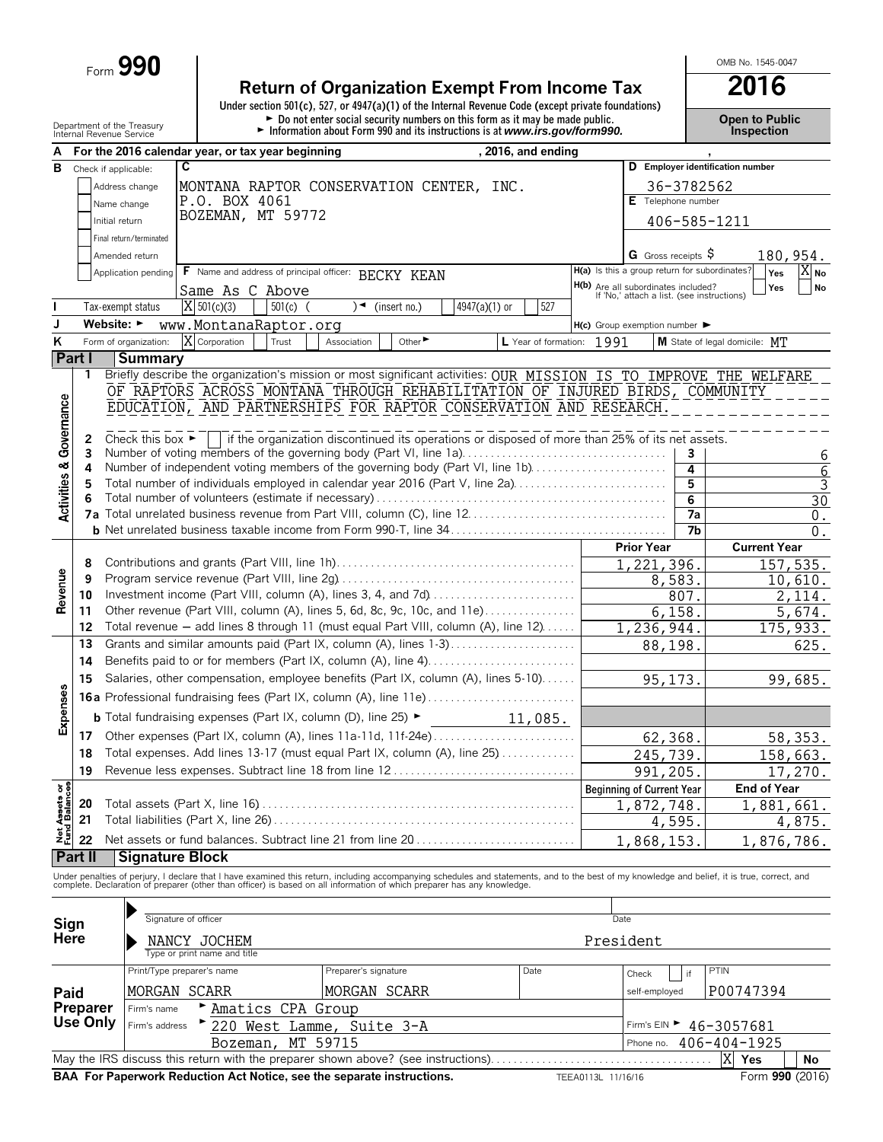Form **990**

# **Return of Organization Exempt From Income Tax**<br>
Under section 501(c), 527, or 4947(a)(1) of the Internal Revenue Code (except private foundations)

Department of the Treasury **Depen to Public**<br>Internal Revenue Service **Channel Constant Constant Public Constant Public Constant Public Constant Public Const**<br>Internal Revenue Service **Channel Constant Public Constant Publ** 

OMB No. 1545-0047

| А                                      |          |                                      | For the 2016 calendar year, or tax year beginning                                                                                                                                                                                                                                                                        |            |                           |                         |                                                                                                 | , 2016, and ending        |                    |                                                                                          |            |                                  |                     |
|----------------------------------------|----------|--------------------------------------|--------------------------------------------------------------------------------------------------------------------------------------------------------------------------------------------------------------------------------------------------------------------------------------------------------------------------|------------|---------------------------|-------------------------|-------------------------------------------------------------------------------------------------|---------------------------|--------------------|------------------------------------------------------------------------------------------|------------|----------------------------------|---------------------|
| В                                      |          | Check if applicable:                 | C                                                                                                                                                                                                                                                                                                                        |            |                           |                         |                                                                                                 |                           |                    |                                                                                          |            | D Employer identification number |                     |
|                                        |          |                                      |                                                                                                                                                                                                                                                                                                                          |            |                           |                         |                                                                                                 |                           |                    |                                                                                          |            |                                  |                     |
|                                        |          | Address change                       | MONTANA RAPTOR CONSERVATION CENTER, INC.                                                                                                                                                                                                                                                                                 |            |                           |                         |                                                                                                 |                           |                    |                                                                                          | 36-3782562 |                                  |                     |
|                                        |          | Name change                          | P.O. BOX 4061<br>BOZEMAN, MT 59772                                                                                                                                                                                                                                                                                       |            |                           |                         |                                                                                                 |                           |                    | E Telephone number                                                                       |            |                                  |                     |
|                                        |          | Initial return                       |                                                                                                                                                                                                                                                                                                                          |            |                           |                         |                                                                                                 |                           |                    |                                                                                          |            | 406-585-1211                     |                     |
|                                        |          | Final return/terminated              |                                                                                                                                                                                                                                                                                                                          |            |                           |                         |                                                                                                 |                           |                    |                                                                                          |            |                                  |                     |
|                                        |          | Amended return                       |                                                                                                                                                                                                                                                                                                                          |            |                           |                         |                                                                                                 |                           |                    | G Gross receipts $\ddot{\varphi}$                                                        |            |                                  | 180,954.            |
|                                        |          | Application pending                  | F Name and address of principal officer: BECKY KEAN                                                                                                                                                                                                                                                                      |            |                           |                         |                                                                                                 |                           |                    | H(a) Is this a group return for subordinates?                                            |            | Yes                              | $X_{No}$            |
|                                        |          |                                      | Same As C Above                                                                                                                                                                                                                                                                                                          |            |                           |                         |                                                                                                 |                           |                    | <b>H(b)</b> Are all subordinates included?<br>If 'No,' attach a list. (see instructions) |            | Yes                              | No                  |
|                                        |          | Tax-exempt status                    | $X$ 501(c)(3)                                                                                                                                                                                                                                                                                                            | $501(c)$ ( |                           | $\sqrt{ }$ (insert no.) | 4947(a)(1) or                                                                                   | 527                       |                    |                                                                                          |            |                                  |                     |
| J                                      |          | Website: ►                           | www.MontanaRaptor.org                                                                                                                                                                                                                                                                                                    |            |                           |                         |                                                                                                 |                           |                    | $H(c)$ Group exemption number $\blacktriangleright$                                      |            |                                  |                     |
| $\overline{\mathsf{K}}$                |          | Form of organization:                | ΙXΙ<br>Corporation                                                                                                                                                                                                                                                                                                       | Trust      | Association               | Other <sup>&gt;</sup>   |                                                                                                 | L Year of formation: 1991 |                    |                                                                                          |            | M State of legal domicile: MT    |                     |
|                                        | Part I   | <b>Summary</b>                       |                                                                                                                                                                                                                                                                                                                          |            |                           |                         |                                                                                                 |                           |                    |                                                                                          |            |                                  |                     |
|                                        | 1        |                                      | Briefly describe the organization's mission or most significant activities: OUR MISSION IS TO IMPROVE THE WELFARE                                                                                                                                                                                                        |            |                           |                         |                                                                                                 |                           |                    |                                                                                          |            |                                  |                     |
|                                        |          |                                      | OF RAPTORS ACROSS MONTANA THROUGH REHABILITATION OF INJURED BIRDS, COMMUNITY                                                                                                                                                                                                                                             |            |                           |                         |                                                                                                 |                           |                    |                                                                                          |            |                                  |                     |
|                                        |          |                                      | EDUCATION, AND PARTNERSHIPS FOR RAPTOR CONSERVATION AND RESEARCH.                                                                                                                                                                                                                                                        |            |                           |                         |                                                                                                 |                           |                    |                                                                                          |            |                                  |                     |
| Governance                             |          |                                      |                                                                                                                                                                                                                                                                                                                          |            |                           |                         |                                                                                                 |                           |                    |                                                                                          |            |                                  |                     |
|                                        |          |                                      |                                                                                                                                                                                                                                                                                                                          |            |                           |                         |                                                                                                 |                           |                    |                                                                                          |            |                                  |                     |
|                                        | 2<br>3   | Check this box $\blacktriangleright$ | Number of voting members of the governing body (Part VI, line 1a)                                                                                                                                                                                                                                                        |            |                           |                         | if the organization discontinued its operations or disposed of more than 25% of its net assets. |                           |                    |                                                                                          | 3          |                                  |                     |
|                                        | 4        |                                      | Number of independent voting members of the governing body (Part VI, line 1b)                                                                                                                                                                                                                                            |            |                           |                         |                                                                                                 |                           |                    |                                                                                          | 4          |                                  | 6<br>$\overline{6}$ |
|                                        |          |                                      | Total number of individuals employed in calendar year 2016 (Part V, line 2a)                                                                                                                                                                                                                                             |            |                           |                         |                                                                                                 |                           |                    |                                                                                          | 5          |                                  | $\overline{3}$      |
|                                        | 6        |                                      |                                                                                                                                                                                                                                                                                                                          |            |                           |                         |                                                                                                 |                           |                    |                                                                                          | 6          |                                  | $\overline{30}$     |
| <b>Activities &amp;</b>                |          |                                      |                                                                                                                                                                                                                                                                                                                          |            |                           |                         |                                                                                                 |                           |                    |                                                                                          | 7a         |                                  | 0.                  |
|                                        |          |                                      |                                                                                                                                                                                                                                                                                                                          |            |                           |                         |                                                                                                 |                           |                    |                                                                                          | 7b         |                                  | $0$ .               |
|                                        |          |                                      |                                                                                                                                                                                                                                                                                                                          |            |                           |                         |                                                                                                 |                           |                    | <b>Prior Year</b>                                                                        |            | <b>Current Year</b>              |                     |
|                                        | 8        |                                      |                                                                                                                                                                                                                                                                                                                          |            |                           |                         |                                                                                                 |                           |                    | 1,221,396.                                                                               |            |                                  | 157,535.            |
|                                        | 9        |                                      |                                                                                                                                                                                                                                                                                                                          |            |                           |                         |                                                                                                 |                           |                    |                                                                                          |            |                                  |                     |
| Revenue                                | 10       |                                      |                                                                                                                                                                                                                                                                                                                          |            |                           |                         |                                                                                                 |                           |                    | 8,583.                                                                                   | 807.       |                                  | 10,610.<br>2,114.   |
|                                        | 11       |                                      | Other revenue (Part VIII, column (A), lines 5, 6d, 8c, 9c, 10c, and 11e)                                                                                                                                                                                                                                                 |            |                           |                         |                                                                                                 |                           |                    | 6, 158.                                                                                  |            |                                  | 5,674.              |
|                                        | 12       |                                      | Total revenue - add lines 8 through 11 (must equal Part VIII, column (A), line 12)                                                                                                                                                                                                                                       |            |                           |                         |                                                                                                 |                           |                    |                                                                                          |            |                                  |                     |
|                                        | 13       |                                      | Grants and similar amounts paid (Part IX, column (A), lines 1-3)                                                                                                                                                                                                                                                         |            |                           |                         |                                                                                                 |                           |                    | 1,236,944.                                                                               |            |                                  | 175,933.            |
|                                        |          |                                      |                                                                                                                                                                                                                                                                                                                          |            |                           |                         |                                                                                                 |                           |                    | 88,198.                                                                                  |            |                                  | 625.                |
|                                        | 14       |                                      | Benefits paid to or for members (Part IX, column (A), line 4)                                                                                                                                                                                                                                                            |            |                           |                         |                                                                                                 |                           |                    |                                                                                          |            |                                  |                     |
|                                        | 15       |                                      | Salaries, other compensation, employee benefits (Part IX, column (A), lines 5-10)                                                                                                                                                                                                                                        |            |                           |                         |                                                                                                 |                           |                    | 95,173.                                                                                  |            |                                  | 99,685.             |
|                                        |          |                                      |                                                                                                                                                                                                                                                                                                                          |            |                           |                         |                                                                                                 |                           |                    |                                                                                          |            |                                  |                     |
| Expenses                               |          |                                      | <b>b</b> Total fundraising expenses (Part IX, column (D), line 25) $\blacktriangleright$                                                                                                                                                                                                                                 |            |                           |                         |                                                                                                 | 11,085.                   |                    |                                                                                          |            |                                  |                     |
|                                        | 17       |                                      |                                                                                                                                                                                                                                                                                                                          |            |                           |                         |                                                                                                 |                           |                    | 62,368.                                                                                  |            |                                  | 58,353.             |
|                                        | 18       |                                      | Total expenses. Add lines 13-17 (must equal Part IX, column (A), line 25)                                                                                                                                                                                                                                                |            |                           |                         |                                                                                                 |                           |                    | 245,739.                                                                                 |            |                                  | 158,663.            |
|                                        | 19       |                                      | Revenue less expenses. Subtract line 18 from line 12                                                                                                                                                                                                                                                                     |            |                           |                         |                                                                                                 |                           |                    | 991,205.                                                                                 |            |                                  | 17,270.             |
|                                        |          |                                      |                                                                                                                                                                                                                                                                                                                          |            |                           |                         |                                                                                                 |                           |                    | Beginning of Current Year                                                                |            | <b>End of Year</b>               |                     |
|                                        | 20       |                                      |                                                                                                                                                                                                                                                                                                                          |            |                           |                         |                                                                                                 |                           |                    | 1,872,748.                                                                               |            |                                  | 1,881,661.          |
|                                        | 21       |                                      |                                                                                                                                                                                                                                                                                                                          |            |                           |                         |                                                                                                 |                           |                    | 4,595.                                                                                   |            |                                  | 4,875.              |
| <b>Net Assets or<br/>Fund Balances</b> | 22       |                                      |                                                                                                                                                                                                                                                                                                                          |            |                           |                         |                                                                                                 |                           |                    | 1,868,153.                                                                               |            |                                  | 1,876,786.          |
|                                        | Part II  |                                      | <b>Signature Block</b>                                                                                                                                                                                                                                                                                                   |            |                           |                         |                                                                                                 |                           |                    |                                                                                          |            |                                  |                     |
|                                        |          |                                      |                                                                                                                                                                                                                                                                                                                          |            |                           |                         |                                                                                                 |                           |                    |                                                                                          |            |                                  |                     |
|                                        |          |                                      | Under penalties of perjury, I declare that I have examined this return, including accompanying schedules and statements, and to the best of my knowledge and belief, it is true, correct, and<br>complete. Declaration of preparer (other than officer) is based on all information of which preparer has any knowledge. |            |                           |                         |                                                                                                 |                           |                    |                                                                                          |            |                                  |                     |
|                                        |          |                                      |                                                                                                                                                                                                                                                                                                                          |            |                           |                         |                                                                                                 |                           |                    |                                                                                          |            |                                  |                     |
|                                        |          |                                      | Signature of officer                                                                                                                                                                                                                                                                                                     |            |                           |                         |                                                                                                 |                           | Date               |                                                                                          |            |                                  |                     |
| Sign<br>Here                           |          |                                      | NANCY JOCHEM                                                                                                                                                                                                                                                                                                             |            |                           |                         |                                                                                                 |                           | President          |                                                                                          |            |                                  |                     |
|                                        |          |                                      | Type or print name and title                                                                                                                                                                                                                                                                                             |            |                           |                         |                                                                                                 |                           |                    |                                                                                          |            |                                  |                     |
|                                        |          |                                      | Print/Type preparer's name                                                                                                                                                                                                                                                                                               |            | Preparer's signature      |                         |                                                                                                 | Date                      |                    | Check                                                                                    | if         | PTIN                             |                     |
|                                        |          |                                      |                                                                                                                                                                                                                                                                                                                          |            |                           |                         |                                                                                                 |                           |                    |                                                                                          |            |                                  |                     |
| Paid                                   |          |                                      | MORGAN SCARR                                                                                                                                                                                                                                                                                                             |            | MORGAN SCARR              |                         |                                                                                                 |                           |                    | self-employed                                                                            |            | P00747394                        |                     |
|                                        | Preparer | Firm's name                          | Amatics CPA Group                                                                                                                                                                                                                                                                                                        |            |                           |                         |                                                                                                 |                           |                    |                                                                                          |            |                                  |                     |
|                                        | Use Only | Firm's address                       |                                                                                                                                                                                                                                                                                                                          |            | 220 West Lamme, Suite 3-A |                         |                                                                                                 |                           |                    |                                                                                          |            | Firm's EIN > 46-3057681          |                     |
|                                        |          |                                      | Bozeman,                                                                                                                                                                                                                                                                                                                 |            | MT 59715                  |                         |                                                                                                 |                           |                    | Phone no.                                                                                |            | 406-404-1925                     |                     |
|                                        |          |                                      | May the IRS discuss this return with the preparer shown above? (see instructions)                                                                                                                                                                                                                                        |            |                           |                         |                                                                                                 |                           |                    |                                                                                          |            | X Yes                            | No                  |
|                                        |          |                                      | BAA For Paperwork Reduction Act Notice, see the separate instructions.                                                                                                                                                                                                                                                   |            |                           |                         |                                                                                                 |                           | TEEA0113L 11/16/16 |                                                                                          |            |                                  | Form 990 (2016)     |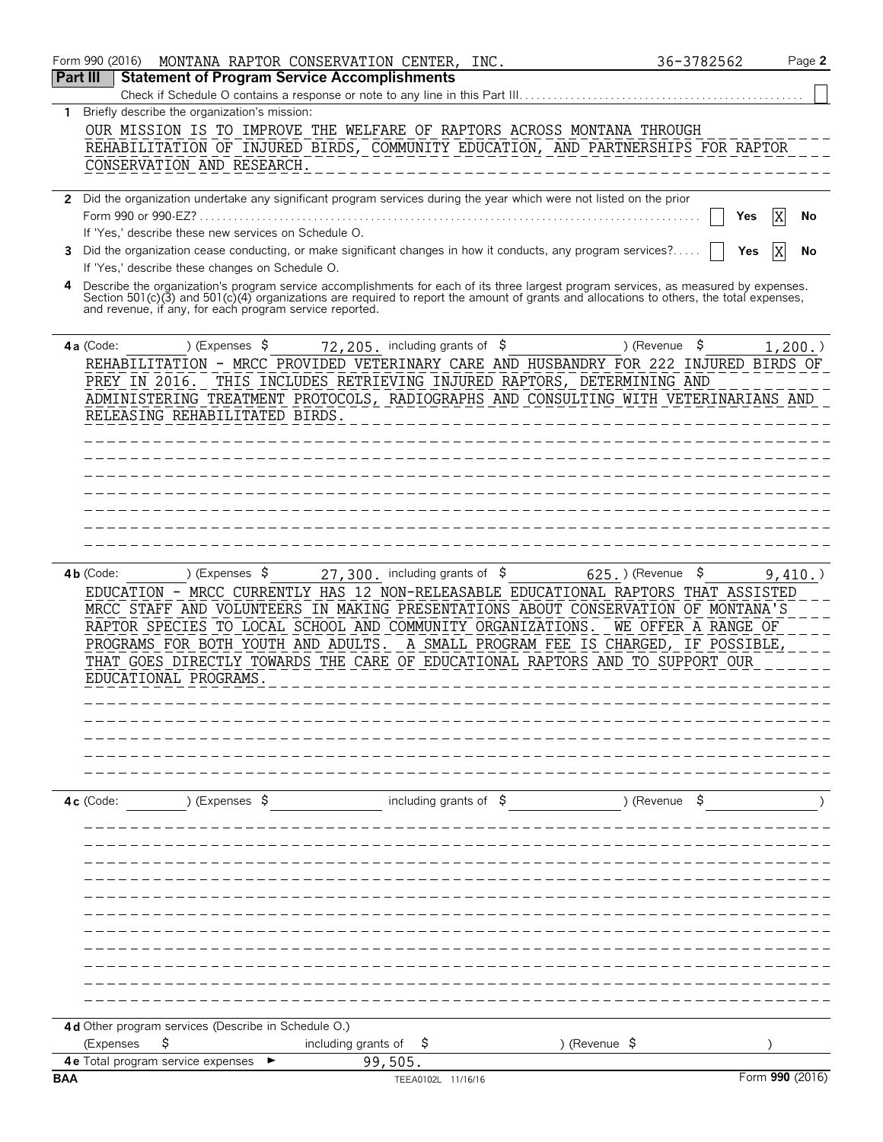|            | Form 990 (2016)                                                                                                                                                                                                                                                                    | MONTANA RAPTOR CONSERVATION CENTER, INC.                                                                                             |                       | 36-3782562              | Page 2          |
|------------|------------------------------------------------------------------------------------------------------------------------------------------------------------------------------------------------------------------------------------------------------------------------------------|--------------------------------------------------------------------------------------------------------------------------------------|-----------------------|-------------------------|-----------------|
| Part III   |                                                                                                                                                                                                                                                                                    | <b>Statement of Program Service Accomplishments</b><br>Check if Schedule O contains a response or note to any line in this Part III. |                       |                         |                 |
| 1          | Briefly describe the organization's mission:                                                                                                                                                                                                                                       |                                                                                                                                      |                       |                         |                 |
|            | OUR MISSION IS TO IMPROVE THE WELFARE OF RAPTORS ACROSS MONTANA THROUGH                                                                                                                                                                                                            |                                                                                                                                      |                       |                         |                 |
|            | REHABILITATION OF INJURED BIRDS, COMMUNITY EDUCATION, AND PARTNERSHIPS FOR RAPTOR                                                                                                                                                                                                  |                                                                                                                                      |                       |                         |                 |
|            | CONSERVATION AND RESEARCH.                                                                                                                                                                                                                                                         |                                                                                                                                      |                       |                         |                 |
|            | 2 Did the organization undertake any significant program services during the year which were not listed on the prior                                                                                                                                                               |                                                                                                                                      |                       |                         |                 |
|            | Form 990 or 990-EZ?.                                                                                                                                                                                                                                                               |                                                                                                                                      |                       | Yes                     | X<br>No         |
| 3          | If 'Yes,' describe these new services on Schedule O.<br>Did the organization cease conducting, or make significant changes in how it conducts, any program services?                                                                                                               |                                                                                                                                      |                       | Yes                     | X<br>No         |
|            | If 'Yes,' describe these changes on Schedule O.                                                                                                                                                                                                                                    |                                                                                                                                      |                       |                         |                 |
|            | 4 Describe the organization's program service accomplishments for each of its three largest program services, as measured by expenses.<br>Section 501(c)(3) and 501(c)(4) organizations are required to report the amount of grants and allocations to others, the total expenses, |                                                                                                                                      |                       |                         |                 |
|            | and revenue, if any, for each program service reported.                                                                                                                                                                                                                            |                                                                                                                                      |                       |                         |                 |
|            |                                                                                                                                                                                                                                                                                    |                                                                                                                                      |                       |                         |                 |
|            | $\int$ (Expenses $\int$<br>$4a$ (Code:<br>REHABILITATION - MRCC PROVIDED VETERINARY CARE AND HUSBANDRY FOR 222 INJURED BIRDS OF                                                                                                                                                    | 72, 205. including grants of \$                                                                                                      |                       | \$<br>) (Revenue        | 1,200.          |
|            | PREY IN 2016.                                                                                                                                                                                                                                                                      | THIS INCLUDES RETRIEVING INJURED RAPTORS, DETERMINING AND                                                                            |                       |                         |                 |
|            | ADMINISTERING TREATMENT PROTOCOLS, RADIOGRAPHS AND CONSULTING WITH VETERINARIANS AND                                                                                                                                                                                               |                                                                                                                                      |                       |                         |                 |
|            | RELEASING REHABILITATED BIRDS.                                                                                                                                                                                                                                                     |                                                                                                                                      |                       |                         |                 |
|            |                                                                                                                                                                                                                                                                                    |                                                                                                                                      |                       |                         |                 |
|            |                                                                                                                                                                                                                                                                                    |                                                                                                                                      |                       |                         |                 |
|            |                                                                                                                                                                                                                                                                                    |                                                                                                                                      |                       |                         |                 |
|            |                                                                                                                                                                                                                                                                                    |                                                                                                                                      |                       |                         |                 |
|            |                                                                                                                                                                                                                                                                                    |                                                                                                                                      |                       |                         |                 |
|            |                                                                                                                                                                                                                                                                                    |                                                                                                                                      |                       |                         |                 |
|            | $4b$ (Code:<br>) (Expenses $\sqrt{5}$                                                                                                                                                                                                                                              | 27, 300. including grants of $$$                                                                                                     |                       | \$<br>$625.$ ) (Revenue | 9,410.          |
|            | EDUCATION - MRCC CURRENTLY HAS 12 NON-RELEASABLE EDUCATIONAL RAPTORS THAT ASSISTED<br>MRCC STAFF AND VOLUNTEERS IN MAKING PRESENTATIONS ABOUT CONSERVATION OF MONTANA'S                                                                                                            |                                                                                                                                      |                       |                         |                 |
|            | RAPTOR SPECIES TO LOCAL SCHOOL AND COMMUNITY ORGANIZATIONS.                                                                                                                                                                                                                        |                                                                                                                                      |                       | WE OFFER A RANGE OF     |                 |
|            | PROGRAMS FOR BOTH YOUTH AND ADULTS. A SMALL PROGRAM FEE IS CHARGED, IF POSSIBLE,                                                                                                                                                                                                   |                                                                                                                                      |                       |                         |                 |
|            | THAT GOES DIRECTLY TOWARDS THE CARE OF EDUCATIONAL RAPTORS AND TO SUPPORT OUR<br>EDUCATIONAL PROGRAMS                                                                                                                                                                              |                                                                                                                                      |                       |                         |                 |
|            |                                                                                                                                                                                                                                                                                    |                                                                                                                                      |                       |                         |                 |
|            |                                                                                                                                                                                                                                                                                    |                                                                                                                                      |                       |                         |                 |
|            |                                                                                                                                                                                                                                                                                    |                                                                                                                                      |                       |                         |                 |
|            |                                                                                                                                                                                                                                                                                    |                                                                                                                                      |                       |                         |                 |
|            |                                                                                                                                                                                                                                                                                    |                                                                                                                                      |                       |                         |                 |
|            | ) (Expenses \$<br>$4c$ (Code:                                                                                                                                                                                                                                                      | including grants of $\frac{1}{2}$                                                                                                    |                       | ) (Revenue \$           |                 |
|            |                                                                                                                                                                                                                                                                                    |                                                                                                                                      |                       |                         |                 |
|            |                                                                                                                                                                                                                                                                                    |                                                                                                                                      |                       |                         |                 |
|            |                                                                                                                                                                                                                                                                                    |                                                                                                                                      |                       |                         |                 |
|            |                                                                                                                                                                                                                                                                                    |                                                                                                                                      |                       |                         |                 |
|            |                                                                                                                                                                                                                                                                                    |                                                                                                                                      |                       |                         |                 |
|            |                                                                                                                                                                                                                                                                                    |                                                                                                                                      |                       |                         |                 |
|            |                                                                                                                                                                                                                                                                                    |                                                                                                                                      |                       |                         |                 |
|            |                                                                                                                                                                                                                                                                                    |                                                                                                                                      |                       |                         |                 |
|            |                                                                                                                                                                                                                                                                                    |                                                                                                                                      |                       |                         |                 |
|            | 4d Other program services (Describe in Schedule O.)                                                                                                                                                                                                                                |                                                                                                                                      |                       |                         |                 |
|            | \$<br>(Expenses                                                                                                                                                                                                                                                                    | including grants of<br>Ş                                                                                                             | ) (Revenue $\sqrt{5}$ |                         |                 |
| <b>BAA</b> | <b>4e</b> Total program service expenses                                                                                                                                                                                                                                           | 99,505.<br>TEEA0102L 11/16/16                                                                                                        |                       |                         | Form 990 (2016) |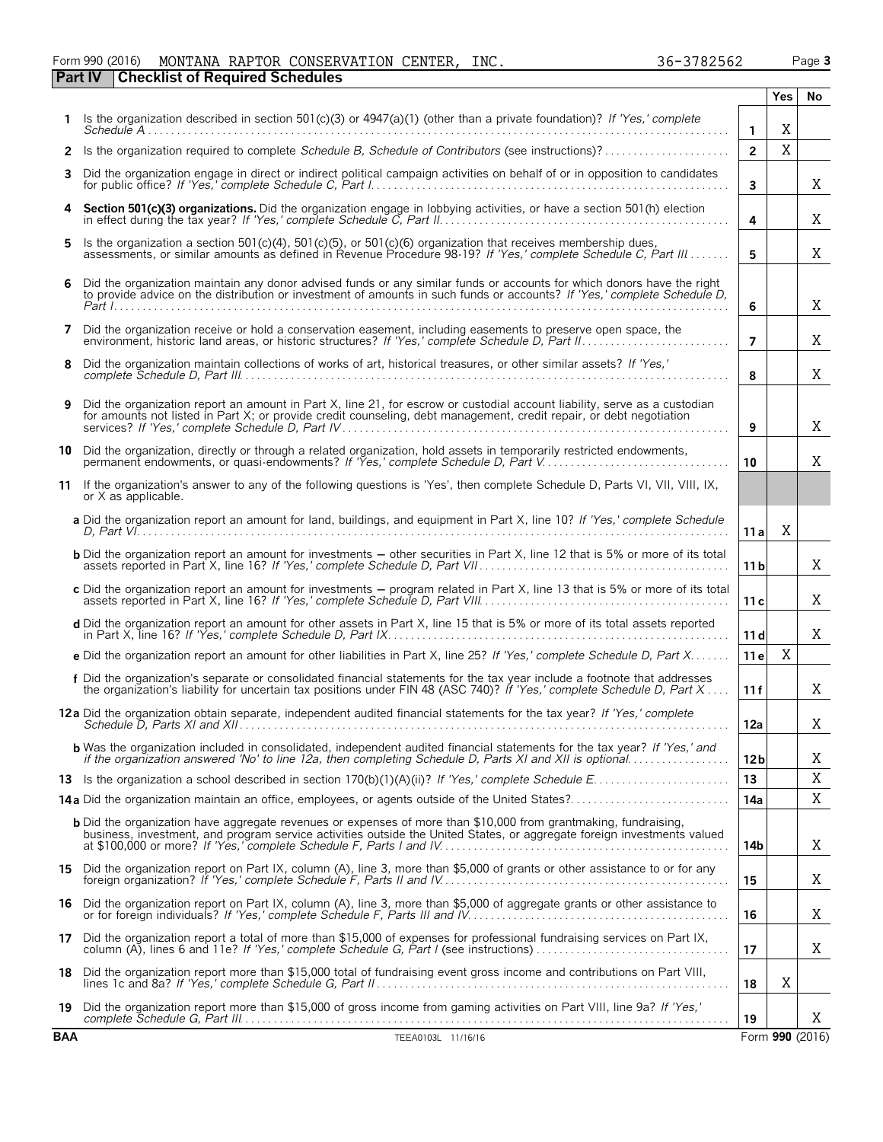#### Form 990 (2016) Page **3** MONTANA RAPTOR CONSERVATION CENTER, INC. 36-3782562 **Part IV Checklist of Required Schedules**

|    |                                                                                                                                                                                                                                                     |                 | <b>Yes</b> | No |
|----|-----------------------------------------------------------------------------------------------------------------------------------------------------------------------------------------------------------------------------------------------------|-----------------|------------|----|
| 1. | Is the organization described in section 501(c)(3) or 4947(a)(1) (other than a private foundation)? If 'Yes,' complete                                                                                                                              | 1               | Χ          |    |
| 2  | Is the organization required to complete Schedule B, Schedule of Contributors (see instructions)?                                                                                                                                                   | $\overline{2}$  | X          |    |
| 3  | Did the organization engage in direct or indirect political campaign activities on behalf of or in opposition to candidates                                                                                                                         | 3               |            | Χ  |
| 4  | Section 501(c)(3) organizations. Did the organization engage in lobbying activities, or have a section 501(h) election in effect during the tax year? If 'Yes,' complete Schedule C, Part II.                                                       | 4               |            | X  |
| 5  | Is the organization a section 501(c)(4), 501(c)(5), or 501(c)(6) organization that receives membership dues,<br>assessments, or similar amounts as defined in Revenue Procedure 98-19? If 'Yes,' complete Schedule C. Part III                      | 5               |            | X  |
| 6  | Did the organization maintain any donor advised funds or any similar funds or accounts for which donors have the right<br>to provide advice on the distribution or investment of amounts in such funds or accounts? If 'Yes,' complete Schedule D,  | 6               |            | X  |
| 7  | Did the organization receive or hold a conservation easement, including easements to preserve open space, the                                                                                                                                       | $\overline{7}$  |            | X  |
| 8  | Did the organization maintain collections of works of art, historical treasures, or other similar assets? If 'Yes,'                                                                                                                                 | 8               |            | X  |
| 9  | Did the organization report an amount in Part X, line 21, for escrow or custodial account liability, serve as a custodian<br>for amounts not listed in Part X; or provide credit counseling, debt management, credit repair, or debt negotiation    | 9               |            | Χ  |
| 10 | Did the organization, directly or through a related organization, hold assets in temporarily restricted endowments,<br>permanent endowments, or quasi-endowments? If 'Yes,' complete Schedule D, Part V.                                            | 10              |            | X  |
| 11 | If the organization's answer to any of the following questions is 'Yes', then complete Schedule D, Parts VI, VII, VIII, IX,<br>or X as applicable.                                                                                                  |                 |            |    |
|    | a Did the organization report an amount for land, buildings, and equipment in Part X, line 10? If 'Yes,' complete Schedule                                                                                                                          | 11 a            | Χ          |    |
|    | <b>b</b> Did the organization report an amount for investments – other securities in Part X, line 12 that is 5% or more of its total                                                                                                                | 11 <sub>b</sub> |            | X  |
|    | c Did the organization report an amount for investments - program related in Part X, line 13 that is 5% or more of its total                                                                                                                        | 11c             |            | X  |
|    | d Did the organization report an amount for other assets in Part X, line 15 that is 5% or more of its total assets reported                                                                                                                         | 11d             |            | X  |
|    | e Did the organization report an amount for other liabilities in Part X, line 25? If 'Yes,' complete Schedule D, Part X                                                                                                                             | 11 e            | X          |    |
|    | f Did the organization's separate or consolidated financial statements for the tax year include a footnote that addresses<br>the organization's liability for uncertain tax positions under FIN 48 (ASC 740)? If 'Yes,' complete Schedule D, Part X | 11 f            |            | X  |
|    | 12a Did the organization obtain separate, independent audited financial statements for the tax year? If 'Yes,' complete                                                                                                                             | 12a             |            | Χ  |
|    | <b>b</b> Was the organization included in consolidated, independent audited financial statements for the tax year? If 'Yes,' and<br>if the organization answered 'No' to line 12a, then completing Schedule D, Parts XI and XII is optional         | 12 <sub>b</sub> |            | Χ  |
|    |                                                                                                                                                                                                                                                     | 13              |            | X  |
|    | 14a Did the organization maintain an office, employees, or agents outside of the United States?                                                                                                                                                     | 14a             |            | Χ  |
|    | <b>b</b> Did the organization have aggregate revenues or expenses of more than \$10,000 from grantmaking, fundraising,<br>business, investment, and program service activities outside the United States, or aggregate foreign investments valued   | 14b             |            | Χ  |
|    | 15 Did the organization report on Part IX, column (A), line 3, more than \$5,000 of grants or other assistance to or for any                                                                                                                        | 15              |            | Χ  |
|    | 16 Did the organization report on Part IX, column (A), line 3, more than \$5,000 of aggregate grants or other assistance to                                                                                                                         | 16              |            | Χ  |
|    | 17 Did the organization report a total of more than \$15,000 of expenses for professional fundraising services on Part IX,                                                                                                                          | 17              |            | Χ  |
| 18 | Did the organization report more than \$15,000 total of fundraising event gross income and contributions on Part VIII,                                                                                                                              | 18              | Χ          |    |
| 19 | Did the organization report more than \$15,000 of gross income from gaming activities on Part VIII, line 9a? If 'Yes,'                                                                                                                              | 19              |            | Χ  |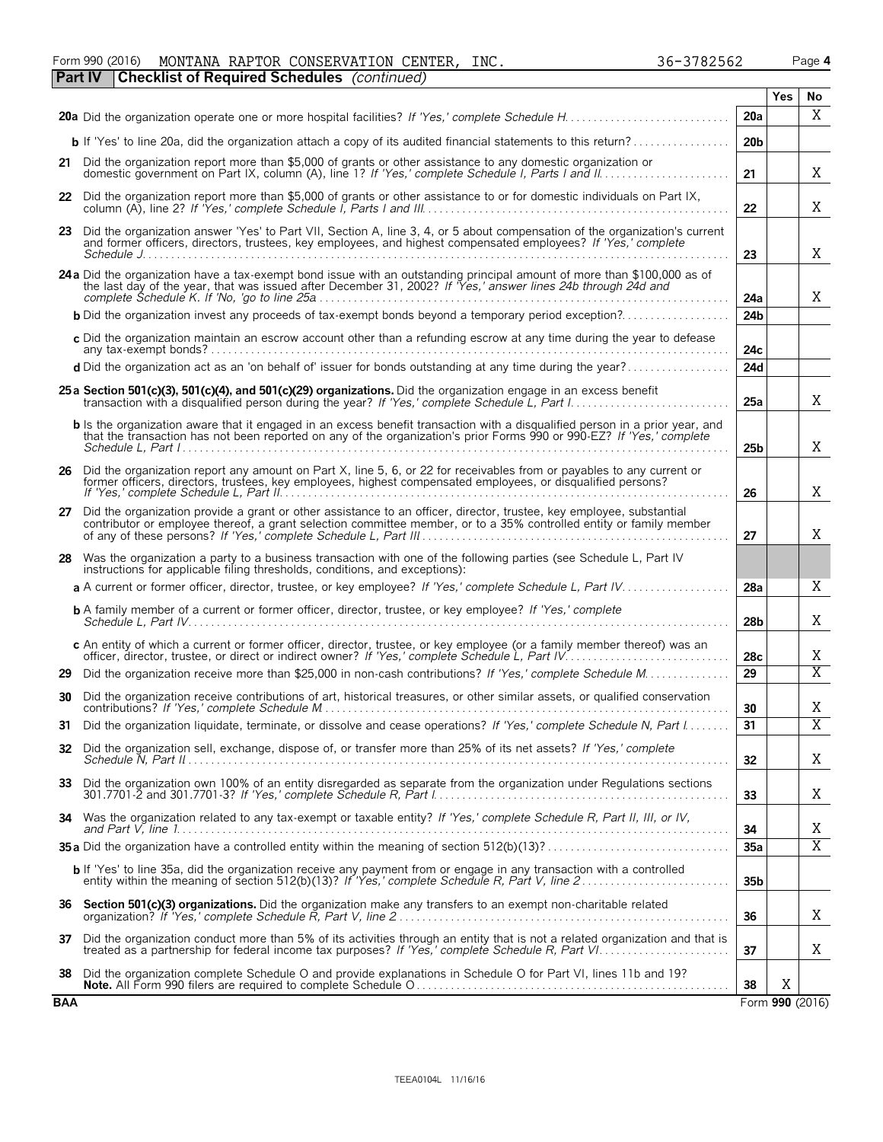Form 990 (2016) **MONTANA** RAPTOR CONSERVATION CENTER,INC. 36-3782562 Page **4** MONTANA RAPTOR CONSERVATION CENTER, INC. 36-3782562

|            | <b>Checklist of Required Schedules</b> (continued)<br>l Part IV                                                                                                                                                                                 |                 |            |                 |
|------------|-------------------------------------------------------------------------------------------------------------------------------------------------------------------------------------------------------------------------------------------------|-----------------|------------|-----------------|
|            |                                                                                                                                                                                                                                                 |                 | <b>Yes</b> | No              |
|            |                                                                                                                                                                                                                                                 | 20a             |            | Χ               |
|            | <b>b</b> If 'Yes' to line 20a, did the organization attach a copy of its audited financial statements to this return?                                                                                                                           | 20 <sub>b</sub> |            |                 |
|            | 21 Did the organization report more than \$5,000 of grants or other assistance to any domestic organization or                                                                                                                                  | 21              |            | X               |
|            | 22 Did the organization report more than \$5,000 of grants or other assistance to or for domestic individuals on Part IX,                                                                                                                       | 22              |            | X               |
|            | 23 Did the organization answer 'Yes' to Part VII, Section A, line 3, 4, or 5 about compensation of the organization's current<br>and former officers, directors, trustees, key employees, and highest compensated employees? If 'Yes,' complete | 23              |            | X               |
|            | 24a Did the organization have a tax-exempt bond issue with an outstanding principal amount of more than \$100,000 as of the last day of the year, that was issued after December 31, 2002? If 'Yes,' answer lines 24b through 2                 | 24a             |            | X               |
|            | <b>b</b> Did the organization invest any proceeds of tax-exempt bonds beyond a temporary period exception?                                                                                                                                      | 24 <sub>b</sub> |            |                 |
|            | c Did the organization maintain an escrow account other than a refunding escrow at any time during the year to defease                                                                                                                          | 24c             |            |                 |
|            | d Did the organization act as an 'on behalf of' issuer for bonds outstanding at any time during the year?                                                                                                                                       | 24d             |            |                 |
|            | 25 a Section 501(c)(3), 501(c)(4), and 501(c)(29) organizations. Did the organization engage in an excess benefit<br>transaction with a disqualified person during the year? If 'Yes,' complete Schedule L, Part I.                             | 25a             |            | X               |
|            | b Is the organization aware that it engaged in an excess benefit transaction with a disqualified person in a prior year, and that the transaction has not been reported on any of the organization's prior Forms 990 or 990-EZ                  | 25 <sub>b</sub> |            | X               |
|            | 26 Did the organization report any amount on Part X, line 5, 6, or 22 for receivables from or payables to any current or                                                                                                                        | 26              |            | X               |
|            | 27 Did the organization provide a grant or other assistance to an officer, director, trustee, key employee, substantial<br>contributor or employee thereof, a grant selection committee member, or to a 35% controlled entity or family member  | 27              |            | Χ               |
|            | 28 Was the organization a party to a business transaction with one of the following parties (see Schedule L, Part IV<br>instructions for applicable filing thresholds, conditions, and exceptions):                                             |                 |            |                 |
|            | a A current or former officer, director, trustee, or key employee? If 'Yes,' complete Schedule L, Part IV                                                                                                                                       | 28a             |            | Χ               |
|            | <b>b</b> A family member of a current or former officer, director, trustee, or key employee? If 'Yes,' complete                                                                                                                                 | 28b             |            | Χ               |
|            | c An entity of which a current or former officer, director, trustee, or key employee (or a family member thereof) was an<br>officer, director, trustee, or direct or indirect owner? If 'Yes,' complete Schedule L, Part IV.                    | 28c             |            | X               |
| 29         | Did the organization receive more than \$25,000 in non-cash contributions? If 'Yes,' complete Schedule M.                                                                                                                                       | 29              |            | $\overline{X}$  |
| 30         | Did the organization receive contributions of art, historical treasures, or other similar assets, or qualified conservation                                                                                                                     | 30              |            | Χ               |
|            | 31 Did the organization liquidate, terminate, or dissolve and cease operations? If 'Yes,' complete Schedule N, Part I.                                                                                                                          | 31              |            | Χ               |
| 32         | Did the organization sell, exchange, dispose of, or transfer more than 25% of its net assets? If 'Yes,' complete                                                                                                                                | 32              |            | Χ               |
|            | 33 Did the organization own 100% of an entity disregarded as separate from the organization under Regulations sections                                                                                                                          | 33              |            | Χ               |
|            | 34 Was the organization related to any tax-exempt or taxable entity? If 'Yes,' complete Schedule R, Part II, III, or IV,                                                                                                                        | 34              |            | Χ               |
|            |                                                                                                                                                                                                                                                 | 35a             |            | $\overline{X}$  |
|            | <b>b</b> If 'Yes' to line 35a, did the organization receive any payment from or engage in any transaction with a controlled entity within the meaning of section 512(b)(13)? If 'Yes,' complete Schedule R, Part V, line 2                      | 35b             |            |                 |
| 36         | Section 501(c)(3) organizations. Did the organization make any transfers to an exempt non-charitable related                                                                                                                                    | 36              |            | Χ               |
|            | 37 Did the organization conduct more than 5% of its activities through an entity that is not a related organization and that is                                                                                                                 | 37              |            | Χ               |
| 38         | Did the organization complete Schedule O and provide explanations in Schedule O for Part VI, lines 11b and 19?                                                                                                                                  | 38              | Χ          |                 |
| <b>BAA</b> |                                                                                                                                                                                                                                                 |                 |            | Form 990 (2016) |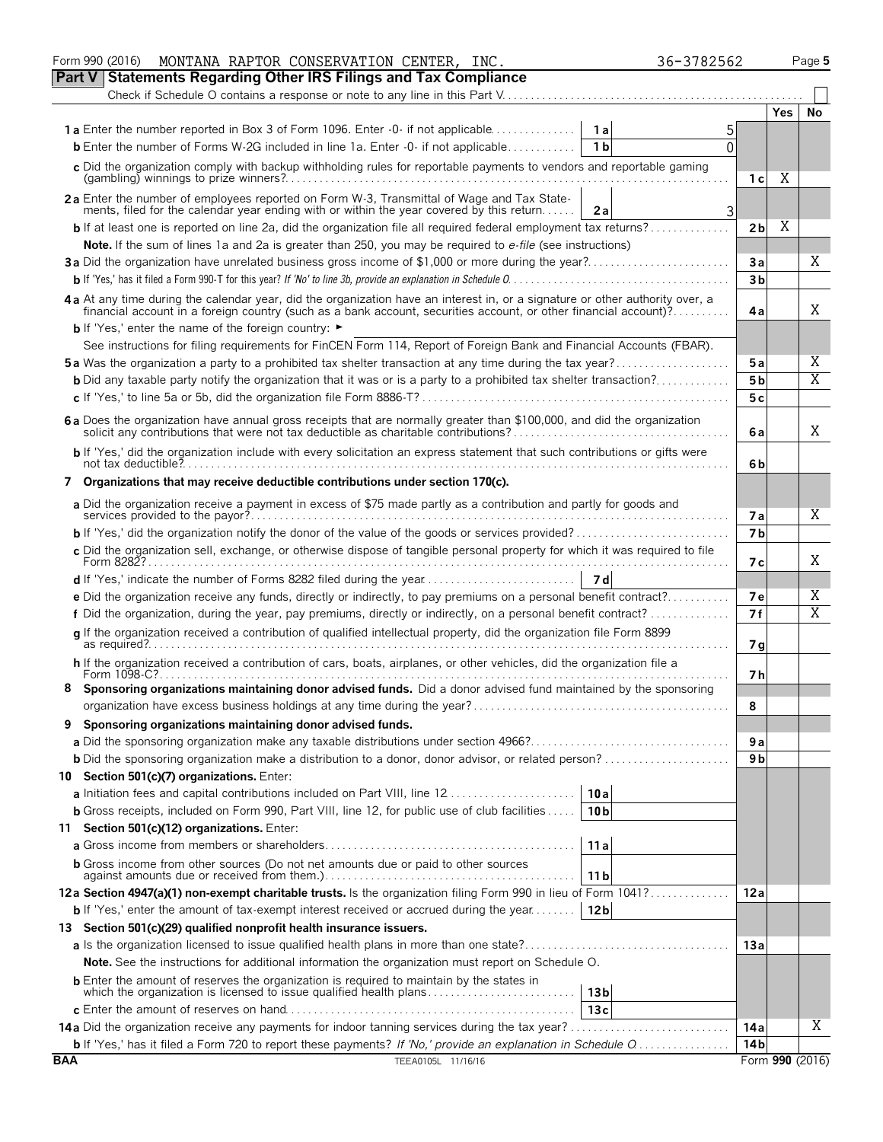|            | MONTANA RAPTOR CONSERVATION CENTER, INC.<br>36-3782562<br>Form 990 (2016)                                                                                                                                                                        |                 |            | Page 5          |
|------------|--------------------------------------------------------------------------------------------------------------------------------------------------------------------------------------------------------------------------------------------------|-----------------|------------|-----------------|
| Part V     | <b>Statements Regarding Other IRS Filings and Tax Compliance</b>                                                                                                                                                                                 |                 |            |                 |
|            | Check if Schedule O contains a response or note to any line in this Part V                                                                                                                                                                       |                 |            |                 |
|            |                                                                                                                                                                                                                                                  |                 | <b>Yes</b> | No              |
|            | <b>1a</b> Enter the number reported in Box 3 of Form 1096. Enter -0- if not applicable<br>- 1 al<br>5                                                                                                                                            |                 |            |                 |
|            | <b>b</b> Enter the number of Forms W-2G included in line 1a. Enter $-0$ - if not applicable<br>1 <sub>b</sub><br>$\Omega$                                                                                                                        |                 |            |                 |
|            | c Did the organization comply with backup withholding rules for reportable payments to vendors and reportable gaming                                                                                                                             | 1 с             | Χ          |                 |
|            | 2a Enter the number of employees reported on Form W-3, Transmittal of Wage and Tax State-                                                                                                                                                        |                 |            |                 |
|            | ments, filed for the calendar year ending with or within the year covered by this return<br>2a<br>3                                                                                                                                              |                 |            |                 |
|            | <b>b</b> If at least one is reported on line 2a, did the organization file all required federal employment tax returns?                                                                                                                          | 2 <sub>b</sub>  | Χ          |                 |
|            | Note. If the sum of lines 1a and 2a is greater than 250, you may be required to e-file (see instructions)                                                                                                                                        |                 |            |                 |
|            | 3a Did the organization have unrelated business gross income of \$1,000 or more during the year?                                                                                                                                                 | Зa              |            | Χ               |
|            |                                                                                                                                                                                                                                                  | 3 <sub>b</sub>  |            |                 |
|            | 4a At any time during the calendar year, did the organization have an interest in, or a signature or other authority over, a<br>financial account in a foreign country (such as a bank account, securities account, or other financial account)? | 4a              |            | Χ               |
|            | <b>b</b> If 'Yes,' enter the name of the foreign country: ►                                                                                                                                                                                      |                 |            |                 |
|            | See instructions for filing requirements for FinCEN Form 114, Report of Foreign Bank and Financial Accounts (FBAR).                                                                                                                              |                 |            |                 |
|            | <b>5a</b> Was the organization a party to a prohibited tax shelter transaction at any time during the tax year?                                                                                                                                  | 5 a             |            | Χ               |
|            | <b>b</b> Did any taxable party notify the organization that it was or is a party to a prohibited tax shelter transaction?                                                                                                                        | 5 <sub>b</sub>  |            | $\overline{X}$  |
|            |                                                                                                                                                                                                                                                  | 5с              |            |                 |
|            | 6 a Does the organization have annual gross receipts that are normally greater than \$100,000, and did the organization solicit any contributions that were not tax deductible as charitable contributions?                                      | 6 a             |            | Χ               |
|            | b If 'Yes,' did the organization include with every solicitation an express statement that such contributions or gifts were                                                                                                                      |                 |            |                 |
| 7          | Organizations that may receive deductible contributions under section 170(c).                                                                                                                                                                    | 6b              |            |                 |
|            | a Did the organization receive a payment in excess of \$75 made partly as a contribution and partly for goods and                                                                                                                                | 7а              |            | X               |
|            | <b>b</b> If 'Yes,' did the organization notify the donor of the value of the goods or services provided?                                                                                                                                         | 7 <sub>b</sub>  |            |                 |
|            | c Did the organization sell, exchange, or otherwise dispose of tangible personal property for which it was required to file                                                                                                                      |                 |            | Χ               |
|            |                                                                                                                                                                                                                                                  | 7 с             |            |                 |
|            | e Did the organization receive any funds, directly or indirectly, to pay premiums on a personal benefit contract?                                                                                                                                | 7е              |            | Χ               |
|            | f Did the organization, during the year, pay premiums, directly or indirectly, on a personal benefit contract?                                                                                                                                   | 7f              |            | Χ               |
|            |                                                                                                                                                                                                                                                  |                 |            |                 |
|            | q If the organization received a contribution of qualified intellectual property, did the organization file Form 8899                                                                                                                            | 7g              |            |                 |
|            | h If the organization received a contribution of cars, boats, airplanes, or other vehicles, did the organization file a<br>Form 1098-C?                                                                                                          | 7 h             |            |                 |
|            | Sponsoring organizations maintaining donor advised funds. Did a donor advised fund maintained by the sponsoring                                                                                                                                  |                 |            |                 |
|            |                                                                                                                                                                                                                                                  | 8               |            |                 |
| 9          | Sponsoring organizations maintaining donor advised funds.                                                                                                                                                                                        |                 |            |                 |
|            |                                                                                                                                                                                                                                                  | 9 a             |            |                 |
|            |                                                                                                                                                                                                                                                  | 9 b             |            |                 |
|            | 10 Section 501(c)(7) organizations. Enter:                                                                                                                                                                                                       |                 |            |                 |
|            | 10a                                                                                                                                                                                                                                              |                 |            |                 |
|            | <b>b</b> Gross receipts, included on Form 990, Part VIII, line 12, for public use of club facilities $\dots$ .<br>10 <sub>b</sub>                                                                                                                |                 |            |                 |
|            | 11 Section 501(c)(12) organizations. Enter:                                                                                                                                                                                                      |                 |            |                 |
|            | 11a                                                                                                                                                                                                                                              |                 |            |                 |
|            | <b>b</b> Gross income from other sources (Do not net amounts due or paid to other sources<br>11 <sub>b</sub>                                                                                                                                     |                 |            |                 |
|            | 12a Section 4947(a)(1) non-exempt charitable trusts. Is the organization filing Form 990 in lieu of Form 1041?                                                                                                                                   | 12a             |            |                 |
|            | 12 <sub>b</sub><br><b>b</b> If 'Yes,' enter the amount of tax-exempt interest received or accrued during the year $\dots \dots$                                                                                                                  |                 |            |                 |
|            | 13 Section 501(c)(29) qualified nonprofit health insurance issuers.                                                                                                                                                                              |                 |            |                 |
|            |                                                                                                                                                                                                                                                  | 13a             |            |                 |
|            | <b>Note.</b> See the instructions for additional information the organization must report on Schedule O.                                                                                                                                         |                 |            |                 |
|            | <b>b</b> Enter the amount of reserves the organization is required to maintain by the states in                                                                                                                                                  |                 |            |                 |
|            | which the organization is licensed to issue qualified health plans<br>13 <sub>b</sub>                                                                                                                                                            |                 |            |                 |
|            | 13с                                                                                                                                                                                                                                              |                 |            |                 |
|            | <b>14a</b> Did the organization receive any payments for indoor tanning services during the tax year?                                                                                                                                            | 14a             |            | Χ               |
|            |                                                                                                                                                                                                                                                  | 14 <sub>b</sub> |            |                 |
| <b>BAA</b> | TEEA0105L 11/16/16                                                                                                                                                                                                                               |                 |            | Form 990 (2016) |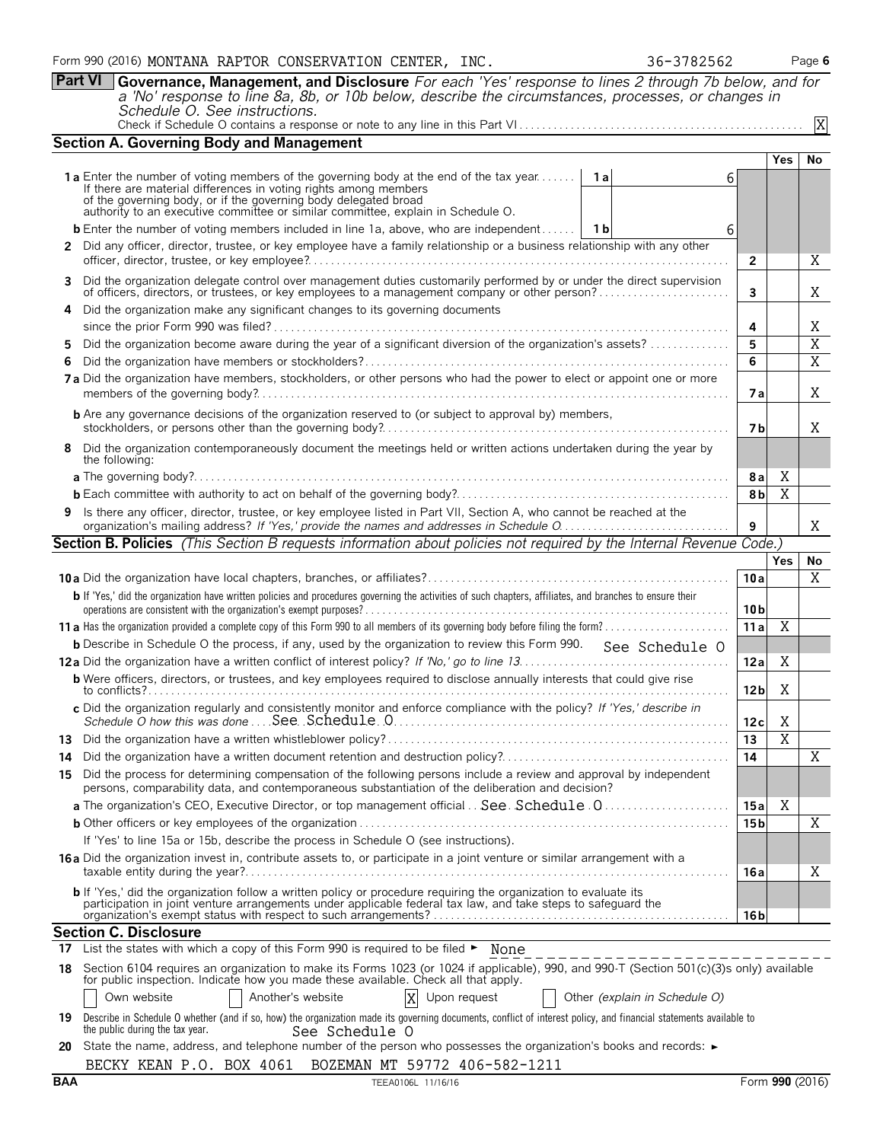**Part VI Governance, Management, and Disclosure** *For each 'Yes' response to lines 2 through 7b below, and for a 'No' response to line 8a, 8b, or 10b below, describe the circumstances, processes, or changes in Schedule O. See instructions.*

|--|--|

|    | <b>Section A. Governing Body and Management</b>                                                                                                                                                                                                                                                                                   |                 |                         |                |
|----|-----------------------------------------------------------------------------------------------------------------------------------------------------------------------------------------------------------------------------------------------------------------------------------------------------------------------------------|-----------------|-------------------------|----------------|
|    |                                                                                                                                                                                                                                                                                                                                   |                 | Yes                     | No             |
|    | 1a Enter the number of voting members of the governing body at the end of the tax year<br>− 1 a l<br>6<br>If there are material differences in voting rights among members<br>of the governing body, or if the governing body delegated broad<br>authority to an executive committee or similar committee, explain in Schedule O. |                 |                         |                |
|    | <b>b</b> Enter the number of voting members included in line 1a, above, who are independent   1b<br>6                                                                                                                                                                                                                             |                 |                         |                |
|    | 2 Did any officer, director, trustee, or key employee have a family relationship or a business relationship with any other                                                                                                                                                                                                        |                 |                         |                |
|    |                                                                                                                                                                                                                                                                                                                                   | $\mathbf{2}$    |                         | X              |
| 3  | Did the organization delegate control over management duties customarily performed by or under the direct supervision<br>of officers, directors, or trustees, or key employees to a management company or other person?                                                                                                           | 3               |                         | Χ              |
|    | 4 Did the organization make any significant changes to its governing documents                                                                                                                                                                                                                                                    |                 |                         |                |
|    |                                                                                                                                                                                                                                                                                                                                   | 4               |                         | Χ              |
| 5. | Did the organization become aware during the year of a significant diversion of the organization's assets?                                                                                                                                                                                                                        | 5               |                         | $\overline{X}$ |
|    |                                                                                                                                                                                                                                                                                                                                   | 6               |                         | $\overline{X}$ |
|    | 7a Did the organization have members, stockholders, or other persons who had the power to elect or appoint one or more                                                                                                                                                                                                            | 7 a             |                         | X              |
|    | <b>b</b> Are any governance decisions of the organization reserved to (or subject to approval by) members,                                                                                                                                                                                                                        | 7 <sub>b</sub>  |                         | X              |
| 8  | Did the organization contemporaneously document the meetings held or written actions undertaken during the year by<br>the following:                                                                                                                                                                                              |                 |                         |                |
|    |                                                                                                                                                                                                                                                                                                                                   | 8al             | X                       |                |
|    |                                                                                                                                                                                                                                                                                                                                   | 8 <sub>b</sub>  | X                       |                |
|    | 9 Is there any officer, director, trustee, or key employee listed in Part VII, Section A, who cannot be reached at the                                                                                                                                                                                                            | 9               |                         | X              |
|    | Section B. Policies (This Section B requests information about policies not required by the Internal Revenue Code.)                                                                                                                                                                                                               |                 |                         |                |
|    |                                                                                                                                                                                                                                                                                                                                   |                 | <b>Yes</b>              | No             |
|    |                                                                                                                                                                                                                                                                                                                                   | 10a             |                         | X              |
|    | b If 'Yes,' did the organization have written policies and procedures governing the activities of such chapters, affiliates, and branches to ensure their                                                                                                                                                                         | 10 <sub>b</sub> |                         |                |
|    |                                                                                                                                                                                                                                                                                                                                   | 11a             | $\overline{\mathrm{X}}$ |                |
|    | <b>b</b> Describe in Schedule O the process, if any, used by the organization to review this Form 990. See Schedule O                                                                                                                                                                                                             |                 |                         |                |
|    |                                                                                                                                                                                                                                                                                                                                   | 12a             | X                       |                |
|    | <b>b</b> Were officers, directors, or trustees, and key employees required to disclose annually interests that could give rise                                                                                                                                                                                                    | 12 <sub>b</sub> | Χ                       |                |
|    | c Did the organization regularly and consistently monitor and enforce compliance with the policy? If 'Yes,' describe in                                                                                                                                                                                                           | 12c             | X                       |                |
|    |                                                                                                                                                                                                                                                                                                                                   | 13              | $\overline{\text{X}}$   |                |
|    |                                                                                                                                                                                                                                                                                                                                   | 14              |                         | X              |
|    | 15 Did the process for determining compensation of the following persons include a review and approval by independent<br>persons, comparability data, and contemporaneous substantiation of the deliberation and decision?                                                                                                        |                 |                         |                |
|    | a The organization's CEO, Executive Director, or top management official . See Schedule 0                                                                                                                                                                                                                                         | 15a             | X                       |                |
|    |                                                                                                                                                                                                                                                                                                                                   | 15 <sub>b</sub> |                         | X              |
|    | If 'Yes' to line 15a or 15b, describe the process in Schedule O (see instructions).                                                                                                                                                                                                                                               |                 |                         |                |
|    | 16a Did the organization invest in, contribute assets to, or participate in a joint venture or similar arrangement with a                                                                                                                                                                                                         | 16a             |                         | X              |
|    | b If 'Yes,' did the organization follow a written policy or procedure requiring the organization to evaluate its                                                                                                                                                                                                                  |                 |                         |                |
|    | participation in joint venture arrangements under applicable federal tax law, and take steps to safeguard the                                                                                                                                                                                                                     | 16 b            |                         |                |
|    | <b>Section C. Disclosure</b>                                                                                                                                                                                                                                                                                                      |                 |                         |                |
|    | 17 List the states with which a copy of this Form 990 is required to be filed ► None<br>----------------------                                                                                                                                                                                                                    |                 |                         |                |
|    | 18 Section 6104 requires an organization to make its Forms 1023 (or 1024 if applicable), 990, and 990-T (Section 501(c)(3)s only) available<br>for public inspection. Indicate how you made these available. Check all that apply.                                                                                                |                 |                         |                |
|    | Another's website<br>X Upon request<br>Own website<br>Other (explain in Schedule O)                                                                                                                                                                                                                                               |                 |                         |                |
|    | 19 Describe in Schedule O whether (and if so, how) the organization made its governing documents, conflict of interest policy, and financial statements available to                                                                                                                                                              |                 |                         |                |

**20** State the name, address, and telephone number of the person who possesses the organization's books and records: ► BECKY KEAN P.O. BOX 4061 BOZEMAN MT 59772 406-582-1211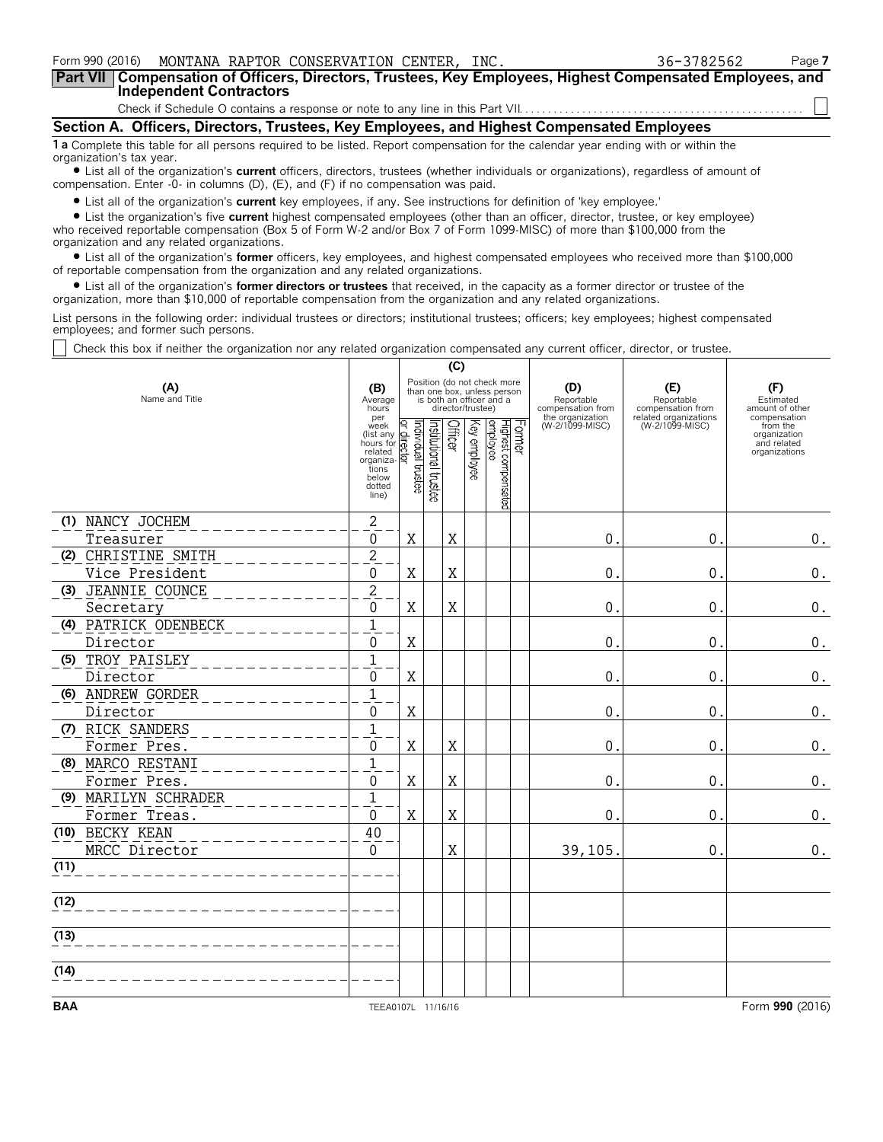| Form 990 (2016) MONTANA RAPTOR CONSERVATION CENTER, INC.                                                                                                              | 36-3782562 | Page 7 |
|-----------------------------------------------------------------------------------------------------------------------------------------------------------------------|------------|--------|
| <b>Part VII</b><br>Compensation of Officers, Directors, Trustees, Key Employees, Highest Compensated Employees, and<br><b>Independent Contractors</b>                 |            |        |
|                                                                                                                                                                       |            |        |
| Section A. Officers, Directors, Trustees, Key Employees, and Highest Compensated Employees                                                                            |            |        |
| <b>1 a</b> Complete this table for all persons required to be listed. Report compensation for the calendar year ending with or within the<br>organization's tax year. |            |        |
| I ist all of the organization's current officers, directors, trustees (whether individuals or organizations), regardless of amount of                                 |            |        |

? List all of the organization's **current** officers, directors, trustees (whether individuals or organizations), regardless of amount of compensation. Enter -0- in columns (D), (E), and (F) if no compensation was paid.

? List all of the organization's **current** key employees, if any. See instructions for definition of 'key employee.'

? List the organization's five **current** highest compensated employees (other than an officer, director, trustee, or key employee) who received reportable compensation (Box 5 of Form W-2 and/or Box 7 of Form 1099-MISC) of more than \$100,000 from the organization and any related organizations.

? List all of the organization's **former** officers, key employees, and highest compensated employees who received more than \$100,000 of reportable compensation from the organization and any related organizations.

? List all of the organization's **former directors or trustees** that received, in the capacity as a former director or trustee of the organization, more than \$10,000 of reportable compensation from the organization and any related organizations.

List persons in the following order: individual trustees or directors; institutional trustees; officers; key employees; highest compensated employees; and former such persons.

Check this box if neither the organization nor any related organization compensated any current officer, director, or trustee.

| Position (do not check more<br>(A)<br>(D)<br>(B)<br>(E)<br>(F)<br>than one box, unless person<br>Name and Title<br>is both an officer and a<br>Reportable<br>Average<br>Reportable<br>Estimated<br>hours<br>director/trustee)<br>compensation from<br>compensation from<br>amount of other<br>the organization<br>related organizations<br>compensation<br>per<br>Highest compensated<br>employee<br>Former<br>Institutional trustee<br>Officer<br>(W-2/1099-MISC)<br>(W-2/1099-MISC)<br>from the<br>week<br>ndividual trustee<br>Key employee<br>organization<br>(list any<br>direct<br>hours for<br>and related<br>related<br>organizations<br>হ<br>organiza-<br>tions<br>below<br>dotted<br>line)<br>$\sqrt{2}$<br>(1) NANCY JOCHEM<br>X<br>X<br>Treasurer<br>0<br>0<br>0.<br>$\Omega$<br>$\overline{2}$<br>(2) CHRISTINE SMITH<br>Vice President<br>$\mathbf X$<br>X<br>$\Omega$<br>$0$ .<br>0<br>$\Omega$<br>$\overline{c}$<br>(3) JEANNIE COUNCE<br>$\mathbf X$<br>X<br>$\Omega$<br>$\overline{0}$<br>$\mathbf 0$<br>$0$ .<br>Secretary<br>$\mathbf{1}$<br>(4) PATRICK ODENBECK<br>Χ<br>0<br>0<br>0<br>0.<br>Director<br>$\mathbf{1}$<br>(5) TROY PAISLEY<br>$\mathbf{0}$<br>X<br>Director<br>0<br>0<br>0.<br>$\overline{1}$<br>(6) ANDREW GORDER<br>$\mathbf{0}$<br>X<br>$0$ .<br>Director<br>0<br>0<br>$\mathbf{1}$<br>(7) RICK SANDERS<br>X<br>X<br>Former Pres.<br>$\Omega$<br>0<br>$\mathbf 0$<br>$\boldsymbol{0}$ .<br>$\mathbf{1}$<br>(8) MARCO RESTANI<br>X<br>X<br>Former Pres.<br>0<br>0<br>0<br>0.<br>$\overline{1}$<br>(9) MARILYN SCHRADER<br>X<br>$\Omega$<br>X<br>$\boldsymbol{0}$ .<br>Former Treas.<br>0<br>0<br>(10) BECKY KEAN<br>40<br>$\overline{0}$<br>X<br>MRCC Director<br>39,105<br>$\mathbf 0$<br>$0$ .<br>(11)<br>(12)<br>(13)<br>(14)<br>Form 990 (2016)<br><b>BAA</b><br>TEEA0107L 11/16/16 |  |  |  | (C) |  |  |  |  |
|--------------------------------------------------------------------------------------------------------------------------------------------------------------------------------------------------------------------------------------------------------------------------------------------------------------------------------------------------------------------------------------------------------------------------------------------------------------------------------------------------------------------------------------------------------------------------------------------------------------------------------------------------------------------------------------------------------------------------------------------------------------------------------------------------------------------------------------------------------------------------------------------------------------------------------------------------------------------------------------------------------------------------------------------------------------------------------------------------------------------------------------------------------------------------------------------------------------------------------------------------------------------------------------------------------------------------------------------------------------------------------------------------------------------------------------------------------------------------------------------------------------------------------------------------------------------------------------------------------------------------------------------------------------------------------------------------------------------------------------------------------------------------------------------------------------------------------|--|--|--|-----|--|--|--|--|
|                                                                                                                                                                                                                                                                                                                                                                                                                                                                                                                                                                                                                                                                                                                                                                                                                                                                                                                                                                                                                                                                                                                                                                                                                                                                                                                                                                                                                                                                                                                                                                                                                                                                                                                                                                                                                                |  |  |  |     |  |  |  |  |
|                                                                                                                                                                                                                                                                                                                                                                                                                                                                                                                                                                                                                                                                                                                                                                                                                                                                                                                                                                                                                                                                                                                                                                                                                                                                                                                                                                                                                                                                                                                                                                                                                                                                                                                                                                                                                                |  |  |  |     |  |  |  |  |
|                                                                                                                                                                                                                                                                                                                                                                                                                                                                                                                                                                                                                                                                                                                                                                                                                                                                                                                                                                                                                                                                                                                                                                                                                                                                                                                                                                                                                                                                                                                                                                                                                                                                                                                                                                                                                                |  |  |  |     |  |  |  |  |
|                                                                                                                                                                                                                                                                                                                                                                                                                                                                                                                                                                                                                                                                                                                                                                                                                                                                                                                                                                                                                                                                                                                                                                                                                                                                                                                                                                                                                                                                                                                                                                                                                                                                                                                                                                                                                                |  |  |  |     |  |  |  |  |
|                                                                                                                                                                                                                                                                                                                                                                                                                                                                                                                                                                                                                                                                                                                                                                                                                                                                                                                                                                                                                                                                                                                                                                                                                                                                                                                                                                                                                                                                                                                                                                                                                                                                                                                                                                                                                                |  |  |  |     |  |  |  |  |
|                                                                                                                                                                                                                                                                                                                                                                                                                                                                                                                                                                                                                                                                                                                                                                                                                                                                                                                                                                                                                                                                                                                                                                                                                                                                                                                                                                                                                                                                                                                                                                                                                                                                                                                                                                                                                                |  |  |  |     |  |  |  |  |
|                                                                                                                                                                                                                                                                                                                                                                                                                                                                                                                                                                                                                                                                                                                                                                                                                                                                                                                                                                                                                                                                                                                                                                                                                                                                                                                                                                                                                                                                                                                                                                                                                                                                                                                                                                                                                                |  |  |  |     |  |  |  |  |
|                                                                                                                                                                                                                                                                                                                                                                                                                                                                                                                                                                                                                                                                                                                                                                                                                                                                                                                                                                                                                                                                                                                                                                                                                                                                                                                                                                                                                                                                                                                                                                                                                                                                                                                                                                                                                                |  |  |  |     |  |  |  |  |
|                                                                                                                                                                                                                                                                                                                                                                                                                                                                                                                                                                                                                                                                                                                                                                                                                                                                                                                                                                                                                                                                                                                                                                                                                                                                                                                                                                                                                                                                                                                                                                                                                                                                                                                                                                                                                                |  |  |  |     |  |  |  |  |
|                                                                                                                                                                                                                                                                                                                                                                                                                                                                                                                                                                                                                                                                                                                                                                                                                                                                                                                                                                                                                                                                                                                                                                                                                                                                                                                                                                                                                                                                                                                                                                                                                                                                                                                                                                                                                                |  |  |  |     |  |  |  |  |
|                                                                                                                                                                                                                                                                                                                                                                                                                                                                                                                                                                                                                                                                                                                                                                                                                                                                                                                                                                                                                                                                                                                                                                                                                                                                                                                                                                                                                                                                                                                                                                                                                                                                                                                                                                                                                                |  |  |  |     |  |  |  |  |
|                                                                                                                                                                                                                                                                                                                                                                                                                                                                                                                                                                                                                                                                                                                                                                                                                                                                                                                                                                                                                                                                                                                                                                                                                                                                                                                                                                                                                                                                                                                                                                                                                                                                                                                                                                                                                                |  |  |  |     |  |  |  |  |
|                                                                                                                                                                                                                                                                                                                                                                                                                                                                                                                                                                                                                                                                                                                                                                                                                                                                                                                                                                                                                                                                                                                                                                                                                                                                                                                                                                                                                                                                                                                                                                                                                                                                                                                                                                                                                                |  |  |  |     |  |  |  |  |
|                                                                                                                                                                                                                                                                                                                                                                                                                                                                                                                                                                                                                                                                                                                                                                                                                                                                                                                                                                                                                                                                                                                                                                                                                                                                                                                                                                                                                                                                                                                                                                                                                                                                                                                                                                                                                                |  |  |  |     |  |  |  |  |
|                                                                                                                                                                                                                                                                                                                                                                                                                                                                                                                                                                                                                                                                                                                                                                                                                                                                                                                                                                                                                                                                                                                                                                                                                                                                                                                                                                                                                                                                                                                                                                                                                                                                                                                                                                                                                                |  |  |  |     |  |  |  |  |
|                                                                                                                                                                                                                                                                                                                                                                                                                                                                                                                                                                                                                                                                                                                                                                                                                                                                                                                                                                                                                                                                                                                                                                                                                                                                                                                                                                                                                                                                                                                                                                                                                                                                                                                                                                                                                                |  |  |  |     |  |  |  |  |
|                                                                                                                                                                                                                                                                                                                                                                                                                                                                                                                                                                                                                                                                                                                                                                                                                                                                                                                                                                                                                                                                                                                                                                                                                                                                                                                                                                                                                                                                                                                                                                                                                                                                                                                                                                                                                                |  |  |  |     |  |  |  |  |
|                                                                                                                                                                                                                                                                                                                                                                                                                                                                                                                                                                                                                                                                                                                                                                                                                                                                                                                                                                                                                                                                                                                                                                                                                                                                                                                                                                                                                                                                                                                                                                                                                                                                                                                                                                                                                                |  |  |  |     |  |  |  |  |
|                                                                                                                                                                                                                                                                                                                                                                                                                                                                                                                                                                                                                                                                                                                                                                                                                                                                                                                                                                                                                                                                                                                                                                                                                                                                                                                                                                                                                                                                                                                                                                                                                                                                                                                                                                                                                                |  |  |  |     |  |  |  |  |
|                                                                                                                                                                                                                                                                                                                                                                                                                                                                                                                                                                                                                                                                                                                                                                                                                                                                                                                                                                                                                                                                                                                                                                                                                                                                                                                                                                                                                                                                                                                                                                                                                                                                                                                                                                                                                                |  |  |  |     |  |  |  |  |
|                                                                                                                                                                                                                                                                                                                                                                                                                                                                                                                                                                                                                                                                                                                                                                                                                                                                                                                                                                                                                                                                                                                                                                                                                                                                                                                                                                                                                                                                                                                                                                                                                                                                                                                                                                                                                                |  |  |  |     |  |  |  |  |
|                                                                                                                                                                                                                                                                                                                                                                                                                                                                                                                                                                                                                                                                                                                                                                                                                                                                                                                                                                                                                                                                                                                                                                                                                                                                                                                                                                                                                                                                                                                                                                                                                                                                                                                                                                                                                                |  |  |  |     |  |  |  |  |
|                                                                                                                                                                                                                                                                                                                                                                                                                                                                                                                                                                                                                                                                                                                                                                                                                                                                                                                                                                                                                                                                                                                                                                                                                                                                                                                                                                                                                                                                                                                                                                                                                                                                                                                                                                                                                                |  |  |  |     |  |  |  |  |
|                                                                                                                                                                                                                                                                                                                                                                                                                                                                                                                                                                                                                                                                                                                                                                                                                                                                                                                                                                                                                                                                                                                                                                                                                                                                                                                                                                                                                                                                                                                                                                                                                                                                                                                                                                                                                                |  |  |  |     |  |  |  |  |
|                                                                                                                                                                                                                                                                                                                                                                                                                                                                                                                                                                                                                                                                                                                                                                                                                                                                                                                                                                                                                                                                                                                                                                                                                                                                                                                                                                                                                                                                                                                                                                                                                                                                                                                                                                                                                                |  |  |  |     |  |  |  |  |
|                                                                                                                                                                                                                                                                                                                                                                                                                                                                                                                                                                                                                                                                                                                                                                                                                                                                                                                                                                                                                                                                                                                                                                                                                                                                                                                                                                                                                                                                                                                                                                                                                                                                                                                                                                                                                                |  |  |  |     |  |  |  |  |
|                                                                                                                                                                                                                                                                                                                                                                                                                                                                                                                                                                                                                                                                                                                                                                                                                                                                                                                                                                                                                                                                                                                                                                                                                                                                                                                                                                                                                                                                                                                                                                                                                                                                                                                                                                                                                                |  |  |  |     |  |  |  |  |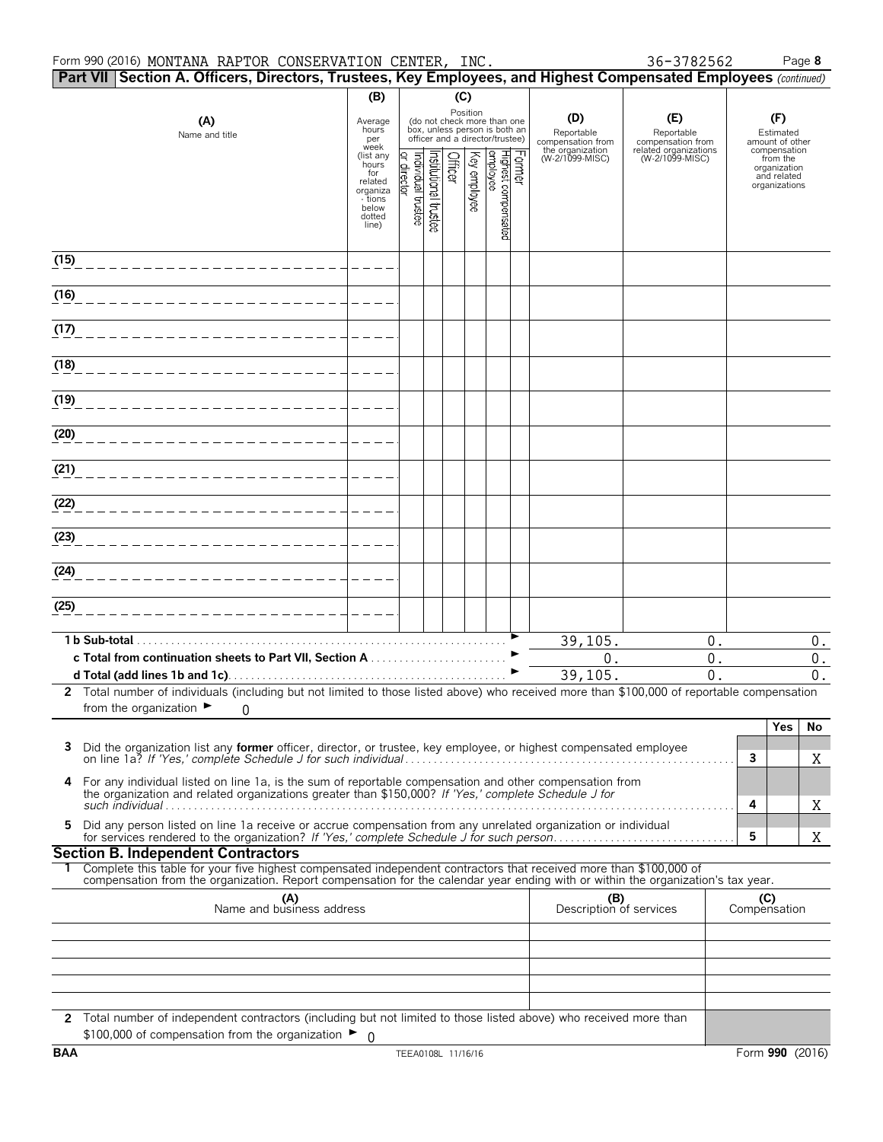#### Form 990 (2016) Page **8** MONTANA RAPTOR CONSERVATION CENTER, INC. 36-3782562

|      | Part VII   Section A. Officers, Directors, Trustees, Key Employees, and Highest Compensated Employees (continued)                                                                                               |                                 |                    |                      |              |                                                                                                             |                                                            |                                                                 |                                                     |           |
|------|-----------------------------------------------------------------------------------------------------------------------------------------------------------------------------------------------------------------|---------------------------------|--------------------|----------------------|--------------|-------------------------------------------------------------------------------------------------------------|------------------------------------------------------------|-----------------------------------------------------------------|-----------------------------------------------------|-----------|
|      |                                                                                                                                                                                                                 | (B)                             |                    |                      | (C)          |                                                                                                             |                                                            |                                                                 |                                                     |           |
|      | (A)<br>Name and title                                                                                                                                                                                           | Average<br>hours<br>per<br>week |                    |                      |              | Position<br>(do not check more than one<br>box, unless person is both an<br>officer and a director/trustee) | (D)<br>Reportable<br>compensation from<br>the organization | (E)<br>Reportable<br>compensation from<br>related organizations | (F)<br>Estimated<br>amount of other<br>compensation |           |
|      |                                                                                                                                                                                                                 | (list any<br>hours<br>for       | Individual trustee | Officer              | Key employee | Former<br>Highest compensated<br> employee                                                                  | (W-2/1099-MISC)                                            | (W-2/1099-MISC)                                                 | from the<br>organization                            |           |
|      |                                                                                                                                                                                                                 | related<br>organiza             | director           |                      |              |                                                                                                             |                                                            |                                                                 | and related<br>organizations                        |           |
|      |                                                                                                                                                                                                                 | - tions<br>below<br>dotted      |                    | nstitutional trustee |              |                                                                                                             |                                                            |                                                                 |                                                     |           |
|      |                                                                                                                                                                                                                 | line)                           |                    |                      |              |                                                                                                             |                                                            |                                                                 |                                                     |           |
| (15) |                                                                                                                                                                                                                 |                                 |                    |                      |              |                                                                                                             |                                                            |                                                                 |                                                     |           |
| (16) |                                                                                                                                                                                                                 |                                 |                    |                      |              |                                                                                                             |                                                            |                                                                 |                                                     |           |
| (17) |                                                                                                                                                                                                                 |                                 |                    |                      |              |                                                                                                             |                                                            |                                                                 |                                                     |           |
| (18) |                                                                                                                                                                                                                 |                                 |                    |                      |              |                                                                                                             |                                                            |                                                                 |                                                     |           |
| (19) |                                                                                                                                                                                                                 |                                 |                    |                      |              |                                                                                                             |                                                            |                                                                 |                                                     |           |
| (20) |                                                                                                                                                                                                                 |                                 |                    |                      |              |                                                                                                             |                                                            |                                                                 |                                                     |           |
| (21) |                                                                                                                                                                                                                 |                                 |                    |                      |              |                                                                                                             |                                                            |                                                                 |                                                     |           |
| (22) |                                                                                                                                                                                                                 |                                 |                    |                      |              |                                                                                                             |                                                            |                                                                 |                                                     |           |
| (23) |                                                                                                                                                                                                                 |                                 |                    |                      |              |                                                                                                             |                                                            |                                                                 |                                                     |           |
| (24) |                                                                                                                                                                                                                 |                                 |                    |                      |              |                                                                                                             |                                                            |                                                                 |                                                     |           |
| (25) |                                                                                                                                                                                                                 |                                 |                    |                      |              |                                                                                                             |                                                            |                                                                 |                                                     |           |
|      | 1 b Sub-total                                                                                                                                                                                                   |                                 |                    |                      |              |                                                                                                             | 39,105.                                                    | 0.                                                              |                                                     | $0$ .     |
|      |                                                                                                                                                                                                                 |                                 |                    |                      |              |                                                                                                             | 0.                                                         | $0$ .                                                           |                                                     | $0$ .     |
|      | 2 Total number of individuals (including but not limited to those listed above) who received more than \$100,000 of reportable compensation                                                                     |                                 |                    |                      |              |                                                                                                             | 39,105.                                                    | $\overline{0}$ .                                                |                                                     | $0$ .     |
|      | from the organization $\blacktriangleright$<br>0                                                                                                                                                                |                                 |                    |                      |              |                                                                                                             |                                                            |                                                                 |                                                     |           |
|      |                                                                                                                                                                                                                 |                                 |                    |                      |              |                                                                                                             |                                                            |                                                                 |                                                     | Yes<br>No |
| 3    | Did the organization list any former officer, director, or trustee, key employee, or highest compensated employee                                                                                               |                                 |                    |                      |              |                                                                                                             |                                                            |                                                                 | 3                                                   | X         |
| 4    | For any individual listed on line 1a, is the sum of reportable compensation and other compensation from<br>the organization and related organizations greater than \$150,000? If 'Yes,' complete Schedule J for |                                 |                    |                      |              |                                                                                                             |                                                            |                                                                 | 4                                                   | Χ         |
| 5    | Did any person listed on line 1a receive or accrue compensation from any unrelated organization or individual                                                                                                   |                                 |                    |                      |              |                                                                                                             |                                                            |                                                                 | 5                                                   | X         |
|      | <b>Section B. Independent Contractors</b><br>Complete this table for your five highest compensated independent contractors that received more than \$100,000 of                                                 |                                 |                    |                      |              |                                                                                                             |                                                            |                                                                 |                                                     |           |
|      | compensation from the organization. Report compensation for the calendar year ending with or within the organization's tax year.                                                                                |                                 |                    |                      |              |                                                                                                             |                                                            |                                                                 |                                                     |           |
|      | (A)<br>Name and business address                                                                                                                                                                                |                                 |                    |                      |              |                                                                                                             | (B)<br>Description of services                             |                                                                 | (C)<br>Compensation                                 |           |
|      |                                                                                                                                                                                                                 |                                 |                    |                      |              |                                                                                                             |                                                            |                                                                 |                                                     |           |
|      |                                                                                                                                                                                                                 |                                 |                    |                      |              |                                                                                                             |                                                            |                                                                 |                                                     |           |
|      |                                                                                                                                                                                                                 |                                 |                    |                      |              |                                                                                                             |                                                            |                                                                 |                                                     |           |
|      | 2 Total number of independent contractors (including but not limited to those listed above) who received more than<br>\$100,000 of compensation from the organization $\blacktriangleright$ 0                   |                                 |                    |                      |              |                                                                                                             |                                                            |                                                                 |                                                     |           |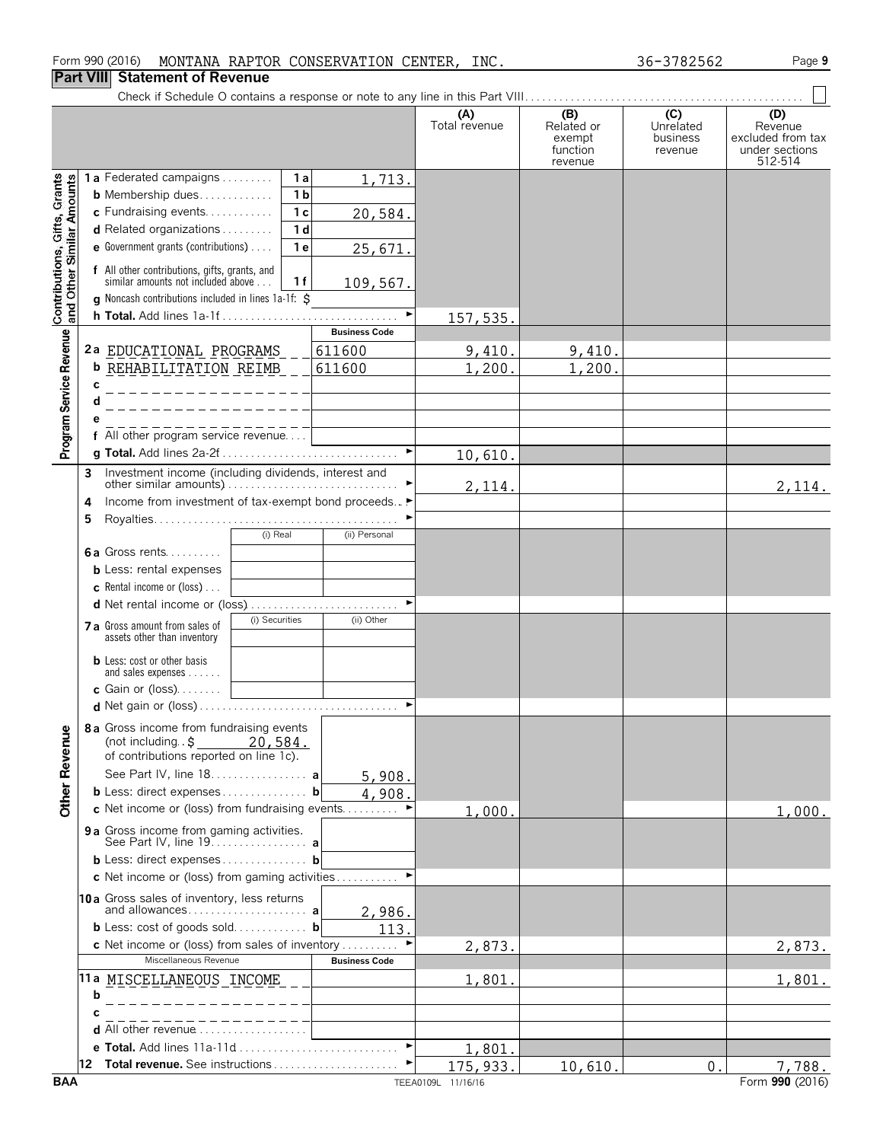## **Part VIII Statement of Revenue**

| <b>UIL VIII</b>                                           |    | יטוווטוונ טו ויט                                                                                                              |                                 |                                                    |                                         |                                                                  |
|-----------------------------------------------------------|----|-------------------------------------------------------------------------------------------------------------------------------|---------------------------------|----------------------------------------------------|-----------------------------------------|------------------------------------------------------------------|
|                                                           |    |                                                                                                                               | (A)<br>Total revenue            | (B)<br>Related or<br>exempt<br>function<br>revenue | (C)<br>Unrelated<br>business<br>revenue | (D)<br>Revenue<br>excluded from tax<br>under sections<br>512-514 |
|                                                           |    | 1a Federated campaigns<br>1 a<br>1,713.                                                                                       |                                 |                                                    |                                         |                                                                  |
| Contributions, Gifts, Grants<br>and Other Similar Amounts |    | <b>b</b> Membership dues<br>1 <sub>b</sub>                                                                                    |                                 |                                                    |                                         |                                                                  |
|                                                           |    | c Fundraising events<br>1 <sub>c</sub><br>20,584.<br><b>d</b> Related organizations<br>1 <sub>d</sub>                         |                                 |                                                    |                                         |                                                                  |
|                                                           |    | <b>e</b> Government grants (contributions) $\ldots$<br>1 <sub>e</sub><br>25,671.                                              |                                 |                                                    |                                         |                                                                  |
|                                                           |    |                                                                                                                               |                                 |                                                    |                                         |                                                                  |
|                                                           |    | f All other contributions, gifts, grants, and<br>similar amounts not included above<br>1f<br>109,567.                         |                                 |                                                    |                                         |                                                                  |
|                                                           |    | g Noncash contributions included in lines 1a-1f: \$                                                                           |                                 |                                                    |                                         |                                                                  |
|                                                           |    | ▶                                                                                                                             | 157,535.                        |                                                    |                                         |                                                                  |
|                                                           |    | <b>Business Code</b>                                                                                                          |                                 |                                                    |                                         |                                                                  |
|                                                           |    | 2a EDUCATIONAL PROGRAMS<br>611600<br><b>b REHABILITATION REIMB</b><br>611600                                                  | 9,410.<br>1,200.                | 9,410.<br>1,200.                                   |                                         |                                                                  |
|                                                           | С  | _______________                                                                                                               |                                 |                                                    |                                         |                                                                  |
|                                                           | d  |                                                                                                                               |                                 |                                                    |                                         |                                                                  |
|                                                           | е  |                                                                                                                               |                                 |                                                    |                                         |                                                                  |
| Program Service Revenue                                   |    | f All other program service revenue<br>$\blacktriangleright$                                                                  |                                 |                                                    |                                         |                                                                  |
|                                                           |    |                                                                                                                               | 10,610.                         |                                                    |                                         |                                                                  |
|                                                           | 3  | Investment income (including dividends, interest and                                                                          | 2,114.                          |                                                    |                                         | 2,114.                                                           |
|                                                           | 4  | Income from investment of tax-exempt bond proceeds ▶                                                                          |                                 |                                                    |                                         |                                                                  |
|                                                           | 5  |                                                                                                                               |                                 |                                                    |                                         |                                                                  |
|                                                           |    | (i) Real<br>(ii) Personal<br><b>6a</b> Gross rents                                                                            |                                 |                                                    |                                         |                                                                  |
|                                                           |    | <b>b</b> Less: rental expenses                                                                                                |                                 |                                                    |                                         |                                                                  |
|                                                           |    | <b>c</b> Rental income or (loss) $\ldots$                                                                                     |                                 |                                                    |                                         |                                                                  |
|                                                           |    | $\blacktriangleright$                                                                                                         |                                 |                                                    |                                         |                                                                  |
|                                                           |    | (i) Securities<br>(ii) Other<br>7 a Gross amount from sales of                                                                |                                 |                                                    |                                         |                                                                  |
|                                                           |    | assets other than inventory                                                                                                   |                                 |                                                    |                                         |                                                                  |
|                                                           |    | <b>b</b> Less: cost or other basis<br>and sales expenses                                                                      |                                 |                                                    |                                         |                                                                  |
|                                                           |    | c Gain or $(loss)$                                                                                                            |                                 |                                                    |                                         |                                                                  |
|                                                           |    |                                                                                                                               |                                 |                                                    |                                         |                                                                  |
| <b>Other Revenue</b>                                      |    | 8 a Gross income from fundraising events<br>(not including. $\sim$ \$<br>$20,584$ .<br>of contributions reported on line 1c). |                                 |                                                    |                                         |                                                                  |
|                                                           |    | See Part IV, line 18. a<br>5,908.                                                                                             |                                 |                                                    |                                         |                                                                  |
|                                                           |    | <b>b</b> Less: direct expenses <b>b</b><br>4,908.                                                                             |                                 |                                                    |                                         |                                                                  |
|                                                           |    | c Net income or (loss) from fundraising events                                                                                | 1,000.                          |                                                    |                                         | 1,000.                                                           |
|                                                           |    | 9 a Gross income from gaming activities.                                                                                      |                                 |                                                    |                                         |                                                                  |
|                                                           |    | b Less: direct expenses b                                                                                                     |                                 |                                                    |                                         |                                                                  |
|                                                           |    | c Net income or (loss) from gaming activities                                                                                 |                                 |                                                    |                                         |                                                                  |
|                                                           |    | 10a Gross sales of inventory, less returns                                                                                    |                                 |                                                    |                                         |                                                                  |
|                                                           |    | 2,986.                                                                                                                        |                                 |                                                    |                                         |                                                                  |
|                                                           |    | <b>b</b> Less: cost of goods sold <b>b</b><br>113                                                                             |                                 |                                                    |                                         |                                                                  |
|                                                           |    | <b>c</b> Net income or (loss) from sales of inventory<br>Miscellaneous Revenue                                                | 2,873.                          |                                                    |                                         | 2,873.                                                           |
|                                                           |    | <b>Business Code</b><br>11a MISCELLANEOUS INCOME                                                                              | 1,801                           |                                                    |                                         | 1,801.                                                           |
|                                                           | b  |                                                                                                                               |                                 |                                                    |                                         |                                                                  |
|                                                           |    |                                                                                                                               |                                 |                                                    |                                         |                                                                  |
|                                                           |    | <b>d</b> All other revenue $\ldots \ldots \ldots \ldots \ldots$                                                               |                                 |                                                    |                                         |                                                                  |
|                                                           |    | e Total. Add lines 11a-11d<br>$\blacktriangleright$                                                                           | 1,801.                          |                                                    |                                         |                                                                  |
| <b>BAA</b>                                                | 12 |                                                                                                                               | 175, 933.<br>TEEA0109L 11/16/16 | 10,610.                                            | $\theta$ .                              | 7,788.<br>Form 990 (2016)                                        |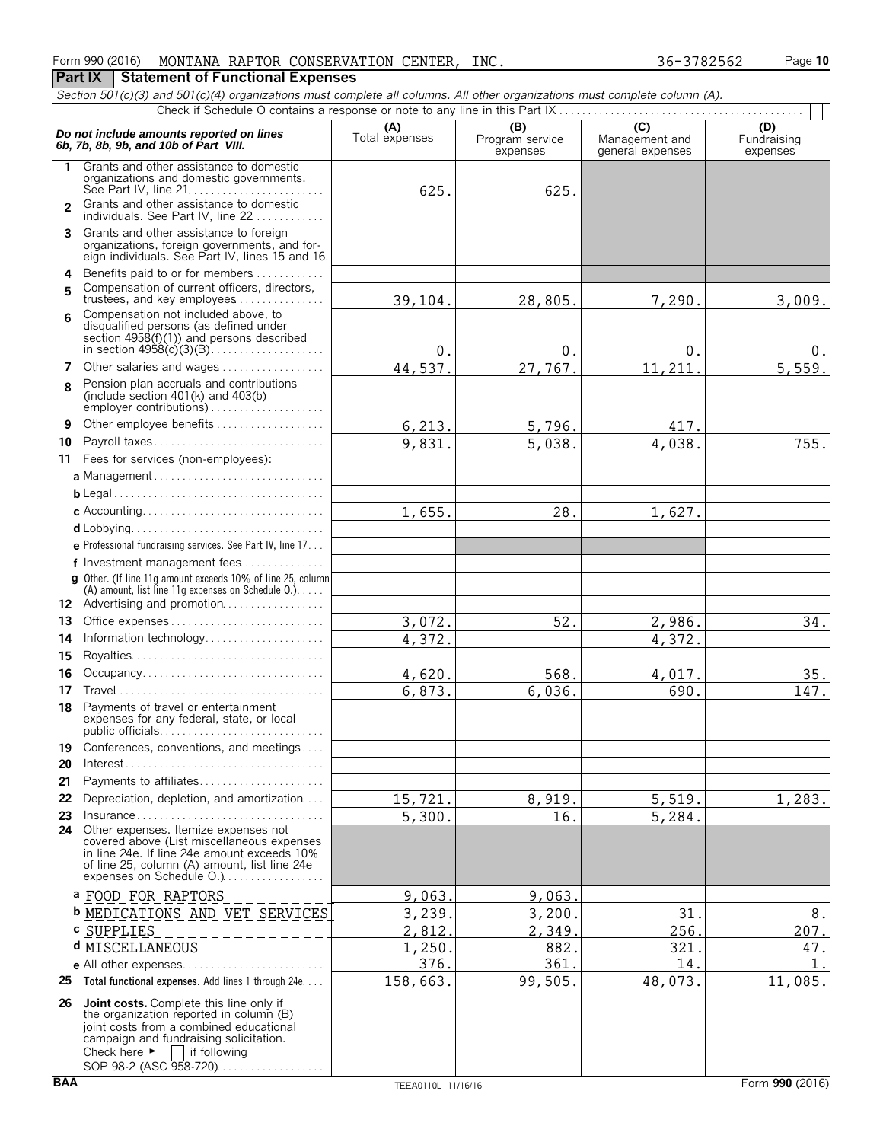|  |  | Form 990 (2016) MONTANA RAPTOR CONSERVATION CENTER, INC. |  | 36-3782562 |
|--|--|----------------------------------------------------------|--|------------|
|  |  | <b>Part IX   Statement of Functional Expenses</b>        |  |            |

|                | Section 501(c)(3) and 501(c)(4) organizations must complete all columns. All other organizations must complete column (A).                                                                                                                                      |                       |                                    |                                                      |                                |
|----------------|-----------------------------------------------------------------------------------------------------------------------------------------------------------------------------------------------------------------------------------------------------------------|-----------------------|------------------------------------|------------------------------------------------------|--------------------------------|
|                | Do not include amounts reported on lines<br>6b, 7b, 8b, 9b, and 10b of Part VIII.                                                                                                                                                                               | (A)<br>Total expenses | (B)<br>Program service<br>expenses | $\overline{C}$<br>Management and<br>general expenses | (D)<br>Fundraising<br>expenses |
| 1.             | Grants and other assistance to domestic<br>organizations and domestic governments.                                                                                                                                                                              | 625.                  | 625.                               |                                                      |                                |
| $\overline{2}$ | Grants and other assistance to domestic<br>individuals. See Part IV, line 22                                                                                                                                                                                    |                       |                                    |                                                      |                                |
| 3              | Grants and other assistance to foreign<br>organizations, foreign governments, and for-<br>eign individuals. See Part IV, lines 15 and 16.                                                                                                                       |                       |                                    |                                                      |                                |
| 4              | Benefits paid to or for members                                                                                                                                                                                                                                 |                       |                                    |                                                      |                                |
| 5              | Compensation of current officers, directors,<br>trustees, and key employees                                                                                                                                                                                     | 39,104.               | 28,805.                            | 7,290.                                               | 3,009.                         |
| 6              | Compensation not included above, to<br>disqualified persons (as defined under<br>section 4958(f)(1)) and persons described                                                                                                                                      | 0.                    | 0.                                 | 0                                                    |                                |
| 7              | Other salaries and wages                                                                                                                                                                                                                                        | 44,537.               | 27,767.                            | 11,211                                               | 5,559.                         |
| R              | Pension plan accruals and contributions<br>(include section $401(k)$ and $403(b)$<br>employer contributions)                                                                                                                                                    |                       |                                    |                                                      |                                |
| 9              | Other employee benefits                                                                                                                                                                                                                                         | 6,213.                | 5,796.                             | 417.                                                 |                                |
| 10             | Payroll taxes                                                                                                                                                                                                                                                   | 9,831.                | 5,038.                             | 4,038.                                               | 755.                           |
| 11             | Fees for services (non-employees):                                                                                                                                                                                                                              |                       |                                    |                                                      |                                |
|                | a Management                                                                                                                                                                                                                                                    |                       |                                    |                                                      |                                |
|                |                                                                                                                                                                                                                                                                 |                       |                                    |                                                      |                                |
|                |                                                                                                                                                                                                                                                                 | 1,655.                | 28.                                | 1,627.                                               |                                |
|                |                                                                                                                                                                                                                                                                 |                       |                                    |                                                      |                                |
|                | <b>e</b> Professional fundraising services. See Part IV, line 17                                                                                                                                                                                                |                       |                                    |                                                      |                                |
|                | f Investment management fees<br>g Other. (If line 11g amount exceeds 10% of line 25, column<br>(A) amount, list line 11g expenses on Schedule O.).<br>12 Advertising and promotion                                                                              |                       |                                    |                                                      |                                |
| 13             | Office expenses                                                                                                                                                                                                                                                 | 3,072.                | 52.                                | 2,986.                                               | 34.                            |
| 14             | Information technology                                                                                                                                                                                                                                          | 4,372.                |                                    | 4,372.                                               |                                |
| 15             |                                                                                                                                                                                                                                                                 |                       |                                    |                                                      |                                |
| 16             | Occupancy                                                                                                                                                                                                                                                       | 4,620.                | 568.                               | 4,017.                                               | 35.                            |
| 17             |                                                                                                                                                                                                                                                                 | 6,873.                | 6,036.                             | 690.                                                 | 147.                           |
| 18             | Payments of travel or entertainment<br>expenses for any federal, state, or local<br>public officials                                                                                                                                                            |                       |                                    |                                                      |                                |
| 19             | Conferences, conventions, and meetings                                                                                                                                                                                                                          |                       |                                    |                                                      |                                |
| 20             |                                                                                                                                                                                                                                                                 |                       |                                    |                                                      |                                |
| 21             | Payments to affiliates                                                                                                                                                                                                                                          |                       |                                    |                                                      |                                |
| 22             | Depreciation, depletion, and amortization                                                                                                                                                                                                                       | 15,721.               | 8,919.                             | 5,519.                                               | 1,283.                         |
| 23<br>24       | $Insurance \ldots \ldots \ldots \ldots \ldots \ldots \ldots \ldots \ldots$<br>Other expenses. Itemize expenses not<br>covered above (List miscellaneous expenses<br>in line 24e. If line 24e amount exceeds 10%<br>of line 25, column (A) amount, list line 24e | 5,300.                | 16.                                | 5,284                                                |                                |
|                | expenses on Schedule O.)                                                                                                                                                                                                                                        |                       |                                    |                                                      |                                |
|                | a FOOD FOR RAPTORS                                                                                                                                                                                                                                              | 9,063                 | 9,063.                             |                                                      |                                |
|                | <b>b</b> MEDICATIONS AND VET SERVICES                                                                                                                                                                                                                           | 3,239                 | 3,200.                             | 31                                                   | 8.                             |
|                | c SUPPLIES                                                                                                                                                                                                                                                      | 2,812                 | 2,349                              | 256                                                  | 207.                           |
|                | d MISCELLANEOUS<br>e All other expenses                                                                                                                                                                                                                         | 1,250<br>376.         | 882<br>361                         | 321<br>14                                            | 47.<br>$1$ .                   |
| 25             | Total functional expenses. Add lines 1 through 24e                                                                                                                                                                                                              | 158,663.              | 99,505.                            | 48,073.                                              | 11,085.                        |
| 26             | Joint costs. Complete this line only if<br>the organization reported in column (B)<br>joint costs from a combined educational<br>campaign and fundraising solicitation.<br>Check here $\blacktriangleright$<br>if following                                     |                       |                                    |                                                      |                                |

SOP 98-2 (ASC 958-720). . . . . . . . . . . . . . . . .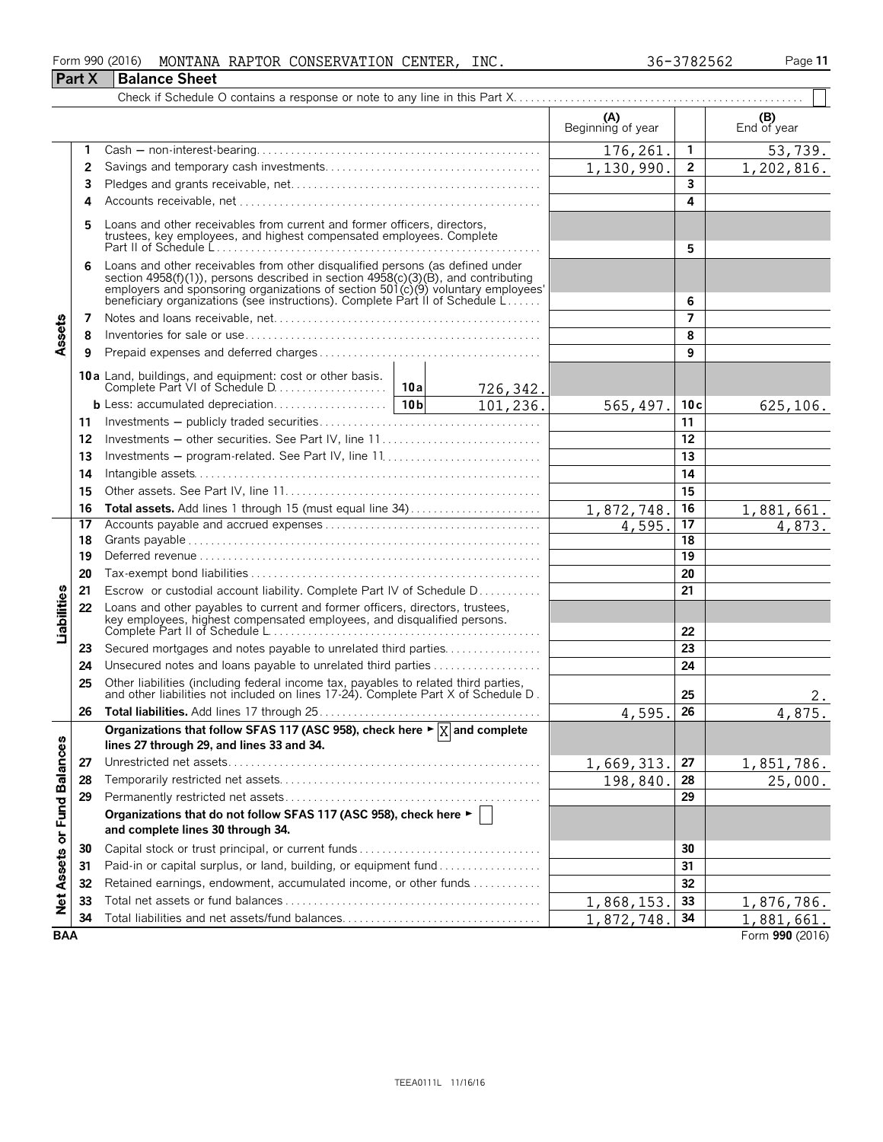#### Form 990 (2016) Page **11** MONTANA RAPTOR CONSERVATION CENTER, INC. 36-3782562 **Part X** Balance Sheet

|                             |    |                                                                                                                                                                                                                                                                                                                                        |            |          | (A)<br>Beginning of year |                         | (B)<br>End of year       |  |
|-----------------------------|----|----------------------------------------------------------------------------------------------------------------------------------------------------------------------------------------------------------------------------------------------------------------------------------------------------------------------------------------|------------|----------|--------------------------|-------------------------|--------------------------|--|
|                             | 1  |                                                                                                                                                                                                                                                                                                                                        |            |          | 176,261.                 | 1                       | 53,739.                  |  |
|                             | 2  |                                                                                                                                                                                                                                                                                                                                        |            |          | 1,130,990                | 2                       | $\overline{1,202,816}$ . |  |
|                             | 3  |                                                                                                                                                                                                                                                                                                                                        |            |          |                          | $\overline{\mathbf{3}}$ |                          |  |
|                             | 4  |                                                                                                                                                                                                                                                                                                                                        |            |          |                          | 4                       |                          |  |
|                             | 5  |                                                                                                                                                                                                                                                                                                                                        |            |          |                          |                         |                          |  |
|                             |    |                                                                                                                                                                                                                                                                                                                                        |            |          |                          | 5                       |                          |  |
|                             | 6  | Loans and other receivables from other disqualified persons (as defined under<br>section 4958(f)(1)), persons described in section 4958(c)(3)(B), and contributing<br>employers and sponsoring organizations of section 501(c)(9) voluntary employees'<br>beneficiary organizations (see instructions). Complete Part II of Schedule L |            |          | 6                        |                         |                          |  |
|                             | 7  |                                                                                                                                                                                                                                                                                                                                        |            |          |                          | $\overline{7}$          |                          |  |
| Assets                      | 8  |                                                                                                                                                                                                                                                                                                                                        |            |          |                          | 8                       |                          |  |
|                             | 9  |                                                                                                                                                                                                                                                                                                                                        |            |          |                          |                         |                          |  |
|                             |    |                                                                                                                                                                                                                                                                                                                                        |            | 726,342. |                          |                         |                          |  |
|                             |    |                                                                                                                                                                                                                                                                                                                                        |            | 101,236. | 565,497.                 | 10c                     | 625, 106.                |  |
|                             | 11 |                                                                                                                                                                                                                                                                                                                                        |            |          |                          | 11                      |                          |  |
|                             | 12 | Investments - other securities. See Part IV, line 11                                                                                                                                                                                                                                                                                   |            |          |                          | 12                      |                          |  |
|                             | 13 |                                                                                                                                                                                                                                                                                                                                        |            |          |                          | 13                      |                          |  |
|                             | 14 |                                                                                                                                                                                                                                                                                                                                        |            |          |                          | 14                      |                          |  |
|                             | 15 |                                                                                                                                                                                                                                                                                                                                        |            | 15       |                          |                         |                          |  |
|                             | 16 | Total assets. Add lines 1 through 15 (must equal line 34)                                                                                                                                                                                                                                                                              | 1,872,748. | 16       | 1,881,661.               |                         |                          |  |
|                             | 17 |                                                                                                                                                                                                                                                                                                                                        |            |          | 4,595.                   | 17                      | 4,873.                   |  |
|                             | 18 |                                                                                                                                                                                                                                                                                                                                        |            |          |                          | 18                      |                          |  |
|                             | 19 |                                                                                                                                                                                                                                                                                                                                        |            |          |                          | 19                      |                          |  |
|                             | 20 |                                                                                                                                                                                                                                                                                                                                        |            |          |                          | 20                      |                          |  |
|                             | 21 | Escrow or custodial account liability. Complete Part IV of Schedule D                                                                                                                                                                                                                                                                  |            |          |                          | 21                      |                          |  |
| Liabilities                 | 22 | Loans and other payables to current and former officers, directors, trustees,<br>key employees, highest compensated employees, and disqualified persons.                                                                                                                                                                               |            |          |                          | 22                      |                          |  |
|                             | 23 | Secured mortgages and notes payable to unrelated third parties                                                                                                                                                                                                                                                                         |            |          |                          | 23                      |                          |  |
|                             | 24 |                                                                                                                                                                                                                                                                                                                                        |            |          |                          | 24                      |                          |  |
|                             | 25 | Other liabilities (including federal income tax, payables to related third parties, and other liabilities not included on lines 17-24). Complete Part X of Schedule D.                                                                                                                                                                 |            |          |                          | 25                      | 2.                       |  |
|                             | 26 |                                                                                                                                                                                                                                                                                                                                        |            |          | 4,595.                   | 26                      | 4,875.                   |  |
|                             |    | Organizations that follow SFAS 117 (ASC 958), check here $\blacktriangleright \boxed{X}$ and complete<br>lines 27 through 29, and lines 33 and 34.                                                                                                                                                                                     |            |          |                          |                         |                          |  |
|                             | 27 |                                                                                                                                                                                                                                                                                                                                        |            |          | 1,669,313.               | 27                      | 1,851,786.               |  |
|                             | 28 |                                                                                                                                                                                                                                                                                                                                        |            |          | 198,840                  | 28                      | 25,000.                  |  |
|                             | 29 |                                                                                                                                                                                                                                                                                                                                        |            |          |                          | 29                      |                          |  |
| Net Assets or Fund Balances |    | Organizations that do not follow SFAS 117 (ASC 958), check here ►    <br>and complete lines 30 through 34.                                                                                                                                                                                                                             |            |          |                          |                         |                          |  |
|                             | 30 | Capital stock or trust principal, or current funds                                                                                                                                                                                                                                                                                     |            | 30       |                          |                         |                          |  |
|                             | 31 | Paid-in or capital surplus, or land, building, or equipment fund                                                                                                                                                                                                                                                                       |            |          |                          | 31                      |                          |  |
|                             | 32 | Retained earnings, endowment, accumulated income, or other funds                                                                                                                                                                                                                                                                       |            |          |                          | 32                      |                          |  |
|                             | 33 |                                                                                                                                                                                                                                                                                                                                        |            |          | 1,868,153.               | 33                      | 1,876,786.               |  |
|                             | 34 |                                                                                                                                                                                                                                                                                                                                        |            |          | 1,872,748                | 34                      | 1,881,661.               |  |
| <b>BAA</b>                  |    |                                                                                                                                                                                                                                                                                                                                        |            |          |                          |                         | Form 990 (2016)          |  |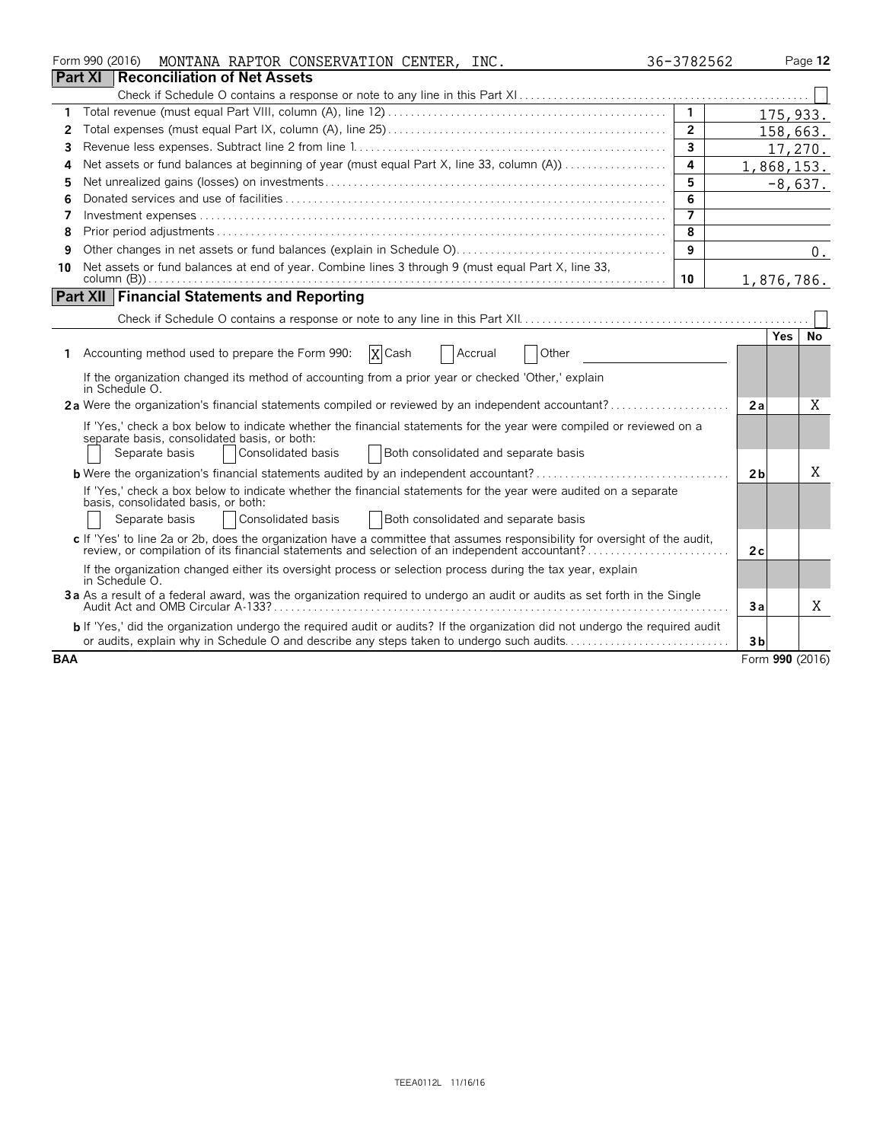|                | Form 990 (2016)<br>MONTANA RAPTOR CONSERVATION CENTER, INC.                                                                                                                                                                                          | 36-3782562              |                 | Page 12     |
|----------------|------------------------------------------------------------------------------------------------------------------------------------------------------------------------------------------------------------------------------------------------------|-------------------------|-----------------|-------------|
| <b>Part XI</b> | <b>Reconciliation of Net Assets</b>                                                                                                                                                                                                                  |                         |                 |             |
|                |                                                                                                                                                                                                                                                      |                         |                 |             |
| 1              |                                                                                                                                                                                                                                                      | $\mathbf{1}$            |                 | 175,933.    |
| 2              |                                                                                                                                                                                                                                                      | $\mathbf{2}$            |                 | 158,663.    |
| 3              |                                                                                                                                                                                                                                                      | $\overline{\mathbf{3}}$ |                 | 17,270.     |
| 4              | Net assets or fund balances at beginning of year (must equal Part X, line 33, column (A))                                                                                                                                                            | 4                       | 1,868,153.      |             |
| 5              |                                                                                                                                                                                                                                                      | 5                       |                 | $-8,637.$   |
| 6              |                                                                                                                                                                                                                                                      | $\overline{6}$          |                 |             |
| 7              |                                                                                                                                                                                                                                                      |                         |                 |             |
| 8              |                                                                                                                                                                                                                                                      | 8                       |                 |             |
| 9              |                                                                                                                                                                                                                                                      | 9                       |                 | $0_{\cdot}$ |
| 10             | Net assets or fund balances at end of year. Combine lines 3 through 9 (must equal Part X, line 33,                                                                                                                                                   | 10                      | 1,876,786.      |             |
|                | <b>Part XII Financial Statements and Reporting</b>                                                                                                                                                                                                   |                         |                 |             |
|                |                                                                                                                                                                                                                                                      |                         |                 |             |
|                |                                                                                                                                                                                                                                                      |                         | <b>Yes</b>      | No          |
|                | X Cash<br>Accounting method used to prepare the Form 990:<br>Accrual<br><b>Other</b><br>If the organization changed its method of accounting from a prior year or checked 'Other,' explain                                                           |                         |                 |             |
|                | in Schedule O.                                                                                                                                                                                                                                       |                         |                 |             |
|                | 2a Were the organization's financial statements compiled or reviewed by an independent accountant?                                                                                                                                                   |                         | 2a              | X           |
|                | If 'Yes,' check a box below to indicate whether the financial statements for the year were compiled or reviewed on a<br>separate basis, consolidated basis, or both:<br>Separate basis<br>Consolidated basis<br>Both consolidated and separate basis |                         |                 |             |
|                |                                                                                                                                                                                                                                                      |                         |                 |             |
|                | <b>b</b> Were the organization's financial statements audited by an independent accountant?                                                                                                                                                          |                         | 2 <sub>b</sub>  | X           |
|                | If 'Yes,' check a box below to indicate whether the financial statements for the year were audited on a separate<br>basis, consolidated basis, or both:<br>Consolidated basis<br>Separate basis<br>Both consolidated and separate basis              |                         |                 |             |
|                |                                                                                                                                                                                                                                                      |                         |                 |             |
|                | c If 'Yes' to line 2a or 2b, does the organization have a committee that assumes responsibility for oversight of the audit,<br>review, or compilation of its financial statements and selection of an independent accountant?                        |                         | 2c              |             |
|                | If the organization changed either its oversight process or selection process during the tax year, explain<br>in Schedule O.                                                                                                                         |                         |                 |             |
|                | 3a As a result of a federal award, was the organization required to undergo an audit or audits as set forth in the Single                                                                                                                            |                         | Зa              | X           |
|                | b If 'Yes,' did the organization undergo the required audit or audits? If the organization did not undergo the required audit                                                                                                                        |                         |                 |             |
|                | or audits, explain why in Schedule O and describe any steps taken to undergo such audits                                                                                                                                                             |                         | 3 <sub>b</sub>  |             |
| <b>BAA</b>     |                                                                                                                                                                                                                                                      |                         | Form 990 (2016) |             |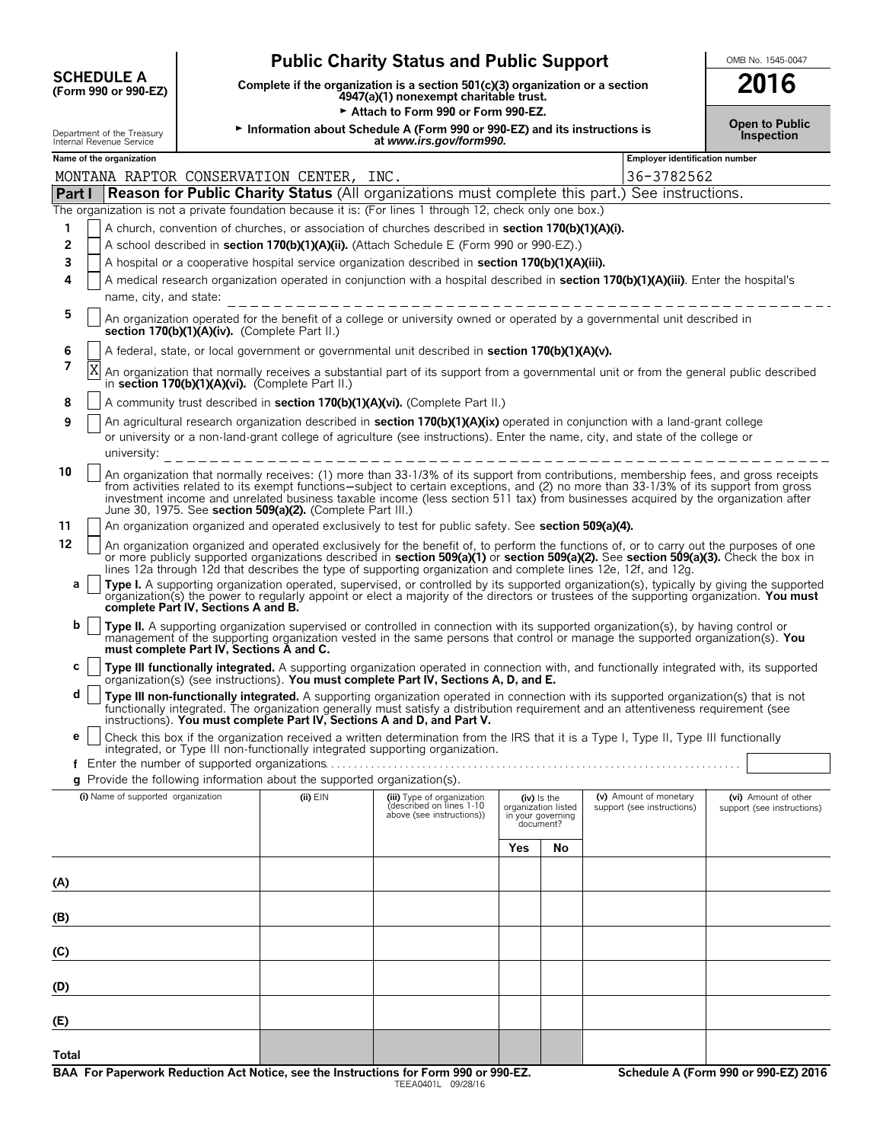# **SCHEDULE A**<br>(Form 990 or 990-EZ)

### **Public Charity Status and Public Support** <u> **COMB No. 1545-0047**</u>

**(Form 990 or 990-EZ) Complete if the organization is a section 501(c)(3) organization or a section 2016 4947(a)(1) nonexempt charitable trust.**

Attach to Form 990 or Form 990-EZ.

|  | $\sim$ |  |
|--|--------|--|
|  |        |  |

|                | Department of the Treasury<br>Internal Revenue Service                                                                                                                     |                                          | <b>Open to Public</b><br>Information about Schedule A (Form 990 or 990-EZ) and its instructions is<br><b>Inspection</b><br>at www.irs.gov/form990. |                                                                                                                                                                                                                                                                                                                                                                                                                    |                                                                        |    |                                                      |                                                    |  |
|----------------|----------------------------------------------------------------------------------------------------------------------------------------------------------------------------|------------------------------------------|----------------------------------------------------------------------------------------------------------------------------------------------------|--------------------------------------------------------------------------------------------------------------------------------------------------------------------------------------------------------------------------------------------------------------------------------------------------------------------------------------------------------------------------------------------------------------------|------------------------------------------------------------------------|----|------------------------------------------------------|----------------------------------------------------|--|
|                | Name of the organization                                                                                                                                                   |                                          |                                                                                                                                                    | <b>Employer identification number</b>                                                                                                                                                                                                                                                                                                                                                                              |                                                                        |    |                                                      |                                                    |  |
|                |                                                                                                                                                                            |                                          | MONTANA RAPTOR CONSERVATION CENTER, INC.                                                                                                           | 36-3782562                                                                                                                                                                                                                                                                                                                                                                                                         |                                                                        |    |                                                      |                                                    |  |
| Part I         |                                                                                                                                                                            |                                          |                                                                                                                                                    | <b>Reason for Public Charity Status</b> (All organizations must complete this part.) See instructions.                                                                                                                                                                                                                                                                                                             |                                                                        |    |                                                      |                                                    |  |
|                |                                                                                                                                                                            |                                          |                                                                                                                                                    | The organization is not a private foundation because it is: (For lines 1 through 12, check only one box.)                                                                                                                                                                                                                                                                                                          |                                                                        |    |                                                      |                                                    |  |
| 1              |                                                                                                                                                                            |                                          |                                                                                                                                                    | A church, convention of churches, or association of churches described in section 170(b)(1)(A)(i).                                                                                                                                                                                                                                                                                                                 |                                                                        |    |                                                      |                                                    |  |
| 2              |                                                                                                                                                                            |                                          |                                                                                                                                                    | A school described in section 170(b)(1)(A)(ii). (Attach Schedule E (Form 990 or 990-EZ).)                                                                                                                                                                                                                                                                                                                          |                                                                        |    |                                                      |                                                    |  |
| 3              |                                                                                                                                                                            |                                          |                                                                                                                                                    | A hospital or a cooperative hospital service organization described in section 170(b)(1)(A)(iii).                                                                                                                                                                                                                                                                                                                  |                                                                        |    |                                                      |                                                    |  |
| 4              |                                                                                                                                                                            |                                          |                                                                                                                                                    | A medical research organization operated in conjunction with a hospital described in section 170(b)(1)(A)(iii). Enter the hospital's                                                                                                                                                                                                                                                                               |                                                                        |    |                                                      |                                                    |  |
|                | name, city, and state:                                                                                                                                                     |                                          |                                                                                                                                                    |                                                                                                                                                                                                                                                                                                                                                                                                                    |                                                                        |    |                                                      |                                                    |  |
| 5              | An organization operated for the benefit of a college or university owned or operated by a governmental unit described in<br>section 170(b)(1)(A)(iv). (Complete Part II.) |                                          |                                                                                                                                                    |                                                                                                                                                                                                                                                                                                                                                                                                                    |                                                                        |    |                                                      |                                                    |  |
| 6              |                                                                                                                                                                            |                                          |                                                                                                                                                    | A federal, state, or local government or governmental unit described in <b>section 170(b)(1)(A)(v).</b>                                                                                                                                                                                                                                                                                                            |                                                                        |    |                                                      |                                                    |  |
| 7              | Χ                                                                                                                                                                          |                                          | in section 170(b)(1)(A)(vi). (Complete Part II.)                                                                                                   | An organization that normally receives a substantial part of its support from a governmental unit or from the general public described                                                                                                                                                                                                                                                                             |                                                                        |    |                                                      |                                                    |  |
| 8              |                                                                                                                                                                            |                                          |                                                                                                                                                    | A community trust described in section 170(b)(1)(A)(vi). (Complete Part II.)                                                                                                                                                                                                                                                                                                                                       |                                                                        |    |                                                      |                                                    |  |
| 9              |                                                                                                                                                                            |                                          |                                                                                                                                                    | An agricultural research organization described in section 170(b)(1)(A)(ix) operated in conjunction with a land-grant college<br>or university or a non-land-grant college of agriculture (see instructions). Enter the name, city, and state of the college or                                                                                                                                                    |                                                                        |    |                                                      |                                                    |  |
|                | university:                                                                                                                                                                |                                          |                                                                                                                                                    |                                                                                                                                                                                                                                                                                                                                                                                                                    |                                                                        |    |                                                      |                                                    |  |
| 10             |                                                                                                                                                                            |                                          | June 30, 1975. See section 509(a)(2). (Complete Part III.)                                                                                         | An organization that normally receives: (1) more than 33-1/3% of its support from contributions, membership fees, and gross receipts<br>from activities related to its exempt functions—subject to certain exceptions, and (2) no more than 33-1/3% of its support from gross<br>investment income and unrelated business taxable income (less section 511 tax) from businesses acquired by the organization after |                                                                        |    |                                                      |                                                    |  |
| 11             |                                                                                                                                                                            |                                          |                                                                                                                                                    | An organization organized and operated exclusively to test for public safety. See section 509(a)(4).                                                                                                                                                                                                                                                                                                               |                                                                        |    |                                                      |                                                    |  |
| 12             |                                                                                                                                                                            |                                          |                                                                                                                                                    | An organization organized and operated exclusively for the benefit of, to perform the functions of, or to carry out the purposes of one                                                                                                                                                                                                                                                                            |                                                                        |    |                                                      |                                                    |  |
|                |                                                                                                                                                                            |                                          |                                                                                                                                                    | or more publicly supported organizations described in section 509(a)(1) or section 509(a)(2). See section 509(a)(3). Check the box in<br>lines 12a through 12d that describes the type of supporting organization and complete lines 12e, 12f, and 12g.                                                                                                                                                            |                                                                        |    |                                                      |                                                    |  |
| а              |                                                                                                                                                                            | complete Part IV, Sections A and B.      |                                                                                                                                                    | Type I. A supporting organization operated, supervised, or controlled by its supported organization(s), typically by giving the supported<br>organization(s) the power to regularly appoint or elect a majority of the directors or trustees of the supporting organization. You must                                                                                                                              |                                                                        |    |                                                      |                                                    |  |
| b              |                                                                                                                                                                            |                                          |                                                                                                                                                    | Type II. A supporting organization supervised or controlled in connection with its supported organization(s), by having control or                                                                                                                                                                                                                                                                                 |                                                                        |    |                                                      |                                                    |  |
|                |                                                                                                                                                                            | must complete Part IV, Sections A and C. |                                                                                                                                                    | management of the supporting organization vested in the same persons that control or manage the supported organization(s). You                                                                                                                                                                                                                                                                                     |                                                                        |    |                                                      |                                                    |  |
| с              |                                                                                                                                                                            |                                          |                                                                                                                                                    | Type III functionally integrated. A supporting organization operated in connection with, and functionally integrated with, its supported<br>organization(s) (see instructions). You must complete Part IV, Sections A, D, and E.                                                                                                                                                                                   |                                                                        |    |                                                      |                                                    |  |
| d              |                                                                                                                                                                            |                                          |                                                                                                                                                    | Type III non-functionally integrated. A supporting organization operated in connection with its supported organization(s) that is not<br>functionally integrated. The organization generally must satisfy a distribution requirement and an attentiveness requirement (see<br>instructions). You must complete Part IV, Sections A and D, and Part V.                                                              |                                                                        |    |                                                      |                                                    |  |
| е              |                                                                                                                                                                            |                                          |                                                                                                                                                    | Check this box if the organization received a written determination from the IRS that it is a Type I, Type II, Type III functionally<br>integrated, or Type III non-functionally integrated supporting organization.                                                                                                                                                                                               |                                                                        |    |                                                      |                                                    |  |
|                |                                                                                                                                                                            |                                          |                                                                                                                                                    |                                                                                                                                                                                                                                                                                                                                                                                                                    |                                                                        |    |                                                      |                                                    |  |
|                |                                                                                                                                                                            |                                          | g Provide the following information about the supported organization(s).                                                                           |                                                                                                                                                                                                                                                                                                                                                                                                                    |                                                                        |    |                                                      |                                                    |  |
|                | (i) Name of supported organization                                                                                                                                         |                                          | $(ii)$ $EIN$                                                                                                                                       | (iii) Type of organization<br>described on lines 1-10<br>above (see instructions))                                                                                                                                                                                                                                                                                                                                 | $(iv)$ is the<br>organization listed<br>in your governing<br>document? |    | (v) Amount of monetary<br>support (see instructions) | (vi) Amount of other<br>support (see instructions) |  |
|                |                                                                                                                                                                            |                                          |                                                                                                                                                    |                                                                                                                                                                                                                                                                                                                                                                                                                    | Yes                                                                    | No |                                                      |                                                    |  |
| (A)            |                                                                                                                                                                            |                                          |                                                                                                                                                    |                                                                                                                                                                                                                                                                                                                                                                                                                    |                                                                        |    |                                                      |                                                    |  |
|                |                                                                                                                                                                            |                                          |                                                                                                                                                    |                                                                                                                                                                                                                                                                                                                                                                                                                    |                                                                        |    |                                                      |                                                    |  |
| (B)            |                                                                                                                                                                            |                                          |                                                                                                                                                    |                                                                                                                                                                                                                                                                                                                                                                                                                    |                                                                        |    |                                                      |                                                    |  |
| $\overline{c}$ |                                                                                                                                                                            |                                          |                                                                                                                                                    |                                                                                                                                                                                                                                                                                                                                                                                                                    |                                                                        |    |                                                      |                                                    |  |
|                |                                                                                                                                                                            |                                          |                                                                                                                                                    |                                                                                                                                                                                                                                                                                                                                                                                                                    |                                                                        |    |                                                      |                                                    |  |
| (D)            |                                                                                                                                                                            |                                          |                                                                                                                                                    |                                                                                                                                                                                                                                                                                                                                                                                                                    |                                                                        |    |                                                      |                                                    |  |
| (E)            |                                                                                                                                                                            |                                          |                                                                                                                                                    |                                                                                                                                                                                                                                                                                                                                                                                                                    |                                                                        |    |                                                      |                                                    |  |
|                |                                                                                                                                                                            |                                          |                                                                                                                                                    |                                                                                                                                                                                                                                                                                                                                                                                                                    |                                                                        |    |                                                      |                                                    |  |

**Total**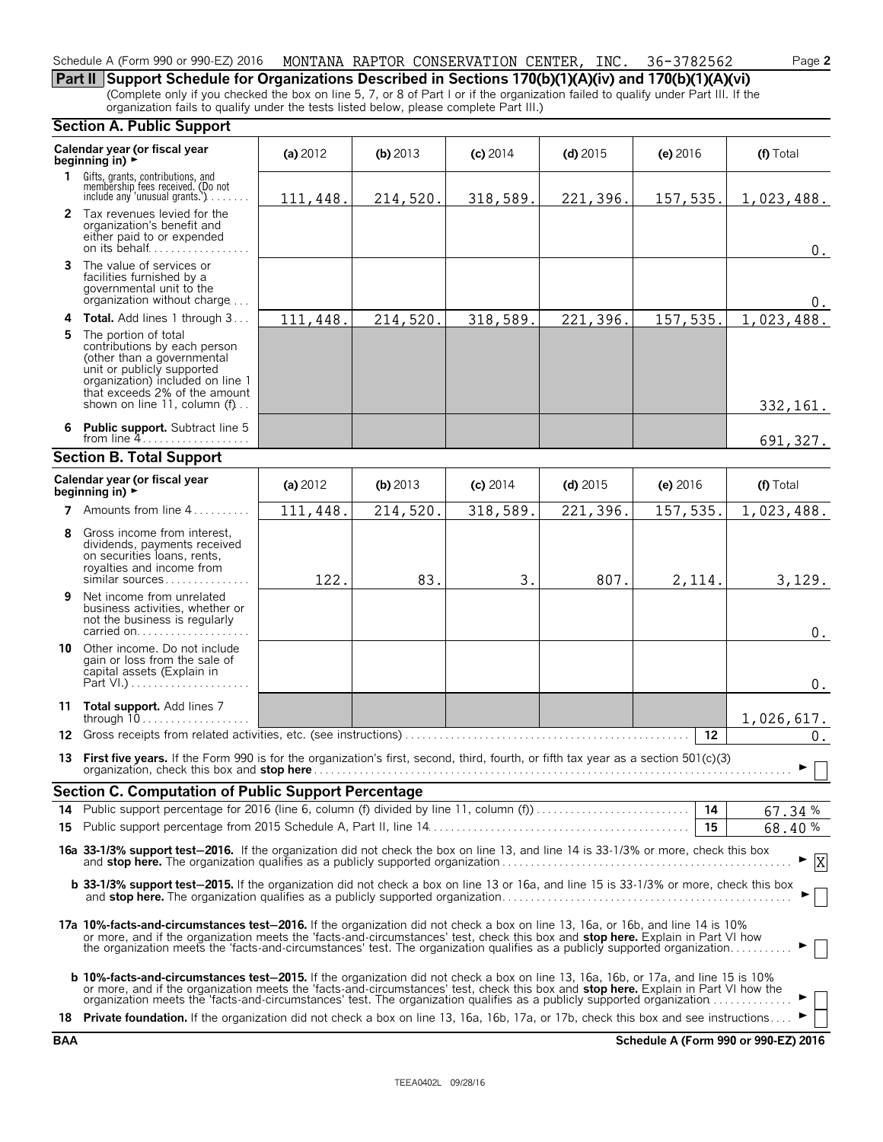#### Schedule A (Form 990 or 990-EZ) 2016 MONTANA RAPTOR CONSERVATION CENTER, INC. 36-3782562 Page **2**

**Part II Support Schedule for Organizations Described in Sections 170(b)(1)(A)(iv) and 170(b)(1)(A)(vi)** (Complete only if you checked the box on line 5, 7, or 8 of Part I or if the organization failed to qualify under Part III. If the organization fails to qualify under the tests listed below, please complete Part III.)

#### **Section A. Public Support**

|    | Calendar year (or fiscal year<br>beginning in) ►                                                                                                                                                                                                                                                                                                                                                                 | (a) $2012$ | $(b)$ 2013 | $(c)$ 2014 | $(d)$ 2015 | $(e)$ 2016 | (f) Total  |
|----|------------------------------------------------------------------------------------------------------------------------------------------------------------------------------------------------------------------------------------------------------------------------------------------------------------------------------------------------------------------------------------------------------------------|------------|------------|------------|------------|------------|------------|
|    | 1 Gifts, grants, contributions, and<br>membership fees received. (Do not<br>include any 'unusual grants.')                                                                                                                                                                                                                                                                                                       | 111,448.   | 214,520.   | 318,589.   | 221,396.   | 157,535.   | 1,023,488. |
|    | 2 Tax revenues levied for the<br>organization's benefit and<br>either paid to or expended<br>on its behalf                                                                                                                                                                                                                                                                                                       |            |            |            |            |            | $0$ .      |
|    | 3 The value of services or<br>facilities furnished by a<br>governmental unit to the<br>organization without charge                                                                                                                                                                                                                                                                                               |            |            |            |            |            | 0.         |
|    | <b>4 Total.</b> Add lines 1 through 3                                                                                                                                                                                                                                                                                                                                                                            | 111,448.   | 214,520.   | 318,589.   | 221,396.   | 157,535.   | 1,023,488. |
| 5. | The portion of total<br>contributions by each person<br>(other than a governmental<br>unit or publicly supported<br>organization) included on line 1<br>that exceeds 2% of the amount<br>shown on line 11, column (f)                                                                                                                                                                                            |            |            |            |            |            | 332,161.   |
|    | 6 Public support. Subtract line 5<br>from line $4$                                                                                                                                                                                                                                                                                                                                                               |            |            |            |            |            | 691,327.   |
|    | <b>Section B. Total Support</b>                                                                                                                                                                                                                                                                                                                                                                                  |            |            |            |            |            |            |
|    | Calendar year (or fiscal year<br>beginning in) $\rightarrow$                                                                                                                                                                                                                                                                                                                                                     | (a) $2012$ | (b) 2013   | $(c)$ 2014 | $(d)$ 2015 | $(e)$ 2016 | (f) Total  |
|    | <b>7</b> Amounts from line $4, \ldots, \ldots$                                                                                                                                                                                                                                                                                                                                                                   | 111,448.   | 214,520.   | 318,589.   | 221,396.   | 157,535.   | 1,023,488. |
| 8  | Gross income from interest,<br>dividends, payments received<br>on securities loans, rents,<br>royalties and income from<br>similar sources                                                                                                                                                                                                                                                                       | 122.       | 83.        | 3.         | 807.       | 2,114.     | 3,129.     |
| 9  | Net income from unrelated<br>business activities, whether or<br>not the business is regularly<br>carried on                                                                                                                                                                                                                                                                                                      |            |            |            |            |            | 0.         |
|    | 10 Other income. Do not include<br>gain or loss from the sale of<br>capital assets (Explain in                                                                                                                                                                                                                                                                                                                   |            |            |            |            |            | $0$ .      |
|    | 11 Total support. Add lines 7                                                                                                                                                                                                                                                                                                                                                                                    |            |            |            |            |            | 1,026,617. |
|    |                                                                                                                                                                                                                                                                                                                                                                                                                  |            |            |            |            | $12 \,$    | $0$ .      |
|    | 13 First five years. If the Form 990 is for the organization's first, second, third, fourth, or fifth tax year as a section 501(c)(3)                                                                                                                                                                                                                                                                            |            |            |            |            |            | ▶          |
|    | <b>Section C. Computation of Public Support Percentage</b>                                                                                                                                                                                                                                                                                                                                                       |            |            |            |            |            |            |
|    | 14 Public support percentage for 2016 (line 6, column (f) divided by line 11, column (f)                                                                                                                                                                                                                                                                                                                         |            |            |            |            | 14         | 67.34%     |
|    |                                                                                                                                                                                                                                                                                                                                                                                                                  |            |            |            |            | 15         | 68.40%     |
|    | 16a 33-1/3% support test-2016. If the organization did not check the box on line 13, and line 14 is 33-1/3% or more, check this box                                                                                                                                                                                                                                                                              |            |            |            |            |            | X          |
|    | b 33-1/3% support test-2015. If the organization did not check a box on line 13 or 16a, and line 15 is 33-1/3% or more, check this box                                                                                                                                                                                                                                                                           |            |            |            |            |            |            |
|    | 17a 10%-facts-and-circumstances test-2016. If the organization did not check a box on line 13, 16a, or 16b, and line 14 is 10%<br>or more, and if the organization meets the 'facts-and-circumstances' test, check this box and <b>stop here.</b> Explain in Part VI how<br>the organization meets the 'facts-and-circumstances' test. The organization qualifies as a publicly supported organization           |            |            |            |            |            |            |
|    | <b>b 10%-facts-and-circumstances test-2015.</b> If the organization did not check a box on line 13, 16a, 16b, or 17a, and line 15 is 10%<br>or more, and if the organization meets the 'facts-and-circumstances' test, check this box and <b>stop here.</b> Explain in Part VI how the<br>organization meets the 'facts-and-circumstances' test. The organization qualifies as a publicly supported organization |            |            |            |            |            |            |
|    | 18 Private foundation. If the organization did not check a box on line 13, 16a, 16b, 17a, or 17b, check this box and see instructions                                                                                                                                                                                                                                                                            |            |            |            |            |            |            |

**BAA Schedule A (Form 990 or 990-EZ) 2016**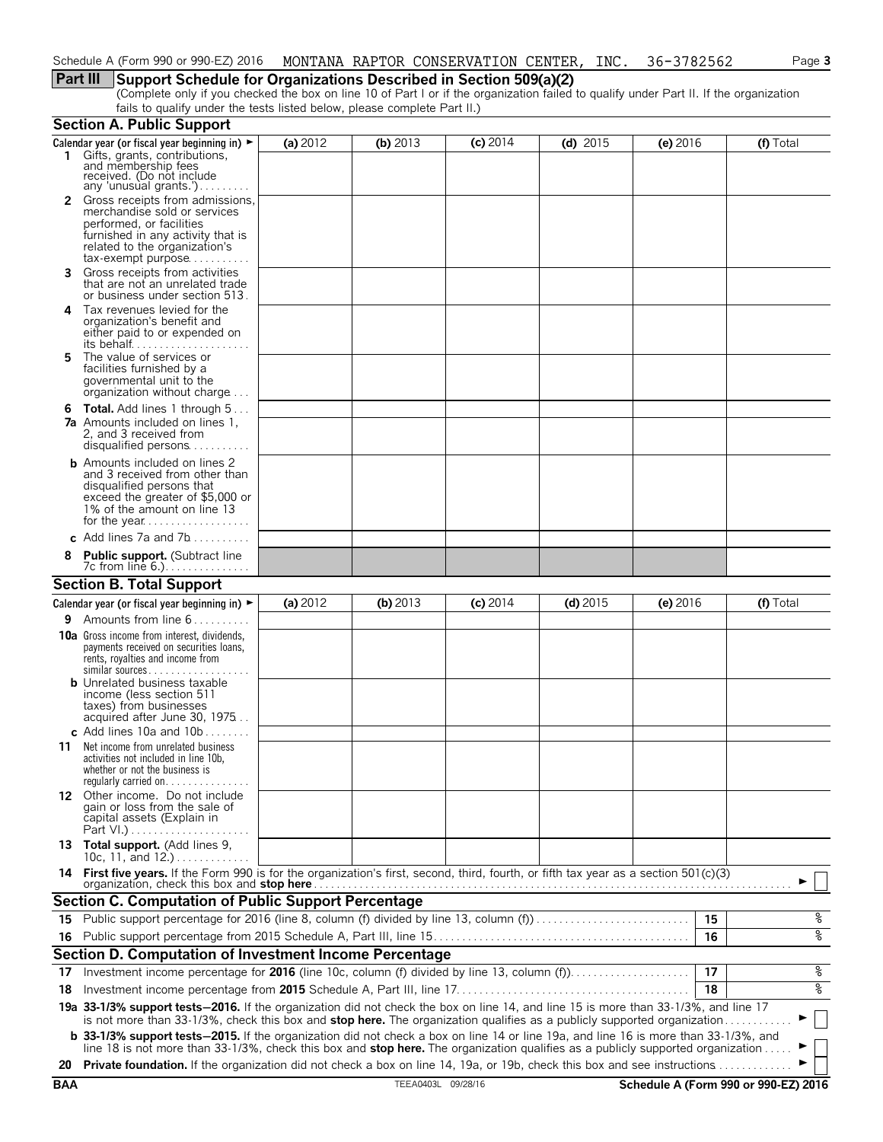#### **Part III Support Schedule for Organizations Described in Section 509(a)(2)**

(Complete only if you checked the box on line 10 of Part I or if the organization failed to qualify under Part II. If the organization fails to qualify under the tests listed below, please complete Part II.)

|     | <b>Section A. Public Support</b>                                                                                                                                                                                                                                                                                                                                        |            |            |            |            |            |           |
|-----|-------------------------------------------------------------------------------------------------------------------------------------------------------------------------------------------------------------------------------------------------------------------------------------------------------------------------------------------------------------------------|------------|------------|------------|------------|------------|-----------|
|     | Calendar year (or fiscal year beginning in) $\blacktriangleright$                                                                                                                                                                                                                                                                                                       | (a) 2012   | (b) $2013$ | $(c)$ 2014 | $(d)$ 2015 | $(e)$ 2016 | (f) Total |
|     | 1 Gifts, grants, contributions,<br>and membership fees<br>received. (Do not include                                                                                                                                                                                                                                                                                     |            |            |            |            |            |           |
|     | any 'unusual grants.')                                                                                                                                                                                                                                                                                                                                                  |            |            |            |            |            |           |
|     | 2 Gross receipts from admissions,<br>merchandise sold or services                                                                                                                                                                                                                                                                                                       |            |            |            |            |            |           |
|     | performed, or facilities<br>furnished in any activity that is                                                                                                                                                                                                                                                                                                           |            |            |            |            |            |           |
|     | related to the organization's                                                                                                                                                                                                                                                                                                                                           |            |            |            |            |            |           |
|     | $tax\text{-}exempt$ purpose                                                                                                                                                                                                                                                                                                                                             |            |            |            |            |            |           |
| 3   | Gross receipts from activities<br>that are not an unrelated trade<br>or business under section 513.                                                                                                                                                                                                                                                                     |            |            |            |            |            |           |
| 4   | Tax revenues levied for the                                                                                                                                                                                                                                                                                                                                             |            |            |            |            |            |           |
|     | organization's benefit and<br>either paid to or expended on                                                                                                                                                                                                                                                                                                             |            |            |            |            |            |           |
| 5.  | its behalf<br>The value of services or                                                                                                                                                                                                                                                                                                                                  |            |            |            |            |            |           |
|     | facilities furnished by a                                                                                                                                                                                                                                                                                                                                               |            |            |            |            |            |           |
|     | governmental unit to the<br>organization without charge                                                                                                                                                                                                                                                                                                                 |            |            |            |            |            |           |
|     | <b>6 Total.</b> Add lines 1 through 5                                                                                                                                                                                                                                                                                                                                   |            |            |            |            |            |           |
|     | <b>7a</b> Amounts included on lines 1,                                                                                                                                                                                                                                                                                                                                  |            |            |            |            |            |           |
|     | 2, and 3 received from<br>disqualified persons                                                                                                                                                                                                                                                                                                                          |            |            |            |            |            |           |
|     | <b>b</b> Amounts included on lines 2                                                                                                                                                                                                                                                                                                                                    |            |            |            |            |            |           |
|     | and 3 received from other than<br>disqualified persons that                                                                                                                                                                                                                                                                                                             |            |            |            |            |            |           |
|     | exceed the greater of \$5,000 or                                                                                                                                                                                                                                                                                                                                        |            |            |            |            |            |           |
|     | 1% of the amount on line 13                                                                                                                                                                                                                                                                                                                                             |            |            |            |            |            |           |
|     | c Add lines 7a and $7b$                                                                                                                                                                                                                                                                                                                                                 |            |            |            |            |            |           |
|     | <b>Public support.</b> (Subtract line                                                                                                                                                                                                                                                                                                                                   |            |            |            |            |            |           |
|     | 7c from line 6.)                                                                                                                                                                                                                                                                                                                                                        |            |            |            |            |            |           |
|     | <b>Section B. Total Support</b>                                                                                                                                                                                                                                                                                                                                         |            |            |            |            |            |           |
|     | Calendar year (or fiscal year beginning in) ►<br><b>9</b> Amounts from line $6$                                                                                                                                                                                                                                                                                         | (a) $2012$ | (b) 2013   | $(c)$ 2014 | $(d)$ 2015 | $(e)$ 2016 | (f) Total |
|     | <b>10a</b> Gross income from interest, dividends,                                                                                                                                                                                                                                                                                                                       |            |            |            |            |            |           |
|     | payments received on securities loans,<br>rents, royalties and income from<br>$similar$ sources                                                                                                                                                                                                                                                                         |            |            |            |            |            |           |
|     | <b>b</b> Unrelated business taxable                                                                                                                                                                                                                                                                                                                                     |            |            |            |            |            |           |
|     | income (less section 511<br>taxes) from businesses                                                                                                                                                                                                                                                                                                                      |            |            |            |            |            |           |
|     | acquired after June 30, 1975                                                                                                                                                                                                                                                                                                                                            |            |            |            |            |            |           |
| 11  | c Add lines 10a and $10b$<br>Net income from unrelated business                                                                                                                                                                                                                                                                                                         |            |            |            |            |            |           |
|     | activities not included in line 10b,                                                                                                                                                                                                                                                                                                                                    |            |            |            |            |            |           |
|     | whether or not the business is<br>regularly carried on                                                                                                                                                                                                                                                                                                                  |            |            |            |            |            |           |
|     | 12 Other income. Do not include                                                                                                                                                                                                                                                                                                                                         |            |            |            |            |            |           |
|     | gain or loss from the sale of<br>capital assets (Explain in                                                                                                                                                                                                                                                                                                             |            |            |            |            |            |           |
|     |                                                                                                                                                                                                                                                                                                                                                                         |            |            |            |            |            |           |
|     | 13 Total support. (Add lines 9,<br>10c, 11, and $12.$ )                                                                                                                                                                                                                                                                                                                 |            |            |            |            |            |           |
|     | 14 First five years. If the Form 990 is for the organization's first, second, third, fourth, or fifth tax year as a section 501(c)(3)<br>organization, check this box and stop here Mathematic and the content of the state of the state of the state of the state of the state of the state of the state of the state of the state of the state of the state of the st |            |            |            |            |            |           |
|     | <b>Section C. Computation of Public Support Percentage</b>                                                                                                                                                                                                                                                                                                              |            |            |            |            |            |           |
| 15. | Public support percentage for 2016 (line 8, column (f) divided by line 13, column (f)                                                                                                                                                                                                                                                                                   |            |            |            |            | 15         | န့        |
| 16  |                                                                                                                                                                                                                                                                                                                                                                         |            |            |            |            | 16         | %         |
|     | Section D. Computation of Investment Income Percentage                                                                                                                                                                                                                                                                                                                  |            |            |            |            |            |           |
| 17  | Investment income percentage for 2016 (line 10c, column (f) divided by line 13, column (f)                                                                                                                                                                                                                                                                              |            |            |            |            | 17         | %         |
| 18  |                                                                                                                                                                                                                                                                                                                                                                         |            |            |            |            | 18         | ४         |
|     | 19a 33-1/3% support tests-2016. If the organization did not check the box on line 14, and line 15 is more than 33-1/3%, and line 17<br>is not more than 33-1/3%, check this box and stop here. The organization qualifies as a publicly supported organization                                                                                                          |            |            |            |            |            |           |
|     | <b>b</b> 33-1/3% support tests-2015. If the organization did not check a box on line 14 or line 19a, and line 16 is more than 33-1/3%, and<br>line 18 is not more than 33-1/3%, check this box and stop here. The organization qualifies as a publicly supported organization                                                                                           |            |            |            |            |            |           |
| 20  | <b>Private foundation.</b> If the organization did not check a box on line 14, 19a, or 19b, check this box and see instructions                                                                                                                                                                                                                                         |            |            |            |            |            |           |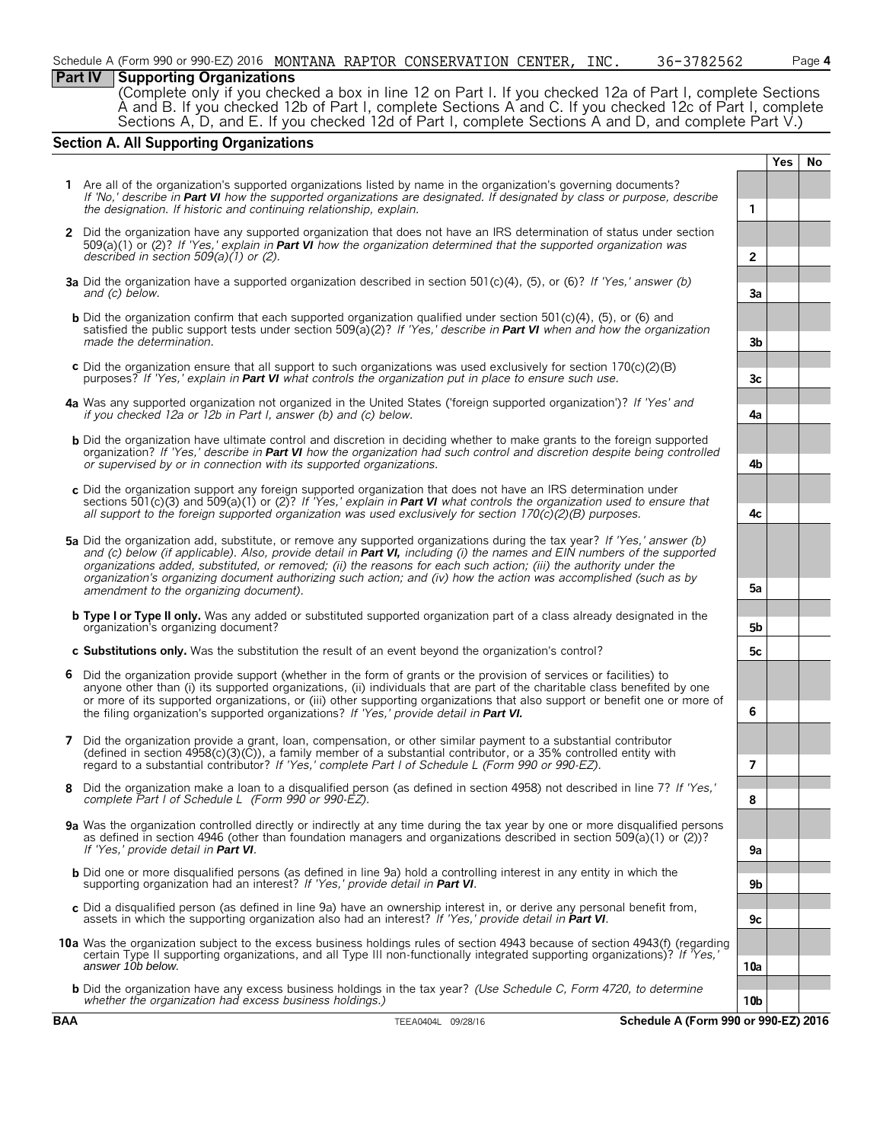#### **Part IV Supporting Organizations**

(Complete only if you checked a box in line 12 on Part I. If you checked 12a of Part I, complete Sections A and B. If you checked 12b of Part I, complete Sections A and C. If you checked 12c of Part I, complete Sections A, D, and E. If you checked 12d of Part I, complete Sections A and D, and complete Part V.)

### **Section A. All Supporting Organizations**

|   |                                                                                                                                                                                                                                                                                                                                                                                                                                                                                                |                 | Yes | No |
|---|------------------------------------------------------------------------------------------------------------------------------------------------------------------------------------------------------------------------------------------------------------------------------------------------------------------------------------------------------------------------------------------------------------------------------------------------------------------------------------------------|-----------------|-----|----|
|   | 1 Are all of the organization's supported organizations listed by name in the organization's governing documents?<br>If 'No,' describe in Part VI how the supported organizations are designated. If designated by class or purpose, describe<br>the designation. If historic and continuing relationship, explain.                                                                                                                                                                            | 1               |     |    |
|   | 2 Did the organization have any supported organization that does not have an IRS determination of status under section                                                                                                                                                                                                                                                                                                                                                                         |                 |     |    |
|   | 509(a)(1) or (2)? If 'Yes,' explain in <b>Part VI</b> how the organization determined that the supported organization was<br>described in section $509(a)(1)$ or (2).                                                                                                                                                                                                                                                                                                                          | $\overline{2}$  |     |    |
|   | <b>3a</b> Did the organization have a supported organization described in section 501(c)(4), (5), or (6)? If 'Yes,' answer (b)<br>and (c) below.                                                                                                                                                                                                                                                                                                                                               | За              |     |    |
|   | <b>b</b> Did the organization confirm that each supported organization qualified under section 501(c)(4), (5), or (6) and<br>satisfied the public support tests under section 509(a)(2)? If 'Yes,' describe in <b>Part VI</b> when and how the organization<br>made the determination.                                                                                                                                                                                                         | 3b              |     |    |
|   | c Did the organization ensure that all support to such organizations was used exclusively for section $170(c)(2)(B)$<br>purposes? If 'Yes,' explain in Part VI what controls the organization put in place to ensure such use.                                                                                                                                                                                                                                                                 | 3c              |     |    |
|   | 4a Was any supported organization not organized in the United States ('foreign supported organization')? If 'Yes' and<br>if you checked 12a or 12b in Part I, answer (b) and (c) below.                                                                                                                                                                                                                                                                                                        | 4a              |     |    |
|   | <b>b</b> Did the organization have ultimate control and discretion in deciding whether to make grants to the foreign supported<br>organization? If 'Yes,' describe in Part VI how the organization had such control and discretion despite being controlled<br>or supervised by or in connection with its supported organizations.                                                                                                                                                             | 4b              |     |    |
|   | c Did the organization support any foreign supported organization that does not have an IRS determination under<br>sections 501(c)(3) and 509(a)(1) or (2)? If 'Yes,' explain in <b>Part VI</b> what controls the organization used to ensure that<br>all support to the foreign supported organization was used exclusively for section $170(c)(2)(B)$ purposes.                                                                                                                              | 4с              |     |    |
|   | 5a Did the organization add, substitute, or remove any supported organizations during the tax year? If 'Yes,' answer (b)<br>and (c) below (if applicable). Also, provide detail in Part VI, including (i) the names and EIN numbers of the supported<br>organizations added, substituted, or removed; (ii) the reasons for each such action; (iii) the authority under the<br>organization's organizing document authorizing such action; and (iv) how the action was accomplished (such as by |                 |     |    |
|   | amendment to the organizing document).<br><b>b</b> Type I or Type II only. Was any added or substituted supported organization part of a class already designated in the                                                                                                                                                                                                                                                                                                                       | 5а              |     |    |
|   | organization's organizing document?                                                                                                                                                                                                                                                                                                                                                                                                                                                            | 5b              |     |    |
|   | c Substitutions only. Was the substitution the result of an event beyond the organization's control?                                                                                                                                                                                                                                                                                                                                                                                           | 5с              |     |    |
| 6 | Did the organization provide support (whether in the form of grants or the provision of services or facilities) to<br>anyone other than (i) its supported organizations, (ii) individuals that are part of the charitable class benefited by one<br>or more of its supported organizations, or (iii) other supporting organizations that also support or benefit one or more of<br>the filing organization's supported organizations? If 'Yes,' provide detail in Part VI.                     | 6               |     |    |
|   | 7 Did the organization provide a grant, loan, compensation, or other similar payment to a substantial contributor<br>(defined in section $4958(c)(3)(C)$ ), a family member of a substantial contributor, or a 35% controlled entity with<br>regard to a substantial contributor? If 'Yes,' complete Part I of Schedule L (Form 990 or 990-EZ).                                                                                                                                                | 7               |     |    |
| 8 | Did the organization make a loan to a disqualified person (as defined in section 4958) not described in line 7? If 'Yes,'<br>complete Part I of Schedule L (Form 990 or 990-EZ).                                                                                                                                                                                                                                                                                                               | 8               |     |    |
|   | 9a Was the organization controlled directly or indirectly at any time during the tax year by one or more disqualified persons                                                                                                                                                                                                                                                                                                                                                                  |                 |     |    |
|   | as defined in section 4946 (other than foundation managers and organizations described in section 509(a)(1) or (2))?<br>If 'Yes,' provide detail in Part VI.                                                                                                                                                                                                                                                                                                                                   | 9a              |     |    |
|   | <b>b</b> Did one or more disqualified persons (as defined in line 9a) hold a controlling interest in any entity in which the<br>supporting organization had an interest? If 'Yes,' provide detail in Part VI.                                                                                                                                                                                                                                                                                  | 9b              |     |    |
|   | c Did a disqualified person (as defined in line 9a) have an ownership interest in, or derive any personal benefit from,<br>assets in which the supporting organization also had an interest? If 'Yes,' provide detail in Part VI.                                                                                                                                                                                                                                                              | 9c              |     |    |
|   | 10a Was the organization subject to the excess business holdings rules of section 4943 because of section 4943(f) (regarding<br>certain Type II supporting organizations, and all Type III non-functionally integrated supporting organizations)? If 'Yes,'<br>answer 10b below.                                                                                                                                                                                                               | 10a             |     |    |
|   | <b>b</b> Did the organization have any excess business holdings in the tax year? (Use Schedule C, Form 4720, to determine<br>whether the organization had excess business holdings.)                                                                                                                                                                                                                                                                                                           | 10 <sub>b</sub> |     |    |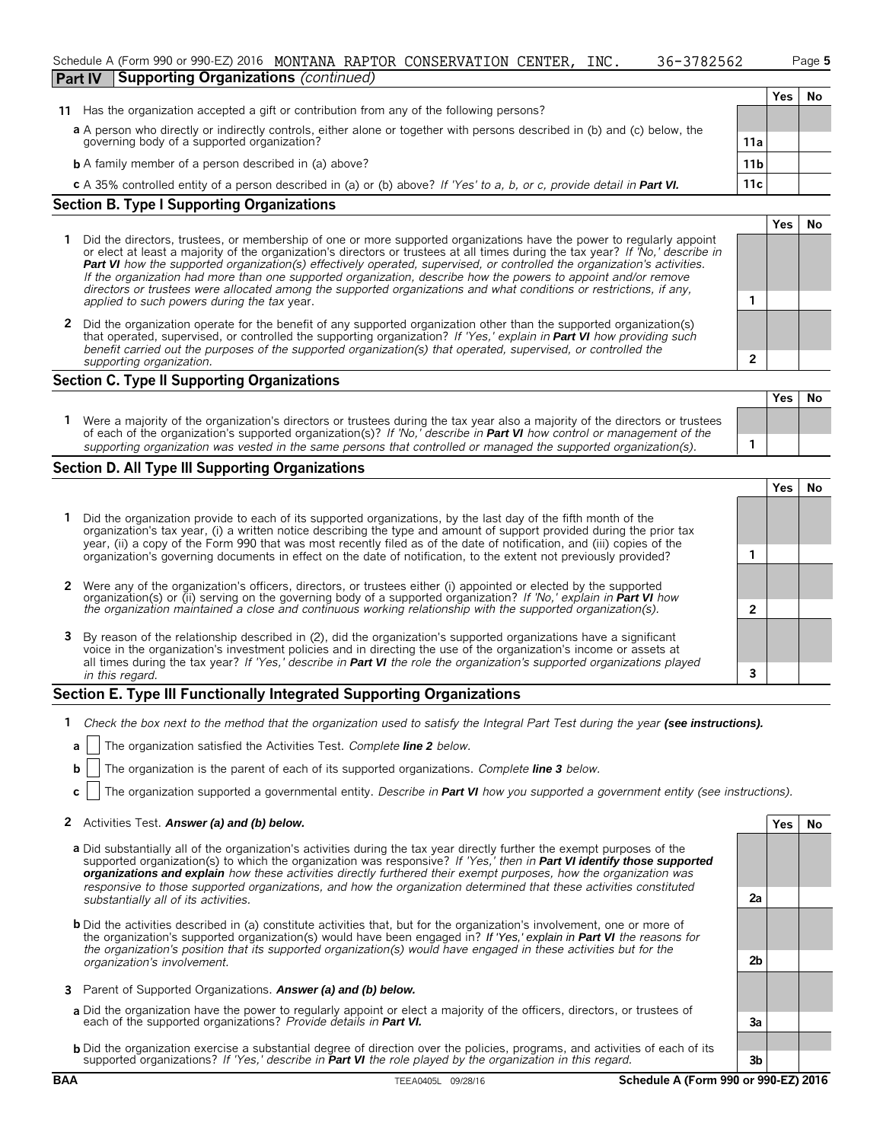| Schedule A (Form 990 or 990-EZ) 2016 MONTANA RAPTOR CONSERVATION CENTER,                                                                                                                                                                                                         |  |  |  | INC. | 36-3782562 |  |     | Page 5 |
|----------------------------------------------------------------------------------------------------------------------------------------------------------------------------------------------------------------------------------------------------------------------------------|--|--|--|------|------------|--|-----|--------|
| <b>Part IV</b><br><b>Supporting Organizations (continued)</b>                                                                                                                                                                                                                    |  |  |  |      |            |  |     |        |
|                                                                                                                                                                                                                                                                                  |  |  |  |      |            |  | Yes | Nο     |
| Has the organization accepted a gift or contribution from any of the following persons?<br>11<br>a A person who directly or indirectly controls, either alone or together with persons described in (b) and (c) below, the<br>governing body of a supported organization?<br>11a |  |  |  |      |            |  |     |        |
|                                                                                                                                                                                                                                                                                  |  |  |  |      |            |  |     |        |
|                                                                                                                                                                                                                                                                                  |  |  |  |      |            |  |     |        |
|                                                                                                                                                                                                                                                                                  |  |  |  |      |            |  |     |        |

**b** A family member of a person described in (a) above? **11b** 

**c** A 35% controlled entity of a person described in (a) or (b) above? *If 'Yes' to a, b, or c, provide detail in Part VI.* 11c

#### **Section B. Type I Supporting Organizations**

- **1** Did the directors, trustees, or membership of one or more supported organizations have the power to regularly appoint or elect at least a majority of the organization's directors or trustees at all times during the tax year? *If 'No,' describe in Part VI how the supported organization(s) effectively operated, supervised, or controlled the organization's activities. If the organization had more than one supported organization, describe how the powers to appoint and/or remove directors or trustees were allocated among the supported organizations and what conditions or restrictions, if any, applied to such powers during the tax* year. **1**
- **2** Did the organization operate for the benefit of any supported organization other than the supported organization(s) that operated, supervised, or controlled the supporting organization? *If 'Yes,' explain in Part VI how providing such benefit carried out the purposes of the supported organization(s) that operated, supervised, or controlled the supporting organization.* **2**

#### **Section C. Type II Supporting Organizations**

|                                                                                                                                                                                                                                                              | Tes No |  |
|--------------------------------------------------------------------------------------------------------------------------------------------------------------------------------------------------------------------------------------------------------------|--------|--|
| Were a majority of the organization's directors or trustees during the tax year also a majority of the directors or trustees<br>of each of the organization's supported organization(s)? If 'No, describe in <b>Part VI</b> how control or management of the |        |  |
| supporting organization was vested in the same persons that controlled or managed the supported organization(s).                                                                                                                                             |        |  |

#### **Section D. All Type III Supporting Organizations**

|                                                                                                                                                                                                                                                                                                                                                                             |  | res |  |  |
|-----------------------------------------------------------------------------------------------------------------------------------------------------------------------------------------------------------------------------------------------------------------------------------------------------------------------------------------------------------------------------|--|-----|--|--|
| 1 Did the organization provide to each of its supported organizations, by the last day of the fifth month of the<br>organization's tax year, (i) a written notice describing the type and amount of support provided during the prior tax<br>year, (ii) a copy of the Form 990 that was most recently filed as of the date of notification, and (iii) copies of the         |  |     |  |  |
| organization's governing documents in effect on the date of notification, to the extent not previously provided?                                                                                                                                                                                                                                                            |  |     |  |  |
| 2 Were any of the organization's officers, directors, or trustees either (i) appointed or elected by the supported<br>organization(s) or (ii) serving on the governing body of a supported organization? If 'No,' explain in Part VI how                                                                                                                                    |  |     |  |  |
| the organization maintained a close and continuous working relationship with the supported organization(s).                                                                                                                                                                                                                                                                 |  |     |  |  |
| 3 By reason of the relationship described in (2), did the organization's supported organizations have a significant<br>voice in the organization's investment policies and in directing the use of the organization's income or assets at<br>all times during the tax year? If 'Yes,' describe in <b>Part VI</b> the role the organization's supported organizations played |  |     |  |  |
| in this regard.                                                                                                                                                                                                                                                                                                                                                             |  |     |  |  |

#### **Section E. Type III Functionally Integrated Supporting Organizations**

- **1** Check the box next to the method that the organization used to satisfy the Integral Part Test during the year (see instructions).
- **a** The organization satisfied the Activities Test. *Complete line 2 below.*
- **b** The organization is the parent of each of its supported organizations. *Complete line 3 below.*
- **c** The organization supported a governmental entity. *Describe in Part VI how you supported a government entity (see instructions).*

#### **2** Activities Test. **Answer (a) and (b) below. Yes Activities Test. No**

- **a** Did substantially all of the organization's activities during the tax year directly further the exempt purposes of the supported organization(s) to which the organization was responsive? *If 'Yes,' then in Part VI identify those supported organizations and explain how these activities directly furthered their exempt purposes, how the organization was responsive to those supported organizations, and how the organization determined that these activities constituted substantially all of its activities.* **2a**
- **b** Did the activities described in (a) constitute activities that, but for the organization's involvement, one or more of the organization's supported organization(s) would have been engaged in? *If 'Yes,' explain in Part VI the reasons for the organization's position that its supported organization(s) would have engaged in these activities but for the organization's involvement.* **2b**
- **3** Parent of Supported Organizations. *Answer (a) and (b) below.*
- **a** Did the organization have the power to regularly appoint or elect a majority of the officers, directors, or trustees of each of the supported organizations? *Provide details in Part VI.* **3a**
- **b** Did the organization exercise a substantial degree of direction over the policies, programs, and activities of each of its supported organizations? *If 'Yes,' describe in Part VI the role played by the organization in this regard.* **3b**

**BAA** TEEA0405L 09/28/16 **Schedule A (Form 990 or 990-EZ) 2016** 

**Yes No**

**Yes No**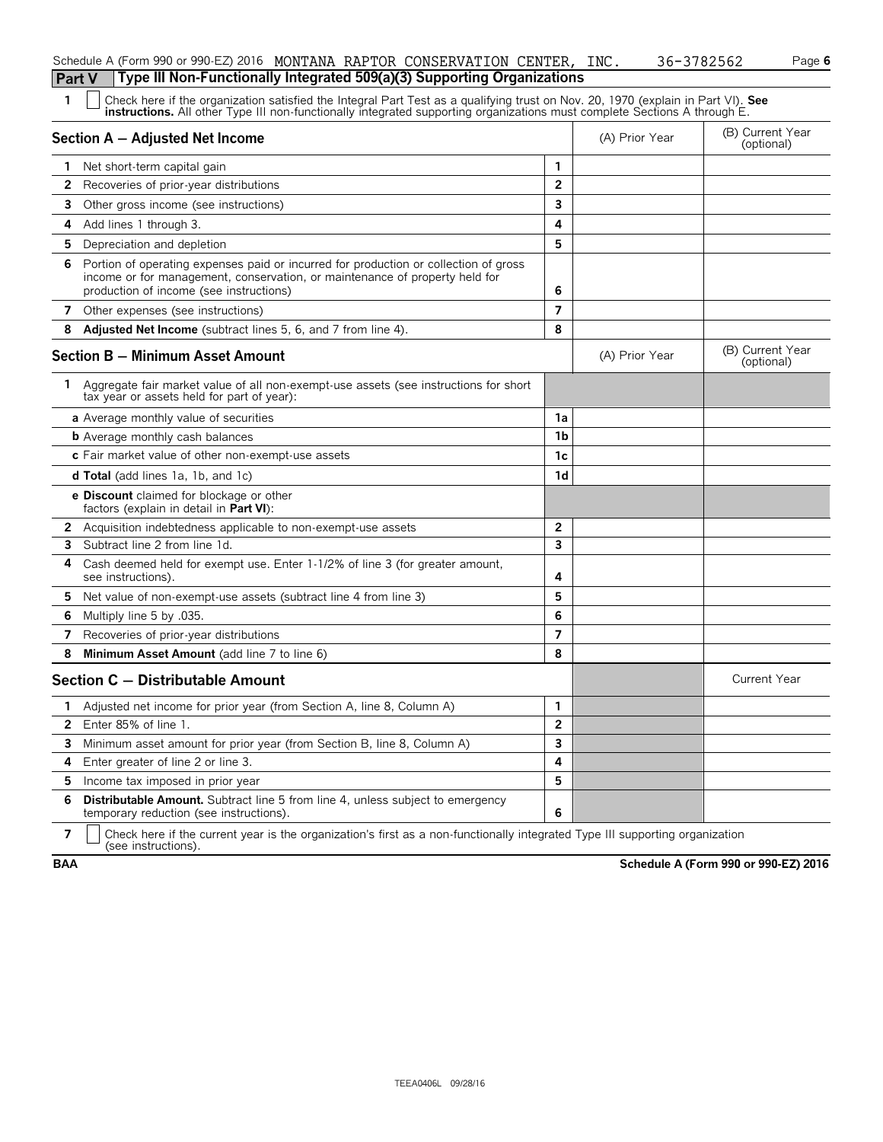|    | Type III Non-Functionally Integrated 509(a)(3) Supporting Organizations<br><b>Part V</b>                                                                                                                                                                      |                |                |                                |
|----|---------------------------------------------------------------------------------------------------------------------------------------------------------------------------------------------------------------------------------------------------------------|----------------|----------------|--------------------------------|
| 1  | Check here if the organization satisfied the Integral Part Test as a qualifying trust on Nov. 20, 1970 (explain in Part VI). See<br>instructions. All other Type III non-functionally integrated supporting organizations must complete Sections A through E. |                |                |                                |
|    | Section A - Adjusted Net Income                                                                                                                                                                                                                               |                | (A) Prior Year | (B) Current Year<br>(optional) |
| 1  | Net short-term capital gain                                                                                                                                                                                                                                   | 1              |                |                                |
| 2  | Recoveries of prior-year distributions                                                                                                                                                                                                                        | $\overline{2}$ |                |                                |
| 3. | Other gross income (see instructions)                                                                                                                                                                                                                         | 3              |                |                                |
| 4  | Add lines 1 through 3.                                                                                                                                                                                                                                        | 4              |                |                                |
| 5. | Depreciation and depletion                                                                                                                                                                                                                                    | 5              |                |                                |
| 6  | Portion of operating expenses paid or incurred for production or collection of gross<br>income or for management, conservation, or maintenance of property held for<br>production of income (see instructions)                                                | 6              |                |                                |
|    | 7 Other expenses (see instructions)                                                                                                                                                                                                                           | $\overline{ }$ |                |                                |
| 8  | Adjusted Net Income (subtract lines 5, 6, and 7 from line 4).                                                                                                                                                                                                 | 8              |                |                                |
|    | <b>Section B - Minimum Asset Amount</b>                                                                                                                                                                                                                       |                | (A) Prior Year | (B) Current Year<br>(optional) |
| 1  | Aggregate fair market value of all non-exempt-use assets (see instructions for short<br>tax year or assets held for part of year):                                                                                                                            |                |                |                                |
|    | a Average monthly value of securities                                                                                                                                                                                                                         | 1a             |                |                                |
|    | <b>b</b> Average monthly cash balances                                                                                                                                                                                                                        | 1 <sub>b</sub> |                |                                |
|    | c Fair market value of other non-exempt-use assets                                                                                                                                                                                                            | 1c             |                |                                |
|    | <b>d Total</b> (add lines 1a, 1b, and 1c)                                                                                                                                                                                                                     | 1d             |                |                                |
|    | <b>e Discount</b> claimed for blockage or other<br>factors (explain in detail in Part VI):                                                                                                                                                                    |                |                |                                |
|    | 2 Acquisition indebtedness applicable to non-exempt-use assets                                                                                                                                                                                                | $\mathbf{2}$   |                |                                |
| 3  | Subtract line 2 from line 1d.                                                                                                                                                                                                                                 | 3              |                |                                |
| 4  | Cash deemed held for exempt use. Enter 1-1/2% of line 3 (for greater amount,<br>see instructions).                                                                                                                                                            | 4              |                |                                |
|    | 5 Net value of non-exempt-use assets (subtract line 4 from line 3)                                                                                                                                                                                            | 5              |                |                                |
| 6  | Multiply line 5 by .035.                                                                                                                                                                                                                                      | 6              |                |                                |
| 7  | Recoveries of prior-year distributions                                                                                                                                                                                                                        | $\overline{7}$ |                |                                |
| 8  | Minimum Asset Amount (add line 7 to line 6)                                                                                                                                                                                                                   | 8              |                |                                |
|    | Section C - Distributable Amount                                                                                                                                                                                                                              |                |                | <b>Current Year</b>            |
|    | 1 Adjusted net income for prior year (from Section A, line 8, Column A)                                                                                                                                                                                       | $\mathbf{1}$   |                |                                |
| 2  | Enter 85% of line 1.                                                                                                                                                                                                                                          | 2              |                |                                |
| 3  | Minimum asset amount for prior year (from Section B, line 8, Column A)                                                                                                                                                                                        | 3              |                |                                |
| 4  | Enter greater of line 2 or line 3.                                                                                                                                                                                                                            | 4              |                |                                |
| 5. | Income tax imposed in prior year                                                                                                                                                                                                                              | 5              |                |                                |
| 6  | <b>Distributable Amount.</b> Subtract line 5 from line 4, unless subject to emergency<br>temporary reduction (see instructions).                                                                                                                              | 6              |                |                                |
|    |                                                                                                                                                                                                                                                               |                |                |                                |

Schedule A (Form 990 or 990-EZ) 2016 MONTANA RAPTOR CONSERVATION CENTER, INC. 36-3782562 Page **6** 

**7**  $\parallel$  Check here if the current year is the organization's first as a non-functionally integrated Type III supporting organization (see instructions).

**BAA Schedule A (Form 990 or 990-EZ) 2016**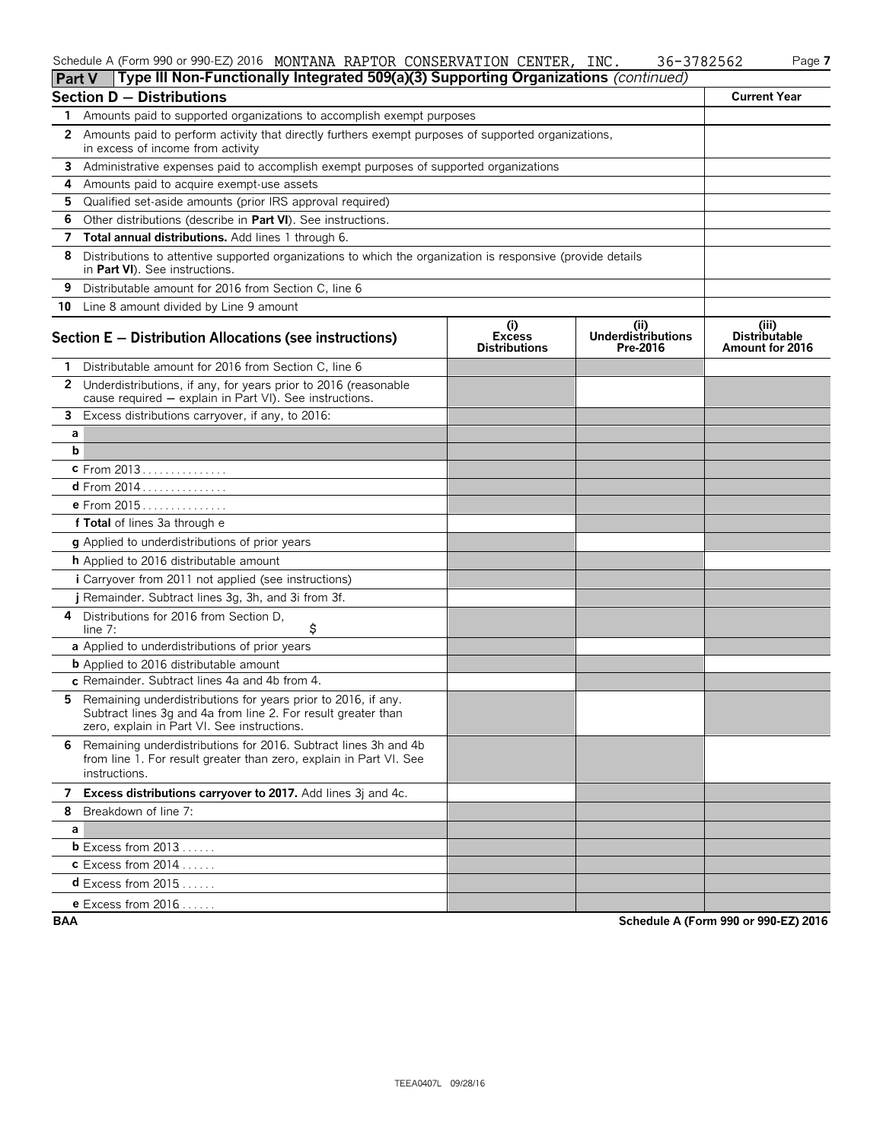#### Schedule A (Form 990 or 990-EZ) 2016 MONTANA RAPTOR CONSERVATION CENTER, INC. 36-3782562 Page **7**

|--|--|

| <b>Part V</b> | Type III Non-Functionally Integrated 509(a)(3) Supporting Organizations (continued)                                                                                           |                                              |                                        |                                                  |
|---------------|-------------------------------------------------------------------------------------------------------------------------------------------------------------------------------|----------------------------------------------|----------------------------------------|--------------------------------------------------|
|               | Section D - Distributions                                                                                                                                                     |                                              |                                        | <b>Current Year</b>                              |
| 1.            | Amounts paid to supported organizations to accomplish exempt purposes                                                                                                         |                                              |                                        |                                                  |
| 2             | Amounts paid to perform activity that directly furthers exempt purposes of supported organizations,<br>in excess of income from activity                                      |                                              |                                        |                                                  |
| 3.            | Administrative expenses paid to accomplish exempt purposes of supported organizations                                                                                         |                                              |                                        |                                                  |
| 4             | Amounts paid to acquire exempt-use assets                                                                                                                                     |                                              |                                        |                                                  |
| 5             | Qualified set-aside amounts (prior IRS approval required)                                                                                                                     |                                              |                                        |                                                  |
| 6             | Other distributions (describe in Part VI). See instructions.                                                                                                                  |                                              |                                        |                                                  |
| 7             | Total annual distributions. Add lines 1 through 6.                                                                                                                            |                                              |                                        |                                                  |
| 8             | Distributions to attentive supported organizations to which the organization is responsive (provide details<br>in Part VI). See instructions.                                 |                                              |                                        |                                                  |
| 9             | Distributable amount for 2016 from Section C, line 6                                                                                                                          |                                              |                                        |                                                  |
| 10            | Line 8 amount divided by Line 9 amount                                                                                                                                        |                                              |                                        |                                                  |
|               | Section E - Distribution Allocations (see instructions)                                                                                                                       | (i)<br><b>Excess</b><br><b>Distributions</b> | (ii)<br>Underdistributions<br>Pre-2016 | (iii)<br><b>Distributable</b><br>Amount for 2016 |
| 1.            | Distributable amount for 2016 from Section C, line 6                                                                                                                          |                                              |                                        |                                                  |
| 2             | Underdistributions, if any, for years prior to 2016 (reasonable<br>cause required - explain in Part VI). See instructions.                                                    |                                              |                                        |                                                  |
| 3             | Excess distributions carryover, if any, to 2016:                                                                                                                              |                                              |                                        |                                                  |
| а             |                                                                                                                                                                               |                                              |                                        |                                                  |
| b             |                                                                                                                                                                               |                                              |                                        |                                                  |
|               | <b>c</b> From 2013                                                                                                                                                            |                                              |                                        |                                                  |
|               | d From 2014                                                                                                                                                                   |                                              |                                        |                                                  |
|               | e From 2015                                                                                                                                                                   |                                              |                                        |                                                  |
|               | f Total of lines 3a through e                                                                                                                                                 |                                              |                                        |                                                  |
|               | g Applied to underdistributions of prior years                                                                                                                                |                                              |                                        |                                                  |
|               | <b>h</b> Applied to 2016 distributable amount                                                                                                                                 |                                              |                                        |                                                  |
|               | <i>i</i> Carryover from 2011 not applied (see instructions)                                                                                                                   |                                              |                                        |                                                  |
|               | j Remainder. Subtract lines 3g, 3h, and 3i from 3f.                                                                                                                           |                                              |                                        |                                                  |
| 4             | Distributions for 2016 from Section D.<br>\$<br>line $7:$                                                                                                                     |                                              |                                        |                                                  |
|               | a Applied to underdistributions of prior years                                                                                                                                |                                              |                                        |                                                  |
|               | <b>b</b> Applied to 2016 distributable amount                                                                                                                                 |                                              |                                        |                                                  |
|               | c Remainder. Subtract lines 4a and 4b from 4.                                                                                                                                 |                                              |                                        |                                                  |
| 5             | Remaining underdistributions for years prior to 2016, if any.<br>Subtract lines 3g and 4a from line 2. For result greater than<br>zero, explain in Part VI. See instructions. |                                              |                                        |                                                  |
| 6.            | Remaining underdistributions for 2016. Subtract lines 3h and 4b<br>from line 1. For result greater than zero, explain in Part VI. See<br>instructions.                        |                                              |                                        |                                                  |
| 7             | Excess distributions carryover to 2017. Add lines 3j and 4c.                                                                                                                  |                                              |                                        |                                                  |
|               | 8 Breakdown of line 7:                                                                                                                                                        |                                              |                                        |                                                  |
| a             |                                                                                                                                                                               |                                              |                                        |                                                  |
|               | <b>b</b> Excess from $2013$                                                                                                                                                   |                                              |                                        |                                                  |
|               | $c$ Excess from 2014                                                                                                                                                          |                                              |                                        |                                                  |
|               | <b>d</b> Excess from $2015$                                                                                                                                                   |                                              |                                        |                                                  |
|               | <b>e</b> Excess from $2016$                                                                                                                                                   |                                              |                                        |                                                  |

**BAA Schedule A (Form 990 or 990-EZ) 2016**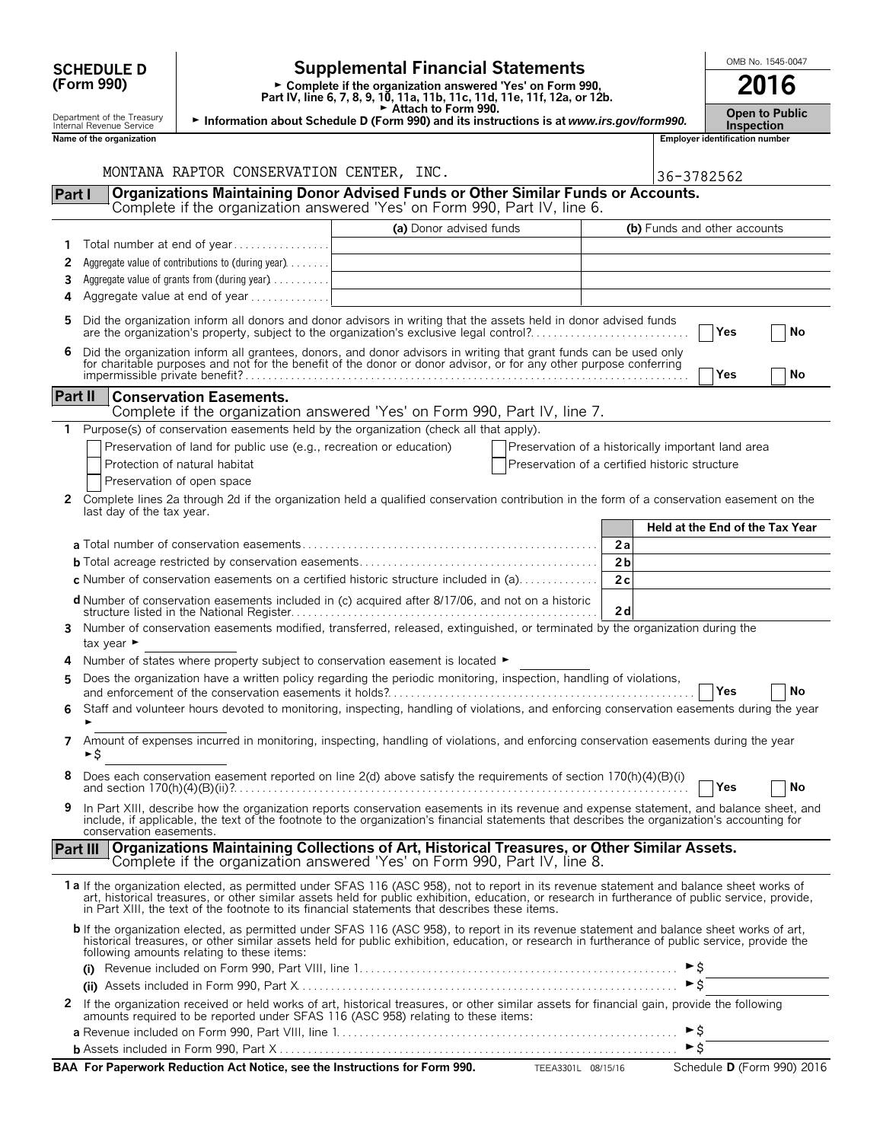| <b>SCHEDULE D</b> |                                                        |                                                                                | <b>Supplemental Financial Statements</b>                                                                                                                                                                                                                                                                                                                                                       |                                                    |                                                            |                                 | OMB No. 1545-0047 |  |  |  |
|-------------------|--------------------------------------------------------|--------------------------------------------------------------------------------|------------------------------------------------------------------------------------------------------------------------------------------------------------------------------------------------------------------------------------------------------------------------------------------------------------------------------------------------------------------------------------------------|----------------------------------------------------|------------------------------------------------------------|---------------------------------|-------------------|--|--|--|
| (Form 990)        |                                                        |                                                                                | Complete if the organization answered 'Yes' on Form 990,<br>Part IV, line 6, 7, 8, 9, 10, 11a, 11b, 11c, 11d, 11e, 11f, 12a, or 12b.                                                                                                                                                                                                                                                           |                                                    |                                                            |                                 | 2016              |  |  |  |
|                   | Department of the Treasury                             |                                                                                | Attach to Form 990.<br>Information about Schedule D (Form 990) and its instructions is at www.irs.gov/form990.                                                                                                                                                                                                                                                                                 | <b>Open to Public</b>                              |                                                            |                                 |                   |  |  |  |
|                   | Internal Revenue Service<br>Name of the organization   |                                                                                |                                                                                                                                                                                                                                                                                                                                                                                                |                                                    | <b>Inspection</b><br><b>Employer identification number</b> |                                 |                   |  |  |  |
|                   |                                                        |                                                                                |                                                                                                                                                                                                                                                                                                                                                                                                |                                                    |                                                            |                                 |                   |  |  |  |
|                   | MONTANA RAPTOR CONSERVATION CENTER, INC.<br>36-3782562 |                                                                                |                                                                                                                                                                                                                                                                                                                                                                                                |                                                    |                                                            |                                 |                   |  |  |  |
| Part I            |                                                        |                                                                                | Organizations Maintaining Donor Advised Funds or Other Similar Funds or Accounts.<br>Complete if the organization answered 'Yes' on Form 990, Part IV, line 6.                                                                                                                                                                                                                                 |                                                    |                                                            |                                 |                   |  |  |  |
|                   |                                                        |                                                                                | (a) Donor advised funds                                                                                                                                                                                                                                                                                                                                                                        |                                                    |                                                            | (b) Funds and other accounts    |                   |  |  |  |
| 1.                |                                                        | Total number at end of year                                                    |                                                                                                                                                                                                                                                                                                                                                                                                |                                                    |                                                            |                                 |                   |  |  |  |
| 2                 |                                                        | Aggregate value of contributions to (during year)                              |                                                                                                                                                                                                                                                                                                                                                                                                |                                                    |                                                            |                                 |                   |  |  |  |
| 3<br>4            |                                                        | Aggregate value of grants from (during year)<br>Aggregate value at end of year |                                                                                                                                                                                                                                                                                                                                                                                                |                                                    |                                                            |                                 |                   |  |  |  |
| 5                 |                                                        |                                                                                | Did the organization inform all donors and donor advisors in writing that the assets held in donor advised funds                                                                                                                                                                                                                                                                               |                                                    |                                                            |                                 |                   |  |  |  |
|                   |                                                        |                                                                                | are the organization's property, subject to the organization's exclusive legal control?                                                                                                                                                                                                                                                                                                        |                                                    |                                                            | Yes                             | No                |  |  |  |
| 6                 |                                                        |                                                                                | Did the organization inform all grantees, donors, and donor advisors in writing that grant funds can be used only for charitable purposes and not for the benefit of the donor or donor advisor, or for any other purpose conf                                                                                                                                                                 |                                                    |                                                            |                                 |                   |  |  |  |
|                   |                                                        |                                                                                |                                                                                                                                                                                                                                                                                                                                                                                                |                                                    |                                                            | Yes                             | No                |  |  |  |
| Part II           |                                                        | <b>Conservation Easements.</b>                                                 | Complete if the organization answered 'Yes' on Form 990, Part IV, line 7.                                                                                                                                                                                                                                                                                                                      |                                                    |                                                            |                                 |                   |  |  |  |
|                   |                                                        |                                                                                | Purpose(s) of conservation easements held by the organization (check all that apply).                                                                                                                                                                                                                                                                                                          |                                                    |                                                            |                                 |                   |  |  |  |
|                   |                                                        | Preservation of land for public use (e.g., recreation or education)            |                                                                                                                                                                                                                                                                                                                                                                                                | Preservation of a historically important land area |                                                            |                                 |                   |  |  |  |
|                   |                                                        | Protection of natural habitat                                                  |                                                                                                                                                                                                                                                                                                                                                                                                | Preservation of a certified historic structure     |                                                            |                                 |                   |  |  |  |
|                   |                                                        | Preservation of open space                                                     |                                                                                                                                                                                                                                                                                                                                                                                                |                                                    |                                                            |                                 |                   |  |  |  |
| 2                 | last day of the tax year.                              |                                                                                | Complete lines 2a through 2d if the organization held a qualified conservation contribution in the form of a conservation easement on the                                                                                                                                                                                                                                                      |                                                    |                                                            |                                 |                   |  |  |  |
|                   |                                                        |                                                                                |                                                                                                                                                                                                                                                                                                                                                                                                |                                                    |                                                            | Held at the End of the Tax Year |                   |  |  |  |
|                   |                                                        |                                                                                |                                                                                                                                                                                                                                                                                                                                                                                                | 2a<br>2 <sub>b</sub>                               |                                                            |                                 |                   |  |  |  |
|                   |                                                        |                                                                                | <b>c</b> Number of conservation easements on a certified historic structure included in (a)                                                                                                                                                                                                                                                                                                    | 2c                                                 |                                                            |                                 |                   |  |  |  |
|                   |                                                        |                                                                                | d Number of conservation easements included in (c) acquired after 8/17/06, and not on a historic                                                                                                                                                                                                                                                                                               | 2d                                                 |                                                            |                                 |                   |  |  |  |
| 3.                | tax year ►                                             |                                                                                | Number of conservation easements modified, transferred, released, extinguished, or terminated by the organization during the                                                                                                                                                                                                                                                                   |                                                    |                                                            |                                 |                   |  |  |  |
| 4                 |                                                        |                                                                                | Number of states where property subject to conservation easement is located ►                                                                                                                                                                                                                                                                                                                  |                                                    |                                                            |                                 |                   |  |  |  |
| 5                 |                                                        |                                                                                | Does the organization have a written policy regarding the periodic monitoring, inspection, handling of violations,                                                                                                                                                                                                                                                                             |                                                    |                                                            | <b>Yes</b>                      | No                |  |  |  |
|                   |                                                        |                                                                                | Staff and volunteer hours devoted to monitoring, inspecting, handling of violations, and enforcing conservation easements during the year                                                                                                                                                                                                                                                      |                                                    |                                                            |                                 |                   |  |  |  |
| 7                 | ►\$                                                    |                                                                                | Amount of expenses incurred in monitoring, inspecting, handling of violations, and enforcing conservation easements during the year                                                                                                                                                                                                                                                            |                                                    |                                                            |                                 |                   |  |  |  |
| 8                 |                                                        |                                                                                | Does each conservation easement reported on line 2(d) above satisfy the requirements of section 170(h)(4)(B)(i)                                                                                                                                                                                                                                                                                |                                                    |                                                            | Yes                             | No                |  |  |  |
| 9                 | conservation easements.                                |                                                                                | In Part XIII, describe how the organization reports conservation easements in its revenue and expense statement, and balance sheet, and<br>include, if applicable, the text of the footnote to the organization's financial statements that describes the organization's accounting for                                                                                                        |                                                    |                                                            |                                 |                   |  |  |  |
|                   | <b>Part III</b>                                        |                                                                                | Organizations Maintaining Collections of Art, Historical Treasures, or Other Similar Assets.<br>Complete if the organization answered 'Yes' on Form 990, Part IV, line 8.                                                                                                                                                                                                                      |                                                    |                                                            |                                 |                   |  |  |  |
|                   |                                                        |                                                                                | 1a If the organization elected, as permitted under SFAS 116 (ASC 958), not to report in its revenue statement and balance sheet works of<br>art, historical treasures, or other similar assets held for public exhibition, education, or research in furtherance of public service, provide,<br>in Part XIII, the text of the footnote to its financial statements that describes these items. |                                                    |                                                            |                                 |                   |  |  |  |
|                   |                                                        | following amounts relating to these items:                                     | b If the organization elected, as permitted under SFAS 116 (ASC 958), to report in its revenue statement and balance sheet works of art,<br>historical treasures, or other similar assets held for public exhibition, education, or research in furtherance of public service, provide the                                                                                                     |                                                    |                                                            |                                 |                   |  |  |  |
|                   |                                                        |                                                                                |                                                                                                                                                                                                                                                                                                                                                                                                |                                                    | $\blacktriangleright$ S                                    |                                 |                   |  |  |  |
|                   |                                                        |                                                                                |                                                                                                                                                                                                                                                                                                                                                                                                |                                                    | $\triangleright$ \$                                        |                                 |                   |  |  |  |
| 2                 |                                                        |                                                                                | If the organization received or held works of art, historical treasures, or other similar assets for financial gain, provide the following<br>amounts required to be reported under SFAS 116 (ASC 958) relating to these items:                                                                                                                                                                |                                                    |                                                            |                                 |                   |  |  |  |
|                   |                                                        |                                                                                |                                                                                                                                                                                                                                                                                                                                                                                                |                                                    | $\blacktriangleright$ \$                                   |                                 |                   |  |  |  |
|                   |                                                        |                                                                                |                                                                                                                                                                                                                                                                                                                                                                                                |                                                    | $\triangleright$ \$                                        |                                 |                   |  |  |  |
|                   |                                                        |                                                                                | BAA For Paperwork Reduction Act Notice, see the Instructions for Form 990. TEEA3301L 08/15/16 Schedule D (Form 990) 2016                                                                                                                                                                                                                                                                       |                                                    |                                                            |                                 |                   |  |  |  |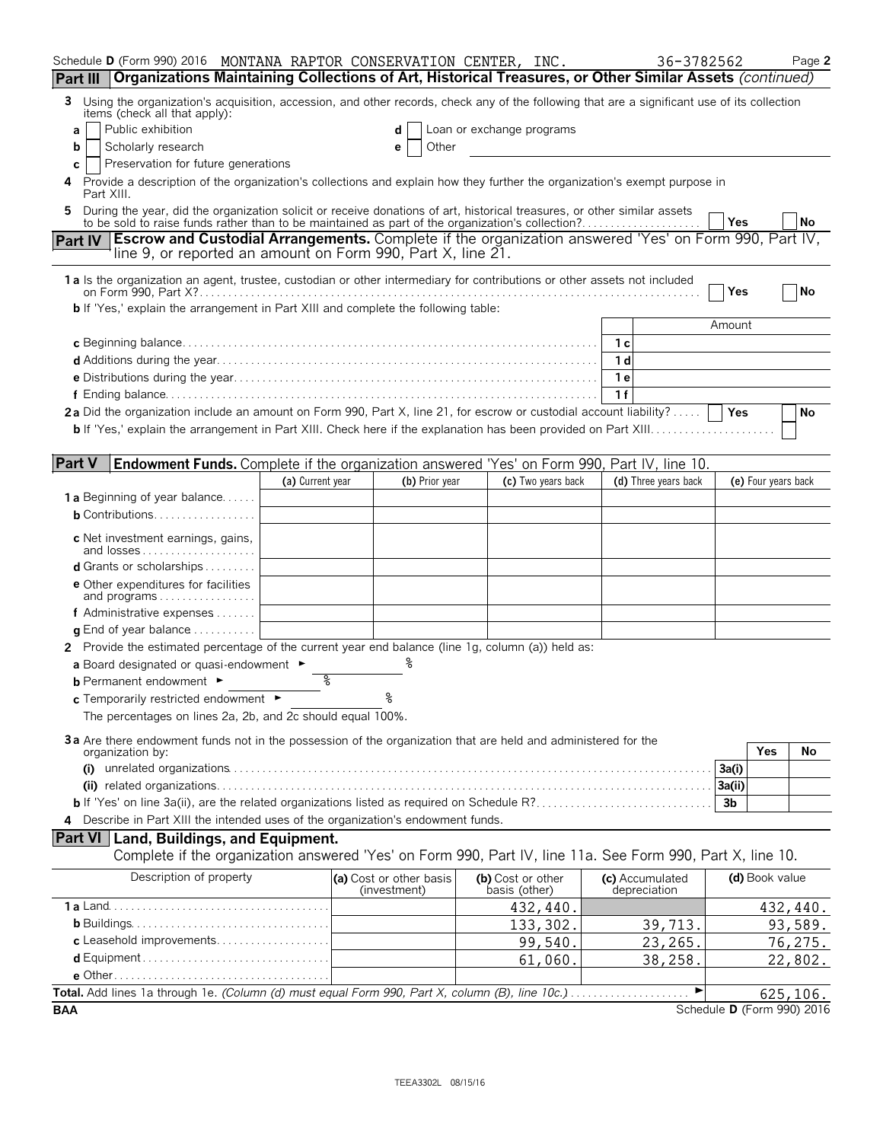| Schedule D (Form 990) 2016 MONTANA RAPTOR CONSERVATION CENTER, INC.                                                                                                                                                               |                  |                                         |                           |                                    | 36-3782562                      |                            | Page 2   |
|-----------------------------------------------------------------------------------------------------------------------------------------------------------------------------------------------------------------------------------|------------------|-----------------------------------------|---------------------------|------------------------------------|---------------------------------|----------------------------|----------|
| Organizations Maintaining Collections of Art, Historical Treasures, or Other Similar Assets (continued)<br>Part III                                                                                                               |                  |                                         |                           |                                    |                                 |                            |          |
| Using the organization's acquisition, accession, and other records, check any of the following that are a significant use of its collection<br>3<br>items (check all that apply):                                                 |                  |                                         |                           |                                    |                                 |                            |          |
| Public exhibition<br>a                                                                                                                                                                                                            |                  | d                                       | Loan or exchange programs |                                    |                                 |                            |          |
| Scholarly research<br>b                                                                                                                                                                                                           |                  | Other<br>e                              |                           |                                    |                                 |                            |          |
| Preservation for future generations<br>С                                                                                                                                                                                          |                  |                                         |                           |                                    |                                 |                            |          |
| Provide a description of the organization's collections and explain how they further the organization's exempt purpose in<br>4<br>Part XIII.                                                                                      |                  |                                         |                           |                                    |                                 |                            |          |
| During the year, did the organization solicit or receive donations of art, historical treasures, or other similar assets<br>5<br>to be sold to raise funds rather than to be maintained as part of the organization's collection? |                  |                                         |                           |                                    |                                 | Yes                        | No       |
| <b>Escrow and Custodial Arrangements.</b> Complete if the organization answered 'Yes' on Form 990, Part IV,<br><b>Part IV</b>                                                                                                     |                  |                                         |                           |                                    |                                 |                            |          |
| line 9, or reported an amount on Form 990, Part X, line 21.                                                                                                                                                                       |                  |                                         |                           |                                    |                                 |                            |          |
| 1 a Is the organization an agent, trustee, custodian or other intermediary for contributions or other assets not included                                                                                                         |                  |                                         |                           |                                    |                                 | Yes                        | No       |
| <b>b</b> If 'Yes,' explain the arrangement in Part XIII and complete the following table:                                                                                                                                         |                  |                                         |                           |                                    |                                 |                            |          |
|                                                                                                                                                                                                                                   |                  |                                         |                           |                                    |                                 | Amount                     |          |
|                                                                                                                                                                                                                                   |                  |                                         |                           |                                    | 1 с                             |                            |          |
|                                                                                                                                                                                                                                   |                  |                                         |                           |                                    | 1 <sub>d</sub>                  |                            |          |
|                                                                                                                                                                                                                                   |                  |                                         |                           |                                    | 1e                              |                            |          |
|                                                                                                                                                                                                                                   |                  |                                         |                           |                                    | 1f                              |                            |          |
| 2a Did the organization include an amount on Form 990, Part X, line 21, for escrow or custodial account liability?                                                                                                                |                  |                                         |                           |                                    |                                 | <b>Yes</b>                 | No       |
| <b>b</b> If 'Yes,' explain the arrangement in Part XIII. Check here if the explanation has been provided on Part XIII                                                                                                             |                  |                                         |                           |                                    |                                 |                            |          |
|                                                                                                                                                                                                                                   |                  |                                         |                           |                                    |                                 |                            |          |
| <b>Part V</b><br><b>Endowment Funds.</b> Complete if the organization answered 'Yes' on Form 990, Part IV, line 10.                                                                                                               |                  |                                         |                           |                                    |                                 |                            |          |
|                                                                                                                                                                                                                                   | (a) Current year | (b) Prior year                          |                           | (c) Two years back                 | (d) Three years back            | (e) Four years back        |          |
| <b>1a</b> Beginning of year balance                                                                                                                                                                                               |                  |                                         |                           |                                    |                                 |                            |          |
| $b$ Contributions                                                                                                                                                                                                                 |                  |                                         |                           |                                    |                                 |                            |          |
| c Net investment earnings, gains,<br>and losses                                                                                                                                                                                   |                  |                                         |                           |                                    |                                 |                            |          |
| <b>d</b> Grants or scholarships $\ldots \ldots \ldots$                                                                                                                                                                            |                  |                                         |                           |                                    |                                 |                            |          |
| <b>e</b> Other expenditures for facilities<br>and programs                                                                                                                                                                        |                  |                                         |                           |                                    |                                 |                            |          |
| <b>f</b> Administrative expenses $\ldots$                                                                                                                                                                                         |                  |                                         |                           |                                    |                                 |                            |          |
| $\alpha$ End of year balance $\ldots \ldots \ldots$                                                                                                                                                                               |                  |                                         |                           |                                    |                                 |                            |          |
| 2 Provide the estimated percentage of the current year end balance (line 1g, column (a)) held as:                                                                                                                                 |                  |                                         |                           |                                    |                                 |                            |          |
| a Board designated or quasi-endowment $\blacktriangleright$                                                                                                                                                                       |                  |                                         |                           |                                    |                                 |                            |          |
| <b>b</b> Permanent endowment $\blacktriangleright$                                                                                                                                                                                | ႜ                |                                         |                           |                                    |                                 |                            |          |
| c Temporarily restricted endowment ►                                                                                                                                                                                              |                  |                                         |                           |                                    |                                 |                            |          |
| The percentages on lines 2a, 2b, and 2c should equal 100%.                                                                                                                                                                        |                  |                                         |                           |                                    |                                 |                            |          |
| 3a Are there endowment funds not in the possession of the organization that are held and administered for the                                                                                                                     |                  |                                         |                           |                                    |                                 |                            |          |
| organization by:                                                                                                                                                                                                                  |                  |                                         |                           |                                    |                                 | Yes                        | No       |
|                                                                                                                                                                                                                                   |                  |                                         |                           |                                    |                                 | 3a(i)                      |          |
|                                                                                                                                                                                                                                   |                  |                                         |                           |                                    |                                 | 3a(ii)                     |          |
|                                                                                                                                                                                                                                   |                  |                                         |                           |                                    |                                 | 3b                         |          |
| 4 Describe in Part XIII the intended uses of the organization's endowment funds.                                                                                                                                                  |                  |                                         |                           |                                    |                                 |                            |          |
| Part VI Land, Buildings, and Equipment.<br>Complete if the organization answered 'Yes' on Form 990, Part IV, line 11a. See Form 990, Part X, line 10.                                                                             |                  |                                         |                           |                                    |                                 |                            |          |
| Description of property                                                                                                                                                                                                           |                  | (a) Cost or other basis<br>(investment) |                           | (b) Cost or other<br>basis (other) | (c) Accumulated<br>depreciation | (d) Book value             |          |
|                                                                                                                                                                                                                                   |                  |                                         |                           | 432, 440.                          |                                 |                            | 432,440. |
|                                                                                                                                                                                                                                   |                  |                                         |                           | 133, 302.                          | 39,713.                         |                            | 93,589.  |
| c Leasehold improvements                                                                                                                                                                                                          |                  |                                         |                           | 99,540.                            | 23, 265.                        |                            | 76,275.  |
|                                                                                                                                                                                                                                   |                  |                                         |                           | 61,060.                            | 38,258.                         |                            | 22,802.  |
|                                                                                                                                                                                                                                   |                  |                                         |                           |                                    |                                 |                            |          |
| Total. Add lines 1a through 1e. (Column (d) must equal Form 990, Part X, column (B), line 10c.)                                                                                                                                   |                  |                                         |                           |                                    |                                 |                            | 625,106. |
| <b>BAA</b>                                                                                                                                                                                                                        |                  |                                         |                           |                                    |                                 | Schedule D (Form 990) 2016 |          |

TEEA3302L 08/15/16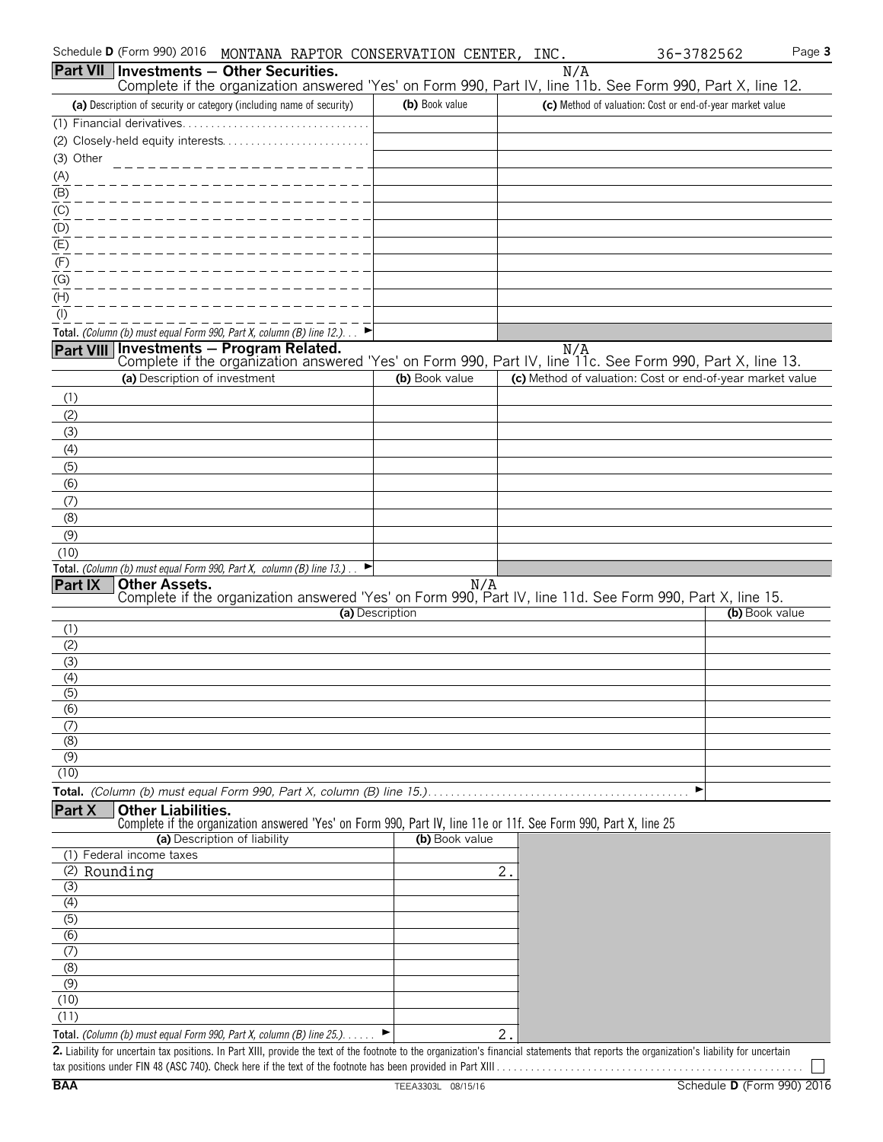| Schedule D (Form 990) 2016<br>MONTANA RAPTOR CONSERVATION CENTER, INC.                                                                                                                                                                                                                     |                 |                  |     | 36-3782562                                                | Page 3         |
|--------------------------------------------------------------------------------------------------------------------------------------------------------------------------------------------------------------------------------------------------------------------------------------------|-----------------|------------------|-----|-----------------------------------------------------------|----------------|
| <b>Part VII</b> Investments - Other Securities.                                                                                                                                                                                                                                            |                 |                  | N/A |                                                           |                |
| Complete if the organization answered 'Yes' on Form 990, Part IV, line 11b. See Form 990, Part X, line 12.                                                                                                                                                                                 |                 |                  |     |                                                           |                |
| (a) Description of security or category (including name of security)                                                                                                                                                                                                                       | (b) Book value  |                  |     | (c) Method of valuation: Cost or end-of-year market value |                |
| (1) Financial derivatives                                                                                                                                                                                                                                                                  |                 |                  |     |                                                           |                |
| (3) Other                                                                                                                                                                                                                                                                                  |                 |                  |     |                                                           |                |
| (A)                                                                                                                                                                                                                                                                                        |                 |                  |     |                                                           |                |
| (B)                                                                                                                                                                                                                                                                                        |                 |                  |     |                                                           |                |
| $\underline{(C)}$                                                                                                                                                                                                                                                                          |                 |                  |     |                                                           |                |
| (D)                                                                                                                                                                                                                                                                                        |                 |                  |     |                                                           |                |
| (E)                                                                                                                                                                                                                                                                                        |                 |                  |     |                                                           |                |
| (F)                                                                                                                                                                                                                                                                                        |                 |                  |     |                                                           |                |
| (G)                                                                                                                                                                                                                                                                                        |                 |                  |     |                                                           |                |
| (H)                                                                                                                                                                                                                                                                                        |                 |                  |     |                                                           |                |
| (1)                                                                                                                                                                                                                                                                                        |                 |                  |     |                                                           |                |
| Total. (Column (b) must equal Form 990, Part X, column (B) line 12.). $\Box$<br><b>Part VIII</b>                                                                                                                                                                                           |                 |                  |     |                                                           |                |
| <b>Investments - Program Related.</b><br>Complete if the organization answered 'Yes' on Form 990, Part IV, line 11c. See Form 990, Part X, line 13.                                                                                                                                        |                 |                  |     |                                                           |                |
| (a) Description of investment                                                                                                                                                                                                                                                              | (b) Book value  |                  |     | (c) Method of valuation: Cost or end-of-year market value |                |
| (1)                                                                                                                                                                                                                                                                                        |                 |                  |     |                                                           |                |
| (2)                                                                                                                                                                                                                                                                                        |                 |                  |     |                                                           |                |
| (3)                                                                                                                                                                                                                                                                                        |                 |                  |     |                                                           |                |
| (4)                                                                                                                                                                                                                                                                                        |                 |                  |     |                                                           |                |
| (5)                                                                                                                                                                                                                                                                                        |                 |                  |     |                                                           |                |
| (6)<br>(7)                                                                                                                                                                                                                                                                                 |                 |                  |     |                                                           |                |
| (8)                                                                                                                                                                                                                                                                                        |                 |                  |     |                                                           |                |
| (9)                                                                                                                                                                                                                                                                                        |                 |                  |     |                                                           |                |
| (10)                                                                                                                                                                                                                                                                                       |                 |                  |     |                                                           |                |
| Total. (Column (b) must equal Form 990, Part X, column (B) line 13.).                                                                                                                                                                                                                      |                 |                  |     |                                                           |                |
| <b>Other Assets.</b><br><b>Part IX</b><br>Complete if the organization answered 'Yes' on Form 990, Part IV, line 11d. See Form 990, Part X, line 15.                                                                                                                                       |                 | N/A              |     |                                                           |                |
|                                                                                                                                                                                                                                                                                            | (a) Description |                  |     |                                                           | (b) Book value |
| (1)                                                                                                                                                                                                                                                                                        |                 |                  |     |                                                           |                |
| (2)                                                                                                                                                                                                                                                                                        |                 |                  |     |                                                           |                |
| (3)                                                                                                                                                                                                                                                                                        |                 |                  |     |                                                           |                |
| (4)<br>(5)                                                                                                                                                                                                                                                                                 |                 |                  |     |                                                           |                |
| (6)                                                                                                                                                                                                                                                                                        |                 |                  |     |                                                           |                |
| (7)                                                                                                                                                                                                                                                                                        |                 |                  |     |                                                           |                |
| (8)                                                                                                                                                                                                                                                                                        |                 |                  |     |                                                           |                |
| (9)                                                                                                                                                                                                                                                                                        |                 |                  |     |                                                           |                |
| (10)                                                                                                                                                                                                                                                                                       |                 |                  |     | ▶                                                         |                |
| Part X<br><b>Other Liabilities.</b>                                                                                                                                                                                                                                                        |                 |                  |     |                                                           |                |
| Complete if the organization answered 'Yes' on Form 990, Part IV, line 11e or 11f. See Form 990, Part X, line 25                                                                                                                                                                           |                 |                  |     |                                                           |                |
| (a) Description of liability                                                                                                                                                                                                                                                               | (b) Book value  |                  |     |                                                           |                |
| (1) Federal income taxes                                                                                                                                                                                                                                                                   |                 |                  |     |                                                           |                |
| (2) Rounding                                                                                                                                                                                                                                                                               |                 | 2.               |     |                                                           |                |
| (3)<br>(4)                                                                                                                                                                                                                                                                                 |                 |                  |     |                                                           |                |
| $\overline{(5)}$                                                                                                                                                                                                                                                                           |                 |                  |     |                                                           |                |
| (6)                                                                                                                                                                                                                                                                                        |                 |                  |     |                                                           |                |
| (7)                                                                                                                                                                                                                                                                                        |                 |                  |     |                                                           |                |
| (8)                                                                                                                                                                                                                                                                                        |                 |                  |     |                                                           |                |
| (9)                                                                                                                                                                                                                                                                                        |                 |                  |     |                                                           |                |
| (10)                                                                                                                                                                                                                                                                                       |                 |                  |     |                                                           |                |
|                                                                                                                                                                                                                                                                                            |                 |                  |     |                                                           |                |
| (11)                                                                                                                                                                                                                                                                                       |                 |                  |     |                                                           |                |
| Total. (Column (b) must equal Form 990, Part X, column (B) line 25.). $\blacktriangleright$<br>2. Liability for uncertain tax positions. In Part XIII, provide the text of the footnote to the organization's financial statements that reports the organization's liability for uncertain |                 | $\overline{2}$ . |     |                                                           |                |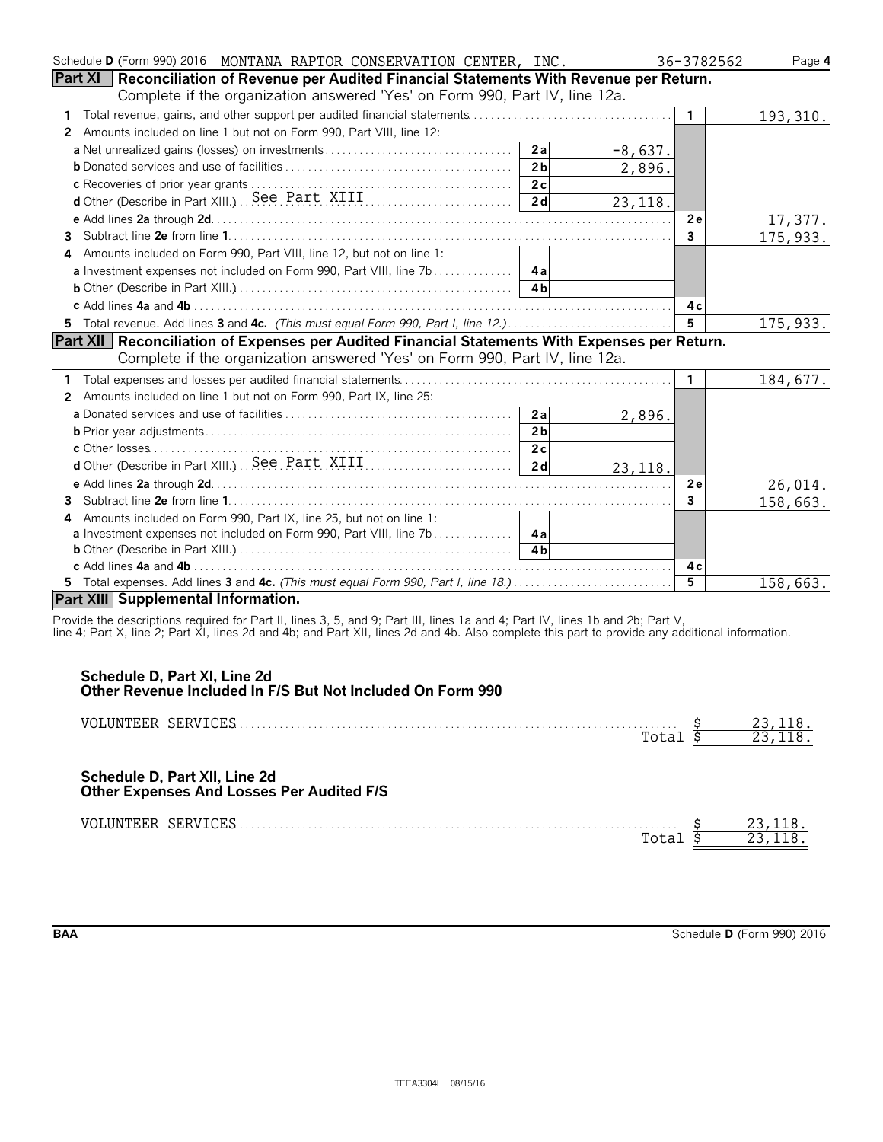| Schedule D (Form 990) 2016 MONTANA RAPTOR CONSERVATION CENTER, INC.                                                                                                                                                            | 36-3782562              | Page 4    |
|--------------------------------------------------------------------------------------------------------------------------------------------------------------------------------------------------------------------------------|-------------------------|-----------|
| Part XI   Reconciliation of Revenue per Audited Financial Statements With Revenue per Return.                                                                                                                                  |                         |           |
| Complete if the organization answered 'Yes' on Form 990, Part IV, line 12a.                                                                                                                                                    |                         |           |
| $\mathbf{1}$                                                                                                                                                                                                                   | $\mathbf{1}$            | 193,310.  |
| Amounts included on line 1 but not on Form 990, Part VIII, line 12:<br>$\mathbf{2}$                                                                                                                                            |                         |           |
| a Net unrealized gains (losses) on investments<br>2al<br>$-8,637.$                                                                                                                                                             |                         |           |
| 2 <sub>b</sub><br><b>b</b> Donated services and use of facilities $\ldots$ $\ldots$ $\ldots$ $\ldots$ $\ldots$ $\ldots$ $\ldots$ $\ldots$<br>2,896.                                                                            |                         |           |
| 2c                                                                                                                                                                                                                             |                         |           |
| c Recoveries of prior year grants<br>d'Other (Describe in Part XIII.) . See Part XIII<br>2d<br>23, 118.                                                                                                                        |                         |           |
|                                                                                                                                                                                                                                | 2e                      | 17,377.   |
| 3.                                                                                                                                                                                                                             | $\mathbf{3}$            | 175, 933. |
| Amounts included on Form 990, Part VIII, line 12, but not on line 1:<br>4                                                                                                                                                      |                         |           |
|                                                                                                                                                                                                                                |                         |           |
| 4 <sub>h</sub>                                                                                                                                                                                                                 |                         |           |
|                                                                                                                                                                                                                                | 4с                      |           |
| 5 Total revenue. Add lines 3 and 4c. (This must equal Form 990, Part I, line 12.)                                                                                                                                              | 5                       | 175,933.  |
| Part XII   Reconciliation of Expenses per Audited Financial Statements With Expenses per Return.                                                                                                                               |                         |           |
| Complete if the organization answered 'Yes' on Form 990, Part IV, line 12a.                                                                                                                                                    |                         |           |
| 1.                                                                                                                                                                                                                             | $\mathbf{1}$            | 184,677.  |
| Amounts included on line 1 but not on Form 990, Part IX, line 25:<br>$\mathbf{2}$                                                                                                                                              |                         |           |
| 2a<br>2,896.                                                                                                                                                                                                                   |                         |           |
| 2 <sub>b</sub>                                                                                                                                                                                                                 |                         |           |
| 2c                                                                                                                                                                                                                             |                         |           |
| 2d<br>23, 118.                                                                                                                                                                                                                 |                         |           |
|                                                                                                                                                                                                                                | 2e                      | 26,014.   |
| 3                                                                                                                                                                                                                              | $\overline{\mathbf{3}}$ | 158,663.  |
| Amounts included on Form 990, Part IX, line 25, but not on line 1:<br>4                                                                                                                                                        |                         |           |
|                                                                                                                                                                                                                                |                         |           |
| 4 <sub>h</sub>                                                                                                                                                                                                                 |                         |           |
|                                                                                                                                                                                                                                | 4с                      |           |
| 5 Total expenses. Add lines 3 and 4c. (This must equal Form 990, Part I, line 18.)                                                                                                                                             | 5                       | 158,663.  |
| Part XIII Supplemental Information.                                                                                                                                                                                            |                         |           |
| Provide the descriptions required for Part II, lines 3, 5, and 9; Part III, lines 1a and 4; Part IV, lines 1b and 2b; Part V, line 2; Part XI, lines 2d and 4b; and Part XII, lines 2d and Part XII, lines 2d and Part XII, li |                         |           |
|                                                                                                                                                                                                                                |                         |           |

#### **Schedule D, Part XI, Line 2d Other Revenue Included In F/S But Not Included On Form 990**

| VOLUNTEER SERVICES<br>Total                                                | 23,118 |
|----------------------------------------------------------------------------|--------|
| Schedule D, Part XII, Line 2d<br>Other Expenses And Losses Per Audited F/S |        |
| VOLUNTEER SERVICES                                                         |        |

**BAA** Schedule **D** (Form 990) 2016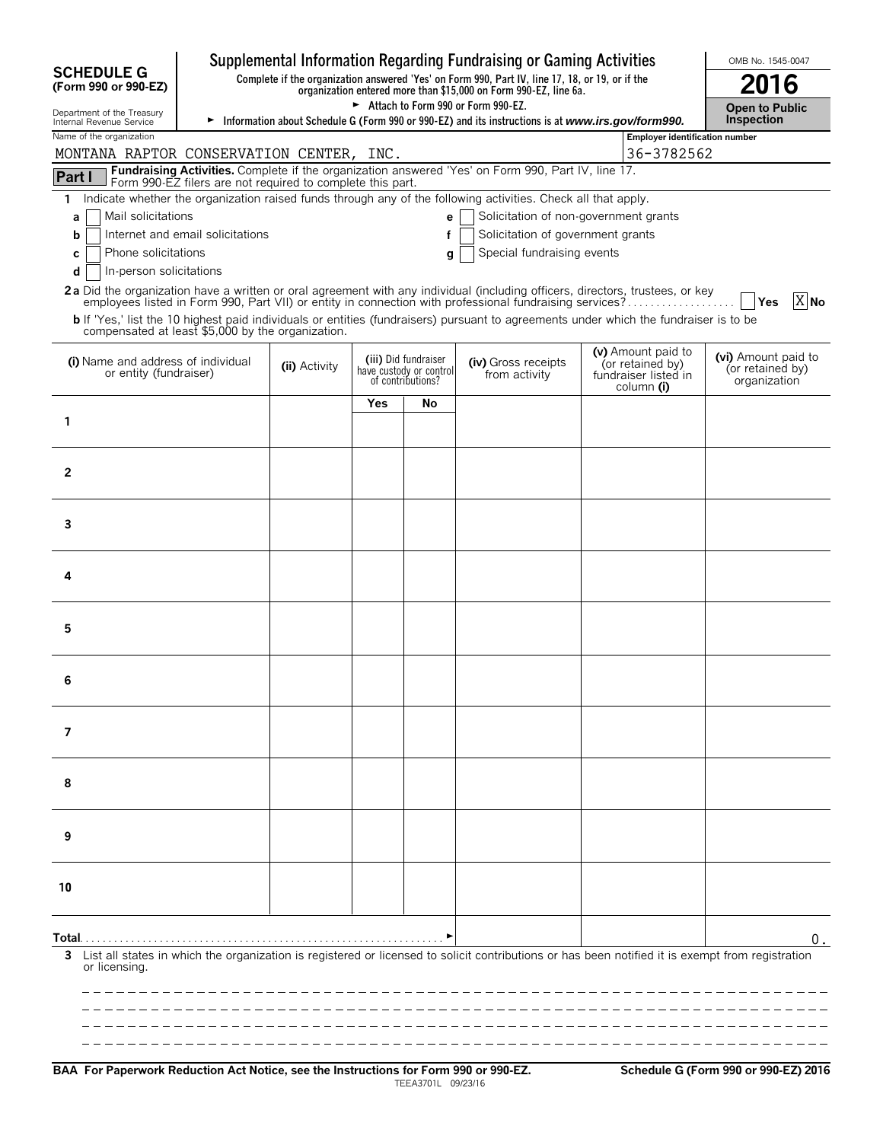|                                                                                                                                                                                                                                |                                                                                                                                         |     |                                                                      | Supplemental Information Regarding Fundraising or Gaming Activities                                                                                                 |  |                                                                              | OMB No. 1545-0047                                       |  |
|--------------------------------------------------------------------------------------------------------------------------------------------------------------------------------------------------------------------------------|-----------------------------------------------------------------------------------------------------------------------------------------|-----|----------------------------------------------------------------------|---------------------------------------------------------------------------------------------------------------------------------------------------------------------|--|------------------------------------------------------------------------------|---------------------------------------------------------|--|
| <b>SCHEDULE G</b><br>(Form 990 or 990-EZ)                                                                                                                                                                                      |                                                                                                                                         |     |                                                                      | Complete if the organization answered 'Yes' on Form 990, Part IV, line 17, 18, or 19, or if the<br>organization entered more than \$15,000 on Form 990-EZ, line 6a. |  |                                                                              | ZU 16                                                   |  |
| Department of the Treasury<br>►<br>Internal Revenue Service                                                                                                                                                                    | Attach to Form 990 or Form 990-EZ.<br>Information about Schedule G (Form 990 or 990-EZ) and its instructions is at www.irs.gov/form990. |     |                                                                      |                                                                                                                                                                     |  |                                                                              |                                                         |  |
| Name of the organization                                                                                                                                                                                                       | <b>Employer identification number</b><br>36-3782562<br>MONTANA RAPTOR CONSERVATION CENTER, INC.                                         |     |                                                                      |                                                                                                                                                                     |  |                                                                              |                                                         |  |
| Fundraising Activities. Complete if the organization answered 'Yes' on Form 990, Part IV, line 17.<br>Part I<br>Form 990-EZ filers are not required to complete this part.                                                     |                                                                                                                                         |     |                                                                      |                                                                                                                                                                     |  |                                                                              |                                                         |  |
| Indicate whether the organization raised funds through any of the following activities. Check all that apply.<br>1                                                                                                             |                                                                                                                                         |     |                                                                      |                                                                                                                                                                     |  |                                                                              |                                                         |  |
| Mail solicitations<br>a<br>Internet and email solicitations<br>b                                                                                                                                                               |                                                                                                                                         |     | e<br>f                                                               | Solicitation of non-government grants<br>Solicitation of government grants                                                                                          |  |                                                                              |                                                         |  |
| Phone solicitations<br>с                                                                                                                                                                                                       |                                                                                                                                         |     | g                                                                    | Special fundraising events                                                                                                                                          |  |                                                                              |                                                         |  |
| In-person solicitations<br>d                                                                                                                                                                                                   |                                                                                                                                         |     |                                                                      |                                                                                                                                                                     |  |                                                                              |                                                         |  |
| 2a Did the organization have a written or oral agreement with any individual (including officers, directors, trustees, or key employees listed in Form 990, Part VII) or entity in connection with professional fundraising se |                                                                                                                                         |     |                                                                      |                                                                                                                                                                     |  |                                                                              | X No<br> Yes                                            |  |
| b If 'Yes,' list the 10 highest paid individuals or entities (fundraisers) pursuant to agreements under which the fundraiser is to be<br>compensated at least \$5,000 by the organization.                                     |                                                                                                                                         |     |                                                                      |                                                                                                                                                                     |  |                                                                              |                                                         |  |
| (i) Name and address of individual<br>or entity (fundraiser)                                                                                                                                                                   | (ii) Activity                                                                                                                           |     | (iii) Did fundraiser<br>have custody or control<br>of contributions? | (iv) Gross receipts<br>from activity                                                                                                                                |  | (v) Amount paid to<br>(or retained by)<br>fundraiser listed in<br>column (i) | (vi) Amount paid to<br>(or retained by)<br>organization |  |
|                                                                                                                                                                                                                                |                                                                                                                                         | Yes | No                                                                   |                                                                                                                                                                     |  |                                                                              |                                                         |  |
| 1                                                                                                                                                                                                                              |                                                                                                                                         |     |                                                                      |                                                                                                                                                                     |  |                                                                              |                                                         |  |
|                                                                                                                                                                                                                                |                                                                                                                                         |     |                                                                      |                                                                                                                                                                     |  |                                                                              |                                                         |  |
| $\overline{2}$                                                                                                                                                                                                                 |                                                                                                                                         |     |                                                                      |                                                                                                                                                                     |  |                                                                              |                                                         |  |
|                                                                                                                                                                                                                                |                                                                                                                                         |     |                                                                      |                                                                                                                                                                     |  |                                                                              |                                                         |  |
| 3                                                                                                                                                                                                                              |                                                                                                                                         |     |                                                                      |                                                                                                                                                                     |  |                                                                              |                                                         |  |
|                                                                                                                                                                                                                                |                                                                                                                                         |     |                                                                      |                                                                                                                                                                     |  |                                                                              |                                                         |  |
| 4                                                                                                                                                                                                                              |                                                                                                                                         |     |                                                                      |                                                                                                                                                                     |  |                                                                              |                                                         |  |
|                                                                                                                                                                                                                                |                                                                                                                                         |     |                                                                      |                                                                                                                                                                     |  |                                                                              |                                                         |  |
| 5                                                                                                                                                                                                                              |                                                                                                                                         |     |                                                                      |                                                                                                                                                                     |  |                                                                              |                                                         |  |
|                                                                                                                                                                                                                                |                                                                                                                                         |     |                                                                      |                                                                                                                                                                     |  |                                                                              |                                                         |  |
| 6                                                                                                                                                                                                                              |                                                                                                                                         |     |                                                                      |                                                                                                                                                                     |  |                                                                              |                                                         |  |
|                                                                                                                                                                                                                                |                                                                                                                                         |     |                                                                      |                                                                                                                                                                     |  |                                                                              |                                                         |  |
| 7                                                                                                                                                                                                                              |                                                                                                                                         |     |                                                                      |                                                                                                                                                                     |  |                                                                              |                                                         |  |
|                                                                                                                                                                                                                                |                                                                                                                                         |     |                                                                      |                                                                                                                                                                     |  |                                                                              |                                                         |  |
| 8                                                                                                                                                                                                                              |                                                                                                                                         |     |                                                                      |                                                                                                                                                                     |  |                                                                              |                                                         |  |
|                                                                                                                                                                                                                                |                                                                                                                                         |     |                                                                      |                                                                                                                                                                     |  |                                                                              |                                                         |  |
| 9                                                                                                                                                                                                                              |                                                                                                                                         |     |                                                                      |                                                                                                                                                                     |  |                                                                              |                                                         |  |
|                                                                                                                                                                                                                                |                                                                                                                                         |     |                                                                      |                                                                                                                                                                     |  |                                                                              |                                                         |  |
| 10                                                                                                                                                                                                                             |                                                                                                                                         |     |                                                                      |                                                                                                                                                                     |  |                                                                              |                                                         |  |
|                                                                                                                                                                                                                                |                                                                                                                                         |     |                                                                      |                                                                                                                                                                     |  |                                                                              |                                                         |  |
| Total. .                                                                                                                                                                                                                       |                                                                                                                                         |     |                                                                      |                                                                                                                                                                     |  |                                                                              | 0.                                                      |  |
| List all states in which the organization is registered or licensed to solicit contributions or has been notified it is exempt from registration<br>or licensing.                                                              |                                                                                                                                         |     |                                                                      |                                                                                                                                                                     |  |                                                                              |                                                         |  |
|                                                                                                                                                                                                                                |                                                                                                                                         |     |                                                                      |                                                                                                                                                                     |  |                                                                              |                                                         |  |
|                                                                                                                                                                                                                                |                                                                                                                                         |     |                                                                      |                                                                                                                                                                     |  |                                                                              |                                                         |  |
|                                                                                                                                                                                                                                |                                                                                                                                         |     |                                                                      |                                                                                                                                                                     |  |                                                                              |                                                         |  |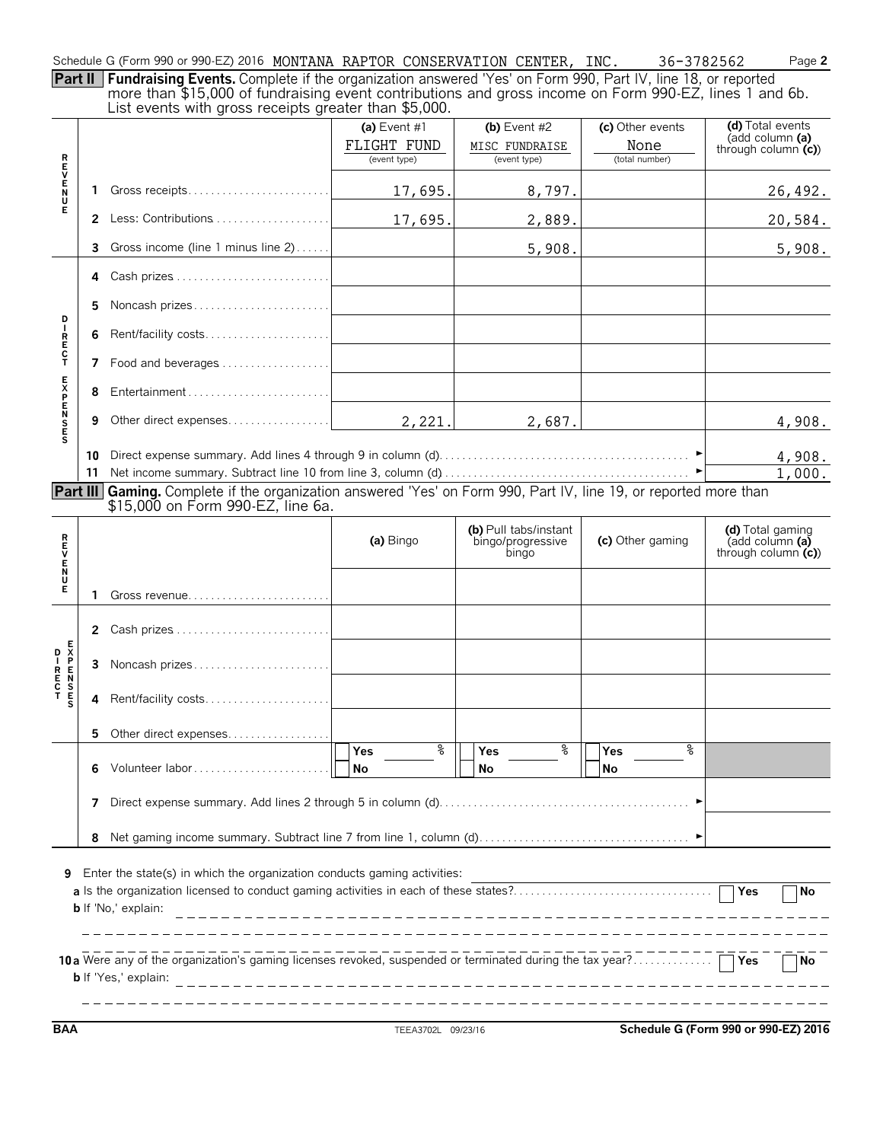Schedule G (Form 990 or 990-EZ) 2016 MONTANA RAPTOR CONSERVATION CENTER, INC. 36-3782562 Page **2** 

**Part II Fundraising Events.** Complete if the organization answered 'Yes' on Form 990, Part IV, line 18, or reported more than \$15,000 of fundraising event contributions and gross income on Form 990-EZ, lines 1 and 6b. List events with gross receipts greater than \$5,000.

|                  |                                                                                                                                   | $\sim$ . The second with group receipts groups than $\phi$ ,000.                                                  |                                               |                                                     |                                            |                                                             |  |  |  |
|------------------|-----------------------------------------------------------------------------------------------------------------------------------|-------------------------------------------------------------------------------------------------------------------|-----------------------------------------------|-----------------------------------------------------|--------------------------------------------|-------------------------------------------------------------|--|--|--|
|                  |                                                                                                                                   |                                                                                                                   | (a) Event $#1$<br>FLIGHT FUND<br>(event type) | (b) Event $#2$<br>MISC FUNDRAISE<br>(event type)    | (c) Other events<br>None<br>(total number) | (d) Total events<br>(add column (a)<br>through column $(c)$ |  |  |  |
| <b>REVENDE</b>   | 1.                                                                                                                                |                                                                                                                   | 17,695.                                       | 8,797.                                              |                                            | 26,492.                                                     |  |  |  |
|                  |                                                                                                                                   |                                                                                                                   | 17,695.                                       | 2,889.                                              |                                            | 20,584.                                                     |  |  |  |
|                  | 3                                                                                                                                 | Gross income (line 1 minus line 2)                                                                                |                                               | 5,908.                                              |                                            | 5,908.                                                      |  |  |  |
|                  | 4                                                                                                                                 | Cash prizes                                                                                                       |                                               |                                                     |                                            |                                                             |  |  |  |
|                  | 5                                                                                                                                 | Noncash prizes                                                                                                    |                                               |                                                     |                                            |                                                             |  |  |  |
| D<br>I           | 6                                                                                                                                 | Rent/facility costs                                                                                               |                                               |                                                     |                                            |                                                             |  |  |  |
| R<br>E<br>C<br>T | 7                                                                                                                                 | Food and beverages                                                                                                |                                               |                                                     |                                            |                                                             |  |  |  |
|                  | 8                                                                                                                                 |                                                                                                                   |                                               |                                                     |                                            |                                                             |  |  |  |
| <b>EXPENSES</b>  | 9                                                                                                                                 |                                                                                                                   | 2,221.                                        | 2,687.                                              |                                            | 4,908.                                                      |  |  |  |
|                  | 10                                                                                                                                |                                                                                                                   |                                               |                                                     |                                            | 4,908.                                                      |  |  |  |
|                  |                                                                                                                                   |                                                                                                                   |                                               |                                                     |                                            | 1,000.                                                      |  |  |  |
|                  |                                                                                                                                   | Part III Gaming. Complete if the organization answered 'Yes' on Form 990, Part IV, line 19, or reported more than |                                               |                                                     |                                            |                                                             |  |  |  |
|                  |                                                                                                                                   | \$15,000 on Form 990-EZ, line 6a.                                                                                 |                                               |                                                     |                                            |                                                             |  |  |  |
| ロマロスロ            |                                                                                                                                   |                                                                                                                   | (a) Bingo                                     | (b) Pull tabs/instant<br>bingo/progressive<br>bingo | (c) Other gaming                           | (d) Total gaming<br>(add column (a)<br>through column $(c)$ |  |  |  |
| Е                | 1.                                                                                                                                | Gross revenue                                                                                                     |                                               |                                                     |                                            |                                                             |  |  |  |
|                  | 2.                                                                                                                                |                                                                                                                   |                                               |                                                     |                                            |                                                             |  |  |  |
|                  | 3                                                                                                                                 | Noncash prizes                                                                                                    |                                               |                                                     |                                            |                                                             |  |  |  |
|                  | 4                                                                                                                                 | Rent/facility costs                                                                                               |                                               |                                                     |                                            |                                                             |  |  |  |
|                  | 5.                                                                                                                                | Other direct expenses                                                                                             |                                               |                                                     |                                            |                                                             |  |  |  |
|                  | 6                                                                                                                                 | Volunteer labor                                                                                                   | %<br>Yes<br>No                                | နွ<br>Yes<br>No                                     | နွ<br><b>Yes</b><br>No                     |                                                             |  |  |  |
|                  | 7                                                                                                                                 |                                                                                                                   |                                               |                                                     |                                            |                                                             |  |  |  |
|                  | 8                                                                                                                                 |                                                                                                                   |                                               |                                                     |                                            |                                                             |  |  |  |
| 9                | Enter the state(s) in which the organization conducts gaming activities:<br>$\overline{Y}$ es<br>No<br><b>b</b> If 'No,' explain: |                                                                                                                   |                                               |                                                     |                                            |                                                             |  |  |  |
|                  |                                                                                                                                   | <b>b</b> If 'Yes,' explain:                                                                                       |                                               |                                                     |                                            | No                                                          |  |  |  |

**BAA** TEEA3702L 09/23/16 **Schedule G (Form 990 or 990-EZ) 2016**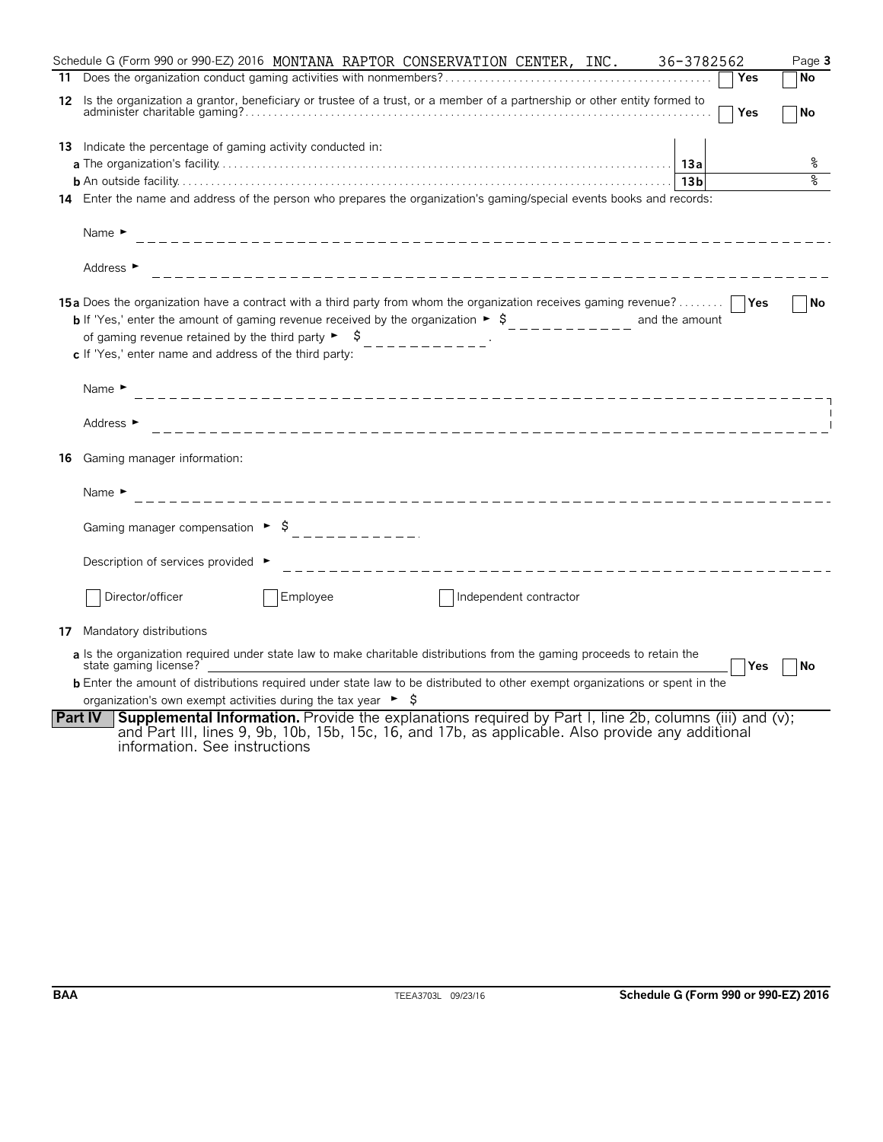|    | Schedule G (Form 990 or 990-EZ) 2016 MONTANA RAPTOR CONSERVATION CENTER, INC.<br>36-3782562                                                                                                                                                                                                                                                                                             | Page 3    |
|----|-----------------------------------------------------------------------------------------------------------------------------------------------------------------------------------------------------------------------------------------------------------------------------------------------------------------------------------------------------------------------------------------|-----------|
|    | Yes                                                                                                                                                                                                                                                                                                                                                                                     | <b>No</b> |
|    | 12 Is the organization a grantor, beneficiary or trustee of a trust, or a member of a partnership or other entity formed to<br>Yes                                                                                                                                                                                                                                                      | <b>No</b> |
|    | <b>13</b> Indicate the percentage of gaming activity conducted in:                                                                                                                                                                                                                                                                                                                      |           |
|    |                                                                                                                                                                                                                                                                                                                                                                                         |           |
|    |                                                                                                                                                                                                                                                                                                                                                                                         | ৡ         |
|    | 14 Enter the name and address of the person who prepares the organization's gaming/special events books and records:                                                                                                                                                                                                                                                                    |           |
|    | Name $\blacktriangleright$                                                                                                                                                                                                                                                                                                                                                              |           |
|    | Address ►                                                                                                                                                                                                                                                                                                                                                                               |           |
|    | <b>15a</b> Does the organization have a contract with a third party from whom the organization receives gaming revenue?<br><b>b</b> If 'Yes,' enter the amount of gaming revenue received by the organization $\rightarrow$ \$<br>and the amount<br>of gaming revenue retained by the third party $\triangleright$ $\uparrow$<br>c If 'Yes,' enter name and address of the third party: | No        |
|    | Name $\blacktriangleright$                                                                                                                                                                                                                                                                                                                                                              |           |
|    | Address ►                                                                                                                                                                                                                                                                                                                                                                               |           |
| 16 | Gaming manager information:                                                                                                                                                                                                                                                                                                                                                             |           |
|    | Name $\blacktriangleright$                                                                                                                                                                                                                                                                                                                                                              |           |
|    | Gaming manager compensation $\triangleright$ \$ __________.                                                                                                                                                                                                                                                                                                                             |           |
|    | Description of services provided ▶<br>_____________________________________                                                                                                                                                                                                                                                                                                             |           |
|    | Director/officer<br>Employee<br>Independent contractor                                                                                                                                                                                                                                                                                                                                  |           |
| 17 | Mandatory distributions                                                                                                                                                                                                                                                                                                                                                                 |           |
|    | a Is the organization required under state law to make charitable distributions from the gaming proceeds to retain the<br>state gaming license?<br>Yes                                                                                                                                                                                                                                  | l No      |
|    | <b>b</b> Enter the amount of distributions required under state law to be distributed to other exempt organizations or spent in the                                                                                                                                                                                                                                                     |           |
|    | organization's own exempt activities during the tax year $\triangleright$ $\sharp$                                                                                                                                                                                                                                                                                                      |           |
|    | <b>Supplemental Information.</b> Provide the explanations required by Part I, line 2b, columns (iii) and (v);<br><b>Part IV</b><br>and Part III, lines 9, 9b, 10b, 15b, 15c, 16, and 17b, as applicable. Also provide any additional<br>information. See instructions                                                                                                                   |           |